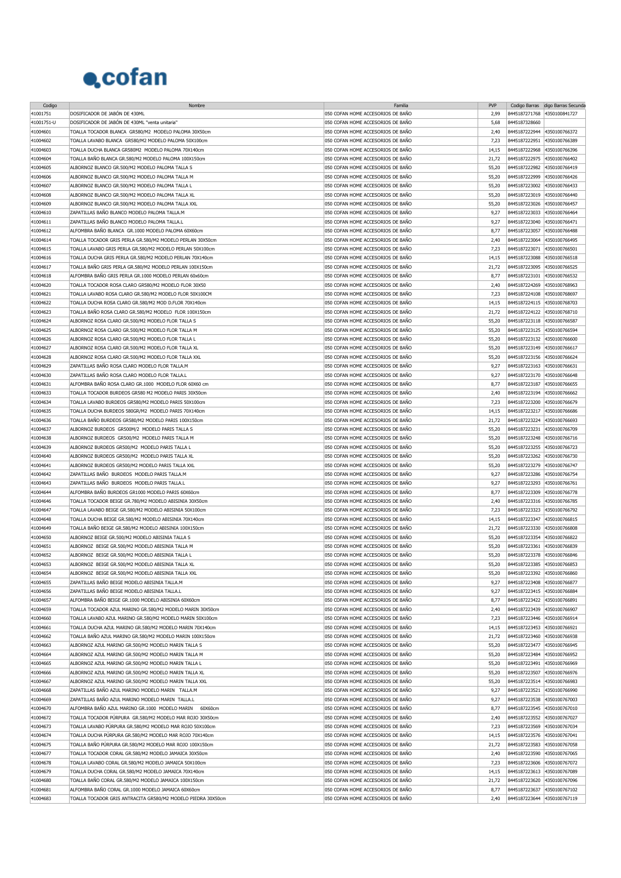

| Codigo     | Nombre                                                       | Familia                           | <b>PVP</b> |                             | Codigo Barras digo Barras Secunda |
|------------|--------------------------------------------------------------|-----------------------------------|------------|-----------------------------|-----------------------------------|
| 41001751   | DOSIFICADOR DE JABÓN DE 430ML                                | 050 COFAN HOME ACCESORIOS DE BAÑO | 2,99       | 8445187271768               | 4350100841727                     |
| 41001751-U | DOSIFICADOR DE JABÓN DE 430ML "venta unitaria"               | 050 COFAN HOME ACCESORIOS DE BAÑO | 5,68       | 8445187328660               |                                   |
|            |                                                              |                                   |            |                             |                                   |
| 41004601   | TOALLA TOCADOR BLANCA GR580/M2 MODELO PALOMA 30X50cm         | 050 COFAN HOME ACCESORIOS DE BAÑO | 2,40       | 8445187222944               | 4350100766372                     |
| 41004602   | TOALLA LAVABO BLANCA GR580/M2 MODELO PALOMA 50X100cm         | 050 COFAN HOME ACCESORIOS DE BAÑO | 7,23       | 8445187222951               | 4350100766389                     |
| 41004603   | TOALLA DUCHA BLANCA GR580M2 MODELO PALOMA 70X140cm           | 050 COFAN HOME ACCESORIOS DE BAÑO | 14,15      | 8445187222968               | 4350100766396                     |
| 41004604   | TOALLA BAÑO BLANCA GR.580/M2 MODELO PALOMA 100X150cm         | 050 COFAN HOME ACCESORIOS DE BAÑO | 21,72      | 8445187222975               | 4350100766402                     |
| 41004605   | ALBORNOZ BLANCO GR.500/M2 MODELO PALOMA TALLA S              | 050 COFAN HOME ACCESORIOS DE BAÑO | 55,20      | 8445187222982               | 4350100766419                     |
|            |                                                              |                                   |            |                             |                                   |
| 41004606   | ALBORNOZ BLANCO GR.500/M2 MODELO PALOMA TALLA M              | 050 COFAN HOME ACCESORIOS DE BAÑO | 55,20      | 8445187222999               | 4350100766426                     |
| 41004607   | ALBORNOZ BLANCO GR.500/M2 MODELO PALOMA TALLA L              | 050 COFAN HOME ACCESORIOS DE BAÑO | 55,20      | 8445187223002               | 4350100766433                     |
| 41004608   | ALBORNOZ BLANCO GR.500/M2 MODELO PALOMA TALLA XL             | 050 COFAN HOME ACCESORIOS DE BAÑO | 55,20      | 8445187223019               | 4350100766440                     |
| 41004609   | ALBORNOZ BLANCO GR.500/M2 MODELO PALOMA TALLA XXL            | 050 COFAN HOME ACCESORIOS DE BAÑO | 55,20      | 8445187223026               | 4350100766457                     |
| 41004610   | ZAPATILLAS BAÑO BLANCO MODELO PALOMA TALLA.M                 | 050 COFAN HOME ACCESORIOS DE BAÑO | 9,27       | 8445187223033               | 4350100766464                     |
|            |                                                              |                                   |            |                             |                                   |
| 41004611   | ZAPATILLAS BAÑO BLANCO MODELO PALOMA TALLA.L                 | 050 COFAN HOME ACCESORIOS DE BAÑO | 9.27       | 8445187223040               | 4350100766471                     |
| 41004612   | ALFOMBRA BAÑO BLANCA GR.1000 MODELO PALOMA 60X60cm           | 050 COFAN HOME ACCESORIOS DE BAÑO | 8.77       | 8445187223057               | 4350100766488                     |
| 41004614   | TOALLA TOCADOR GRIS PERLA GR.580/M2 MODELO PERLAN 30X50cm    | 050 COFAN HOME ACCESORIOS DE BAÑO | 2.40       | 8445187223064               | 4350100766495                     |
| 41004615   | TOALLA LAVABO GRIS PERLA GR.580/M2 MODELO PERLAN 50X100cm    | 050 COFAN HOME ACCESORIOS DE BAÑO | 7,23       | 8445187223071               | 4350100766501                     |
|            |                                                              | 050 COFAN HOME ACCESORIOS DE BAÑO |            | 8445187223088               | 4350100766518                     |
| 41004616   | TOALLA DUCHA GRIS PERLA GR.580/M2 MODELO PERLAN 70X140cm     |                                   | 14,15      |                             |                                   |
| 41004617   | TOALLA BAÑO GRIS PERLA GR.580/M2 MODELO PERLAN 100X150cm     | 050 COFAN HOME ACCESORIOS DE BAÑO | 21,72      | 8445187223095               | 4350100766525                     |
| 41004618   | ALFOMBRA BAÑO GRIS PERLA GR.1000 MODELO PERLAN 60x60cm       | 050 COFAN HOME ACCESORIOS DE BAÑO | 8,77       | 8445187223101               | 4350100766532                     |
| 41004620   | TOALLA TOCADOR ROSA CLARO GR580/M2 MODELO FLOR 30X50         | 050 COFAN HOME ACCESORIOS DE BAÑO | 2,40       | 8445187224269               | 4350100768963                     |
|            | TOALLA LAVABO ROSA CLARO GR.580/M2 MODELO FLOR 50X100CM      | 050 COFAN HOME ACCESORIOS DE BAÑO | 7,23       | 8445187224108               | 4350100768697                     |
| 41004621   |                                                              |                                   |            |                             |                                   |
| 41004622   | TOALLA DUCHA ROSA CLARO GR.580/M2 MOD D.FLOR 70X140cm        | 050 COFAN HOME ACCESORIOS DE BAÑO | 14,15      | 8445187224115               | 4350100768703                     |
| 41004623   | TOALLA BAÑO ROSA CLARO GR.580/M2 MODELO FLOR 100X150cm       | 050 COFAN HOME ACCESORIOS DE BAÑO | 21,72      | 8445187224122               | 4350100768710                     |
| 41004624   | ALBORNOZ ROSA CLARO GR.500/M2 MODELO FLOR TALLA S            | 050 COFAN HOME ACCESORIOS DE BAÑO | 55,20      | 8445187223118               | 4350100766587                     |
| 41004625   | ALBORNOZ ROSA CLARO GR.500/M2 MODELO FLOR TALLA M            | 050 COFAN HOME ACCESORIOS DE BAÑO | 55,20      | 8445187223125               | 4350100766594                     |
|            |                                                              |                                   |            |                             |                                   |
| 41004626   | ALBORNOZ ROSA CLARO GR.500/M2 MODELO FLOR TALLA L            | 050 COFAN HOME ACCESORIOS DE BAÑO | 55,20      | 8445187223132               | 4350100766600                     |
| 41004627   | ALBORNOZ ROSA CLARO GR.500/M2 MODELO FLOR TALLA XL           | 050 COFAN HOME ACCESORIOS DE BAÑO | 55,20      | 8445187223149               | 4350100766617                     |
| 41004628   | ALBORNOZ ROSA CLARO GR.500/M2 MODELO FLOR TALLA XXL          | 050 COFAN HOME ACCESORIOS DE BAÑO | 55,20      | 8445187223156               | 4350100766624                     |
| 41004629   | ZAPATILLAS BAÑO ROSA CLARO MODELO FLOR TALLA.M               | 050 COFAN HOME ACCESORIOS DE BAÑO | 9.27       | 8445187223163               | 4350100766631                     |
|            | ZAPATILLAS BAÑO ROSA CLARO MODELO FLOR TALLA.L               |                                   |            |                             |                                   |
| 41004630   |                                                              | 050 COFAN HOME ACCESORIOS DE BAÑO | 9.27       | 8445187223170               | 4350100766648                     |
| 41004631   | ALFOMBRA BAÑO ROSA CLARO GR.1000 MODELO FLOR 60X60 cm        | 050 COFAN HOME ACCESORIOS DE BAÑO | 8.77       | 8445187223187               | 4350100766655                     |
| 41004633   | TOALLA TOCADOR BURDEOS GR580 M2 MODELO PARIS 30X50cm         | 050 COFAN HOME ACCESORIOS DE BANO | 2,40       | 8445187223194               | 4350100766662                     |
| 41004634   | TOALLA LAVABO BURDEOS GR580/M2 MODELO PARIS 50X100cm         | 050 COFAN HOME ACCESORIOS DE BAÑO | 7,23       | 8445187223200               | 4350100766679                     |
|            |                                                              |                                   |            |                             |                                   |
| 41004635   | TOALLA DUCHA BURDEOS 580GR/M2 MODELO PARIS 70X140cm          | 050 COFAN HOME ACCESORIOS DE BAÑO | 14,15      | 8445187223217               | 4350100766686                     |
| 41004636   | TOALLA BAÑO BURDEOS GR580/M2 MODELO PARIS 100X150cm          | 050 COFAN HOME ACCESORIOS DE BAÑO | 21,72      | 8445187223224               | 4350100766693                     |
| 41004637   | ALBORNOZ BURDEOS GR500M/2 MODELO PARIS TALLA S               | 050 COFAN HOME ACCESORIOS DE BAÑO | 55,20      | 8445187223231               | 4350100766709                     |
| 41004638   | ALBORNOZ BURDEOS GR500/M2 MODELO PARIS TALLA M               | 050 COFAN HOME ACCESORIOS DE BAÑO | 55,20      | 8445187223248               | 4350100766716                     |
|            |                                                              |                                   |            | 8445187223255 4350100766723 |                                   |
| 41004639   | ALBORNOZ BURDEOS GR500/M2 MODELO PARIS TALLA L               | 050 COFAN HOME ACCESORIOS DE BAÑO | 55,20      |                             |                                   |
| 41004640   | ALBORNOZ BURDEOS GR500/M2 MODELO PARIS TALLA XL              | 050 COFAN HOME ACCESORIOS DE BAÑO | 55,20      | 8445187223262               | 4350100766730                     |
| 41004641   | ALBORNOZ BURDEOS GR500/M2 MODELO PARIS TALLA XXL             | 050 COFAN HOME ACCESORIOS DE BAÑO | 55,20      | 8445187223279               | 4350100766747                     |
| 41004642   | ZAPATILLAS BAÑO BURDEOS MODELO PARIS TALLA.M                 | 050 COFAN HOME ACCESORIOS DE BAÑO | 9.27       | 8445187223286               | 4350100766754                     |
| 41004643   | ZAPATILLAS BAÑO BURDEOS MODELO PARIS TALLA.L                 | 050 COFAN HOME ACCESORIOS DE BAÑO | 9,27       | 8445187223293               | 4350100766761                     |
|            |                                                              |                                   |            |                             |                                   |
| 41004644   | ALFOMBRA BAÑO BURDEOS GR1000 MODELO PARIS 60X60cm            | 050 COFAN HOME ACCESORIOS DE BAÑO | 8,77       | 8445187223309               | 4350100766778                     |
| 41004646   | TOALLA TOCADOR BEIGE GR.780/M2 MODELO ABISINIA 30X50cm       | 050 COFAN HOME ACCESORIOS DE BAÑO | 2,40       | 8445187223316               | 4350100766785                     |
| 41004647   | TOALLA LAVABO BEIGE GR.580/M2 MODELO ABISINIA 50X100cm       | 050 COFAN HOME ACCESORIOS DE BAÑO | 7,23       | 8445187223323               | 4350100766792                     |
| 41004648   | TOALLA DUCHA BEIGE GR.580/M2 MODELO ABISINIA 70X140cm        | 050 COFAN HOME ACCESORIOS DE BAÑO | 14,15      | 8445187223347               | 4350100766815                     |
|            |                                                              |                                   |            |                             |                                   |
| 41004649   | TOALLA BAÑO BEIGE GR.580/M2 MODELO ABISINIA 100X150cm        | 050 COFAN HOME ACCESORIOS DE BAÑO | 21,72      | 8445187223330               | 4350100766808                     |
| 41004650   | ALBORNOZ BEIGE GR.500/M2 MODELO ABISINIA TALLA S             | 050 COFAN HOME ACCESORIOS DE BAÑO | 55,20      | 8445187223354               | 4350100766822                     |
| 41004651   | ALBORNOZ BEIGE GR.500/M2 MODELO ABISINIA TALLA M             | 050 COFAN HOME ACCESORIOS DE BAÑO | 55,20      | 8445187223361               | 4350100766839                     |
| 41004652   | ALBORNOZ BEIGE GR.500/M2 MODELO ABISINIA TALLA L             | 050 COFAN HOME ACCESORIOS DE BAÑO | 55,20      | 8445187223378               | 4350100766846                     |
|            |                                                              |                                   |            |                             |                                   |
| 41004653   | ALBORNOZ BEIGE GR.500/M2 MODELO ABISINIA TALLA XL            | 050 COFAN HOME ACCESORIOS DE BAÑO | 55,20      | 8445187223385               | 4350100766853                     |
| 41004654   | ALBORNOZ BEIGE GR.500/M2 MODELO ABISINIA TALLA XXL           | 050 COFAN HOME ACCESORIOS DE BAÑO | 55,20      | 8445187223392               | 4350100766860                     |
| 41004655   | ZAPATILLAS BAÑO BEIGE MODELO ABISINIA TALLA.M                | 050 COFAN HOME ACCESORIOS DE BAÑO | 9,27       | 8445187223408               | 4350100766877                     |
| 41004656   | ZAPATILLAS BAÑO BEIGE MODELO ABISINIA TALLA.L                | 050 COFAN HOME ACCESORIOS DE BAÑO | 9,27       | 8445187223415 4350100766884 |                                   |
| 41004657   | ALFOMBRA BAÑO BEIGE GR.1000 MODELO ABISINIA 60X60cm          | 050 COFAN HOME ACCESORIOS DE BAÑO | 8,77       | 8445187223422               | 4350100766891                     |
|            |                                                              |                                   |            |                             |                                   |
| 41004659   | TOALLA TOCADOR AZUL MARINO GR.580/M2 MODELO MARIN 30X50cm    | 050 COFAN HOME ACCESORIOS DE BAÑO | 2,40       | 8445187223439               | 4350100766907                     |
| 41004660   | TOALLA LAVABO AZUL MARINO GR.580/M2 MODELO MARIN 50X100cm    | 050 COFAN HOME ACCESORIOS DE BAÑO | 7,23       | 8445187223446               | 4350100766914                     |
| 41004661   | TOALLA DUCHA AZUL MARINO GR.580/M2 MODELO MARIN 70X140cm     | 050 COFAN HOME ACCESORIOS DE BAÑO | 14,15      | 8445187223453               | 4350100766921                     |
| 41004662   | TOALLA BAÑO AZUL MARINO GR.580/M2 MODELO MARIN 100X150cm     | 050 COFAN HOME ACCESORIOS DE BAÑO | 21,72      | 8445187223460               | 4350100766938                     |
| 41004663   | ALBORNOZ AZUL MARINO GR.500/M2 MODELO MARIN TALLA S          | 050 COFAN HOME ACCESORIOS DE BAÑO | 55,20      | 8445187223477               | 4350100766945                     |
|            |                                                              |                                   |            |                             |                                   |
| 41004664   | ALBORNOZ AZUL MARINO GR.500/M2 MODELO MARIN TALLA M          | 050 COFAN HOME ACCESORIOS DE BAÑO | 55,20      | 8445187223484               | 4350100766952                     |
| 41004665   | ALBORNOZ AZUL MARINO GR.500/M2 MODELO MARIN TALLA L          | 050 COFAN HOME ACCESORIOS DE BAÑO | 55,20      | 8445187223491               | 4350100766969                     |
| 41004666   | ALBORNOZ AZUL MARINO GR.500/M2 MODELO MARIN TALLA XL         | 050 COFAN HOME ACCESORIOS DE BAÑO | 55,20      | 8445187223507               | 4350100766976                     |
| 41004667   | ALBORNOZ AZUL MARINO GR.500/M2 MODELO MARIN TALLA XXL        | 050 COFAN HOME ACCESORIOS DE BAÑO | 55,20      | 8445187223514               | 4350100766983                     |
|            |                                                              |                                   |            |                             |                                   |
| 41004668   | ZAPATILLAS BAÑO AZUL MARINO MODELO MARIN TALLA.M             | 050 COFAN HOME ACCESORIOS DE BAÑO | 9.27       | 8445187223521               | 4350100766990                     |
| 41004669   | ZAPATILLAS BAÑO AZUL MARINO MODELO MARIN TALLA.L             | 050 COFAN HOME ACCESORIOS DE BAÑO | 9,27       | 8445187223538               | 4350100767003                     |
| 41004670   | ALFOMBRA BAÑO AZUL MARINO GR.1000 MODELO MARIN 60X60cm       | 050 COFAN HOME ACCESORIOS DE BAÑO | 8,77       | 8445187223545               | 4350100767010                     |
| 41004672   | TOALLA TOCADOR PÚRPURA GR.580/M2 MODELO MAR ROJO 30X50cm     | 050 COFAN HOME ACCESORIOS DE BAÑO | 2,40       | 8445187223552               | 4350100767027                     |
|            |                                                              |                                   |            |                             |                                   |
| 41004673   | TOALLA LAVABO PÚRPURA GR.580/M2 MODELO MAR ROJO 50X100cm     | 050 COFAN HOME ACCESORIOS DE BAÑO | 7,23       | 8445187223569               | 4350100767034                     |
| 41004674   | TOALLA DUCHA PURPURA GR.580/M2 MODELO MAR ROJO 70X140cm      | 050 COFAN HOME ACCESORIOS DE BAÑO | 14,15      | 8445187223576               | 4350100767041                     |
| 41004675   | TOALLA BAÑO PÚRPURA GR.580/M2 MODELO MAR ROJO 100X150cm      | 050 COFAN HOME ACCESORIOS DE BAÑO | 21,72      | 8445187223583               | 4350100767058                     |
| 41004677   | TOALLA TOCADOR CORAL GR.580/M2 MODELO JAMAICA 30X50cm        | 050 COFAN HOME ACCESORIOS DE BAÑO | 2,40       | 8445187223590               | 4350100767065                     |
|            |                                                              | 050 COFAN HOME ACCESORIOS DE BAÑO |            |                             | 4350100767072                     |
| 41004678   | TOALLA LAVABO CORAL GR.580/M2 MODELO JAMAICA 50X100cm        |                                   | 7,23       | 8445187223606               |                                   |
| 41004679   | TOALLA DUCHA CORAL GR.580/M2 MODELO JAMAICA 70X140cm         | 050 COFAN HOME ACCESORIOS DE BAÑO | 14,15      | 8445187223613               | 4350100767089                     |
| 41004680   | TOALLA BAÑO CORAL GR.580/M2 MODELO JAMAICA 100X150cm         | 050 COFAN HOME ACCESORIOS DE BAÑO | 21,72      | 8445187223620               | 4350100767096                     |
| 41004681   | ALFOMBRA BAÑO CORAL GR.1000 MODELO JAMAICA 60X60cm           | 050 COFAN HOME ACCESORIOS DE BAÑO | 8,77       | 8445187223637               | 4350100767102                     |
| 41004683   | TOALLA TOCADOR GRIS ANTRACITA GR580/M2 MODELO PIEDRA 30X50cm | 050 COFAN HOME ACCESORIOS DE BAÑO | 2,40       | 8445187223644               | 4350100767119                     |
|            |                                                              |                                   |            |                             |                                   |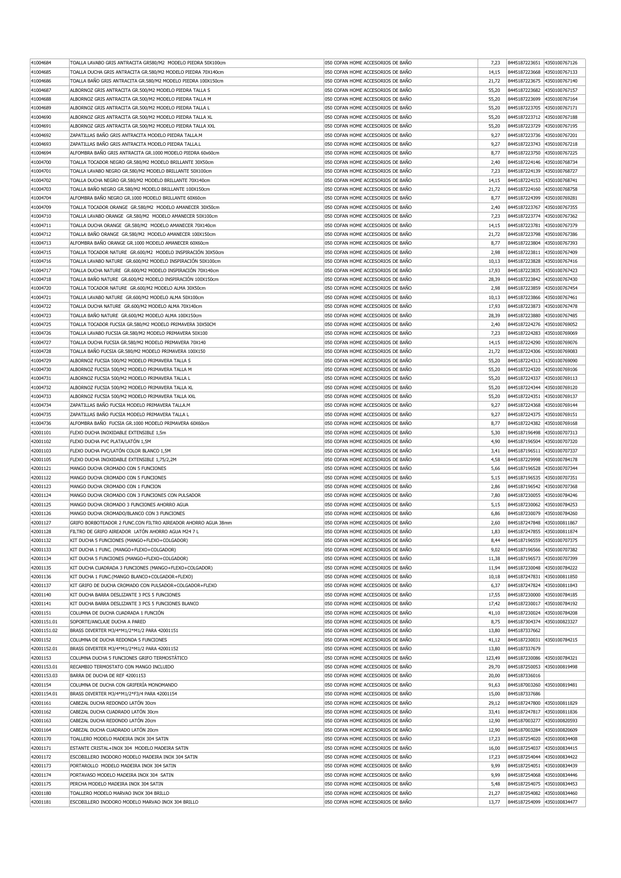| 41004684             | TOALLA LAVABO GRIS ANTRACITA GR580/M2 MODELO PIEDRA 50X100cm                                | 050 COFAN HOME ACCESORIOS DE BAÑO                                      | 7,23           | 8445187223651 4350100767126                  |                             |
|----------------------|---------------------------------------------------------------------------------------------|------------------------------------------------------------------------|----------------|----------------------------------------------|-----------------------------|
| 41004685             | TOALLA DUCHA GRIS ANTRACITA GR.580/M2 MODELO PIEDRA 70X140cm                                | 050 COFAN HOME ACCESORIOS DE BAÑO                                      | 14,15          | 8445187223668                                | 4350100767133               |
| 41004686             | TOALLA BAÑO GRIS ANTRACITA GR.580/M2 MODELO PIEDRA 100X150cm                                | 050 COFAN HOME ACCESORIOS DE BAÑO                                      | 21,72          | 8445187223675                                | 4350100767140               |
| 41004687             | ALBORNOZ GRIS ANTRACITA GR.500/M2 MODELO PIEDRA TALLA S                                     | 050 COFAN HOME ACCESORIOS DE BAÑO                                      | 55,20          | 8445187223682 4350100767157                  |                             |
| 41004688             | ALBORNOZ GRIS ANTRACITA GR.500/M2 MODELO PIEDRA TALLA M                                     | 050 COFAN HOME ACCESORIOS DE BAÑO                                      | 55,20          | 8445187223699 4350100767164                  |                             |
|                      |                                                                                             |                                                                        |                |                                              |                             |
| 41004689             | ALBORNOZ GRIS ANTRACITA GR.500/M2 MODELO PIEDRA TALLA L                                     | 050 COFAN HOME ACCESORIOS DE BAÑO                                      | 55,20          |                                              | 8445187223705 4350100767171 |
| 41004690             | ALBORNOZ GRIS ANTRACITA GR.500/M2 MODELO PIEDRA TALLA XL                                    | 050 COFAN HOME ACCESORIOS DE BAÑO                                      | 55,20          | 8445187223712                                | 4350100767188               |
| 41004691             | ALBORNOZ GRIS ANTRACITA GR.500/M2 MODELO PIEDRA TALLA XXL                                   | 050 COFAN HOME ACCESORIOS DE BAÑO                                      | 55,20          | 8445187223729                                | 4350100767195               |
| 41004692             | ZAPATILLAS BAÑO GRIS ANTRACITA MODELO PIEDRA TALLA.M                                        | 050 COFAN HOME ACCESORIOS DE BAÑO                                      | 9,27           | 8445187223736                                | 4350100767201               |
| 41004693             | ZAPATILLAS BAÑO GRIS ANTRACITA MODELO PIEDRA TALLA.L                                        | 050 COFAN HOME ACCESORIOS DE BAÑO                                      | 9,27           | 8445187223743                                | 4350100767218               |
| 41004694             | ALFOMBRA BAÑO GRIS ANTRACITA GR.1000 MODELO PIEDRA 60x60cm                                  | 050 COFAN HOME ACCESORIOS DE BAÑO                                      | 8,77           | 8445187223750                                | 4350100767225               |
| 41004700             | TOALLA TOCADOR NEGRO GR.580/M2 MODELO BRILLANTE 30X50cm                                     | 050 COFAN HOME ACCESORIOS DE BAÑO                                      | 2,40           | 8445187224146                                | 4350100768734               |
| 41004701             | TOALLA LAVABO NEGRO GR.580/M2 MODELO BRILLANTE 50X100cm                                     | 050 COFAN HOME ACCESORIOS DE BAÑO                                      | 7,23           | 8445187224139 4350100768727                  |                             |
| 41004702             | TOALLA DUCHA NEGRO GR.580/M2 MODELO BRILLANTE 70X140cm                                      | 050 COFAN HOME ACCESORIOS DE BAÑO                                      | 14,15          | 8445187224153 4350100768741                  |                             |
|                      |                                                                                             |                                                                        |                |                                              |                             |
| 41004703             | TOALLA BAÑO NEGRO GR.580/M2 MODELO BRILLANTE 100X150cm                                      | 050 COFAN HOME ACCESORIOS DE BAÑO                                      | 21,72          | 8445187224160 4350100768758                  |                             |
| 41004704             | ALFOMBRA BAÑO NEGRO GR.1000 MODELO BRILLANTE 60X60cm                                        | 050 COFAN HOME ACCESORIOS DE BAÑO                                      | 8.77           | 8445187224399                                | 4350100769281               |
| 41004709             | TOALLA TOCADOR ORANGE GR.580/M2 MODELO AMANECER 30X50cm                                     | 050 COFAN HOME ACCESORIOS DE BAÑO                                      | 2,40           | 8445187223767                                | 4350100767355               |
| 41004710             | TOALLA LAVABO ORANGE GR.580/M2 MODELO AMANECER 50X100cm                                     | 050 COFAN HOME ACCESORIOS DE BAÑO                                      | 7,23           | 8445187223774                                | 4350100767362               |
| 41004711             | TOALLA DUCHA ORANGE GR.580/M2 MODELO AMANECER 70X140cm                                      | 050 COFAN HOME ACCESORIOS DE BAÑO                                      | 14,15          | 8445187223781                                | 4350100767379               |
| 41004712             | TOALLA BAÑO ORANGE GR.580/M2 MODELO AMANECER 100X150cm                                      | 050 COFAN HOME ACCESORIOS DE BAÑO                                      | 21,72          | 8445187223798                                | 4350100767386               |
| 41004713             | ALFOMBRA BAÑO ORANGE GR.1000 MODELO AMANECER 60X60cm                                        | 050 COFAN HOME ACCESORIOS DE BAÑO                                      | 8,77           | 8445187223804 4350100767393                  |                             |
| 41004715             | TOALLA TOCADOR NATURE GR.600/M2 MODELO INSPIRACIÓN 30X50cm                                  | 050 COFAN HOME ACCESORIOS DE BAÑO                                      | 2,98           | 8445187223811 4350100767409                  |                             |
|                      | TOALLA LAVABO NATURE GR.600/M2 MODELO INSPIRACIÓN 50X100cm                                  | 050 COFAN HOME ACCESORIOS DE BAÑO                                      | 10,13          | 8445187223828 4350100767416                  |                             |
| 41004716             |                                                                                             |                                                                        |                |                                              |                             |
| 41004717             | TOALLA DUCHA NATURE GR.600/M2 MODELO INSPIRACIÓN 70X140cm                                   | 050 COFAN HOME ACCESORIOS DE BAÑO                                      | 17,93          | 8445187223835                                | 4350100767423               |
| 41004718             | TOALLA BAÑO NATURE GR.600/M2 MODELO INSPIRACIÓN 100X150cm                                   | 050 COFAN HOME ACCESORIOS DE BAÑO                                      | 28,39          | 8445187223842                                | 4350100767430               |
| 41004720             | TOALLA TOCADOR NATURE GR.600/M2 MODELO ALMA 30X50cm                                         | 050 COFAN HOME ACCESORIOS DE BAÑO                                      | 2,98           | 8445187223859                                | 4350100767454               |
| 41004721             | TOALLA LAVABO NATURE GR.600/M2 MODELO ALMA 50X100cm                                         | 050 COFAN HOME ACCESORIOS DE BAÑO                                      | 10,13          | 8445187223866                                | 4350100767461               |
| 41004722             | TOALLA DUCHA NATURE GR.600/M2 MODELO ALMA 70X140cm                                          | 050 COFAN HOME ACCESORIOS DE BAÑO                                      | 17,93          | 8445187223873                                | 4350100767478               |
| 41004723             | TOALLA BAÑO NATURE GR.600/M2 MODELO ALMA 100X150cm                                          | 050 COFAN HOME ACCESORIOS DE BAÑO                                      | 28,39          | 8445187223880                                | 4350100767485               |
| 41004725             | TOALLA TOCADOR FUCSIA GR.580/M2 MODELO PRIMAVERA 30X50CM                                    | 050 COFAN HOME ACCESORIOS DE BAÑO                                      | 2,40           | 8445187224276 4350100769052                  |                             |
| 41004726             | TOALLA LAVABO FUCSIA GR.580/M2 MODELO PRIMAVERA 50X100                                      | 050 COFAN HOME ACCESORIOS DE BAÑO                                      | 7,23           | 8445187224283 4350100769069                  |                             |
|                      |                                                                                             |                                                                        |                |                                              |                             |
| 41004727             | TOALLA DUCHA FUCSIA GR.580/M2 MODELO PRIMAVERA 70X140                                       | 050 COFAN HOME ACCESORIOS DE BAÑO                                      | 14,15          | 8445187224290 4350100769076                  |                             |
| 41004728             | TOALLA BAÑO FUCSIA GR.580/M2 MODELO PRIMAVERA 100X150                                       | 050 COFAN HOME ACCESORIOS DE BAÑO                                      | 21,72          | 8445187224306                                | 4350100769083               |
| 41004729             | ALBORNOZ FUCSIA 500/M2 MODELO PRIMAVERA TALLA S                                             | 050 COFAN HOME ACCESORIOS DE BAÑO                                      | 55,20          | 8445187224313                                | 4350100769090               |
| 41004730             | ALBORNOZ FUCSIA 500/M2 MODELO PRIMAVERA TALLA M                                             | 050 COFAN HOME ACCESORIOS DE BAÑO                                      | 55,20          | 8445187224320                                | 4350100769106               |
| 41004731             | ALBORNOZ FUCSIA 500/M2 MODELO PRIMAVERA TALLA L                                             | 050 COFAN HOME ACCESORIOS DE BAÑO                                      | 55,20          | 8445187224337                                | 4350100769113               |
| 41004732             | ALBORNOZ FUCSIA 500/M2 MODELO PRIMAVERA TALLA XL                                            | 050 COFAN HOME ACCESORIOS DE BAÑO                                      | 55,20          | 8445187224344                                | 4350100769120               |
| 41004733             | ALBORNOZ FUCSIA 500/M2 MODELO PRIMAVERA TALLA XXL                                           | 050 COFAN HOME ACCESORIOS DE BAÑO                                      | 55,20          | 8445187224351 4350100769137                  |                             |
| 41004734             | ZAPATILLAS BAÑO FUCSIA MODELO PRIMAVERA TALLA.M                                             | 050 COFAN HOME ACCESORIOS DE BAÑO                                      | 9,27           | 8445187224368 4350100769144                  |                             |
|                      |                                                                                             |                                                                        |                |                                              |                             |
| 41004735             | ZAPATILLAS BAÑO FUCSIA MODELO PRIMAVERA TALLA L                                             | 050 COFAN HOME ACCESORIOS DE BAÑO                                      | 9,27           | 8445187224375 4350100769151                  |                             |
| 41004736             | ALFOMBRA BAÑO FUCSIA GR.1000 MODELO PRIMAVERA 60X60cm                                       | 050 COFAN HOME ACCESORIOS DE BAÑO                                      | 8,77           | 8445187224382                                | 4350100769168               |
| 42001101             | FLEXO DUCHA INOXIDABLE EXTENSIBLE 1,5m                                                      | 050 COFAN HOME ACCESORIOS DE BAÑO                                      | 5,30           | 8445187196498                                | 4350100707313               |
| 42001102             | FLEXO DUCHA PVC PLATA/LATÓN 1,5M                                                            | 050 COFAN HOME ACCESORIOS DE BAÑO                                      | 4,90           | 8445187196504                                | 4350100707320               |
| 42001103             | FLEXO DUCHA PVC/LATÓN COLOR BLANCO 1,5M                                                     | 050 COFAN HOME ACCESORIOS DE BAÑO                                      | 3,41           | 8445187196511                                | 4350100707337               |
| 42001105             | FLEXO DUCHA INOXIDABLE EXTENSIBLE 1,75/2,2M                                                 | 050 COFAN HOME ACCESORIOS DE BAÑO                                      | 4,58           | 8445187229998                                | 4350100784178               |
| 42001121             | MANGO DUCHA CROMADO CON 5 FUNCIONES                                                         | 050 COFAN HOME ACCESORIOS DE BAÑO                                      | 5,66           | 8445187196528                                | 4350100707344               |
| 42001122             | MANGO DUCHA CROMADO CON 5 FUNCIONES                                                         | 050 COFAN HOME ACCESORIOS DE BAÑO                                      | 5,15           | 8445187196535 4350100707351                  |                             |
|                      |                                                                                             |                                                                        |                |                                              |                             |
| 42001123             | MANGO DUCHA CROMADO CON 1 FUNCION                                                           | 050 COFAN HOME ACCESORIOS DE BAÑO                                      | 2,86           | 8445187196542 4350100707368                  |                             |
| 42001124             | MANGO DUCHA CROMADO CON 3 FUNCIONES CON PULSADOR                                            | 050 COFAN HOME ACCESORIOS DE BAÑO                                      | 7,80           |                                              | 8445187230055 4350100784246 |
| 42001125             | MANGO DUCHA CROMADO 3 FUNCIONES AHORRO AGUA                                                 | 050 COFAN HOME ACCESORIOS DE BAÑO                                      | 5.15           | 8445187230062                                | 4350100784253               |
| 42001126             | MANGO DUCHA CROMADO/BLANCO CON 3 FUNCIONES                                                  | 050 COFAN HOME ACCESORIOS DE BAÑO                                      | 6,86           | 8445187230079                                | 4350100784260               |
| 42001127             | GRIFO BORBOTEADOR 2 FUNC.CON FILTRO AIREADOR AHORRO AGUA 38mm                               | 050 COFAN HOME ACCESORIOS DE BAÑO                                      | 2,60           | 8445187247848                                | 4350100811867               |
| 42001128             | FILTRO DE GRIFO AIREADOR LATÓN AHORRO AGUA M24 7 L                                          | 050 COFAN HOME ACCESORIOS DE BAÑO                                      | 1.83           | 8445187247855                                | 4350100811874               |
| 42001132             | KIT DUCHA 5 FUNCIONES (MANGO+FLEXO+COLGADOR)                                                | 050 COFAN HOME ACCESORIOS DE BAÑO                                      | 8,44           | 8445187196559                                | 4350100707375               |
| 42001133             | KIT DUCHA 1 FUNC. (MANGO+FLEXO+COLGADOR)                                                    | 050 COFAN HOME ACCESORIOS DE BAÑO                                      | 9,02           | 8445187196566 4350100707382                  |                             |
|                      |                                                                                             |                                                                        |                |                                              |                             |
| 42001134             | KIT DUCHA 5 FUNCIONES (MANGO+FLEXO+COLGADOR)                                                | 050 COFAN HOME ACCESORIOS DE BAÑO                                      | 11,38          | 8445187196573 4350100707399                  |                             |
| 42001135             | KIT DUCHA CUADRADA 3 FUNCIONES (MANGO+FLEXO+COLGADOR)                                       | 050 COFAN HOME ACCESORIOS DE BAÑO                                      | 11,94          | 8445187230048 4350100784222                  |                             |
| 42001136             | KIT DUCHA 1 FUNC.(MANGO BLANCO+COLGADOR+FLEXO)                                              | 050 COFAN HOME ACCESORIOS DE BAÑO                                      | 10,18          | 8445187247831                                | 4350100811850               |
| 42001137             | KIT GRIFO DE DUCHA CROMADO CON PULSADOR+COLGADOR+FLEXO                                      | 050 COFAN HOME ACCESORIOS DE BANO                                      | 6,37           | 8445187247824                                | 4350100811843               |
| 42001140             | KIT DUCHA BARRA DESLIZANTE 3 PCS 5 FUNCIONES                                                | 050 COFAN HOME ACCESORIOS DE BAÑO                                      | 17,55          | 8445187230000                                | 4350100784185               |
| 42001141             | KIT DUCHA BARRA DESLIZANTE 3 PCS 5 FUNCIONES BLANCO                                         | 050 COFAN HOME ACCESORIOS DE BAÑO                                      | 17,42          | 8445187230017                                | 4350100784192               |
| 42001151             | COLUMNA DE DUCHA CUADRADA 1 FUNCIÓN                                                         | 050 COFAN HOME ACCESORIOS DE BAÑO                                      | 41,10          | 8445187230024                                | 4350100784208               |
| 42001151.01          | SOPORTE/ANCLAJE DUCHA A PARED                                                               | 050 COFAN HOME ACCESORIOS DE BAÑO                                      | 8,75           | 8445187304374 4350100823327                  |                             |
| 42001151.02          | BRASS DIVERTER M3/4*M1/2*M1/2 PARA 42001151                                                 | 050 COFAN HOME ACCESORIOS DE BAÑO                                      | 13,80          | 8445187337662                                |                             |
| 42001152             | COLUMNA DE DUCHA REDONDA 5 FUNCIONES                                                        | 050 COFAN HOME ACCESORIOS DE BAÑO                                      |                | 8445187230031 4350100784215                  |                             |
|                      |                                                                                             |                                                                        | 41,12          |                                              |                             |
| 42001152.01          | BRASS DIVERTER M3/4*M1/2*M1/2 PARA 42001152                                                 | 050 COFAN HOME ACCESORIOS DE BAÑO                                      | 13,80          | 8445187337679                                |                             |
| 42001153             | COLUMNA DUCHA 5 FUNCIONES GRIFO TERMOSTÁTICO                                                | 050 COFAN HOME ACCESORIOS DE BAÑO                                      | 123,49         | 8445187230086                                | 4350100784321               |
| 42001153.01          | RECAMBIO TERMOSTATO CON MANGO INCLUIDO                                                      | 050 COFAN HOME ACCESORIOS DE BANO                                      | 29,70          | 8445187250053                                | 4350100819498               |
| 42001153.03          | BARRA DE DUCHA DE REF 42001153                                                              | 050 COFAN HOME ACCESORIOS DE BAÑO                                      | 20,00          | 8445187336016                                |                             |
| 42001154             | COLUMNA DE DUCHA CON GRIFERÍA MONOMANDO                                                     | 050 COFAN HOME ACCESORIOS DE BAÑO                                      | 91,63          | 8445187003260                                | 4350100819481               |
| 42001154.01          | BRASS DIVERTER M3/4*M1/2*F3/4 PARA 42001154                                                 | 050 COFAN HOME ACCESORIOS DE BAÑO                                      | 15,00          | 8445187337686                                |                             |
| 42001161             | CABEZAL DUCHA REDONDO LATÓN 30cm                                                            | 050 COFAN HOME ACCESORIOS DE BAÑO                                      | 29,12          | 8445187247800 4350100811829                  |                             |
| 42001162             | CABEZAL DUCHA CUADRADO LATÓN 30cm                                                           | 050 COFAN HOME ACCESORIOS DE BAÑO                                      | 33,41          | 8445187247817 4350100811836                  |                             |
| 42001163             | CABEZAL DUCHA REDONDO LATÓN 20cm                                                            | 050 COFAN HOME ACCESORIOS DE BAÑO                                      | 12,90          | 8445187003277                                | 4350100820593               |
|                      |                                                                                             |                                                                        |                |                                              |                             |
| 42001164             | CABEZAL DUCHA CUADRADO LATÓN 20cm                                                           | 050 COFAN HOME ACCESORIOS DE BAÑO                                      | 12,90          | 8445187003284                                | 4350100820609               |
| 42001170             | TOALLERO MODELO MADEIRA INOX 304 SATIN                                                      | 050 COFAN HOME ACCESORIOS DE BAÑO                                      | 17,23          | 8445187254020                                | 4350100834408               |
| 42001171             | ESTANTE CRISTAL+INOX 304 MODELO MADEIRA SATIN                                               | 050 COFAN HOME ACCESORIOS DE BAÑO                                      | 16,00          | 8445187254037                                | 4350100834415               |
| 42001172             | ESCOBILLERO INODORO MODELO MADEIRA INOX 304 SATIN                                           | 050 COFAN HOME ACCESORIOS DE BAÑO                                      | 17,23          | 8445187254044                                | 4350100834422               |
| 42001173             | PORTAROLLO MODELO MADEIRA INOX 304 SATIN                                                    | 050 COFAN HOME ACCESORIOS DE BAÑO                                      | 9,99           | 8445187254051                                | 4350100834439               |
| 42001174             | PORTAVASO MODELO MADEIRA INOX 304 SATIN                                                     | 050 COFAN HOME ACCESORIOS DE BAÑO                                      | 9,99           | 8445187254068 4350100834446                  |                             |
| 42001175             | PERCHA MODELO MADEIRA INOX 304 SATIN                                                        | 050 COFAN HOME ACCESORIOS DE BAÑO                                      | 5,48           |                                              | 8445187254075 4350100834453 |
|                      |                                                                                             |                                                                        |                |                                              |                             |
|                      |                                                                                             |                                                                        |                |                                              |                             |
| 42001180<br>42001181 | TOALLERO MODELO MARVAO INOX 304 BRILLO<br>ESCOBILLERO INODORO MODELO MARVAO INOX 304 BRILLO | 050 COFAN HOME ACCESORIOS DE BAÑO<br>050 COFAN HOME ACCESORIOS DE BAÑO | 21,27<br>13,77 | 8445187254082 4350100834460<br>8445187254099 | 4350100834477               |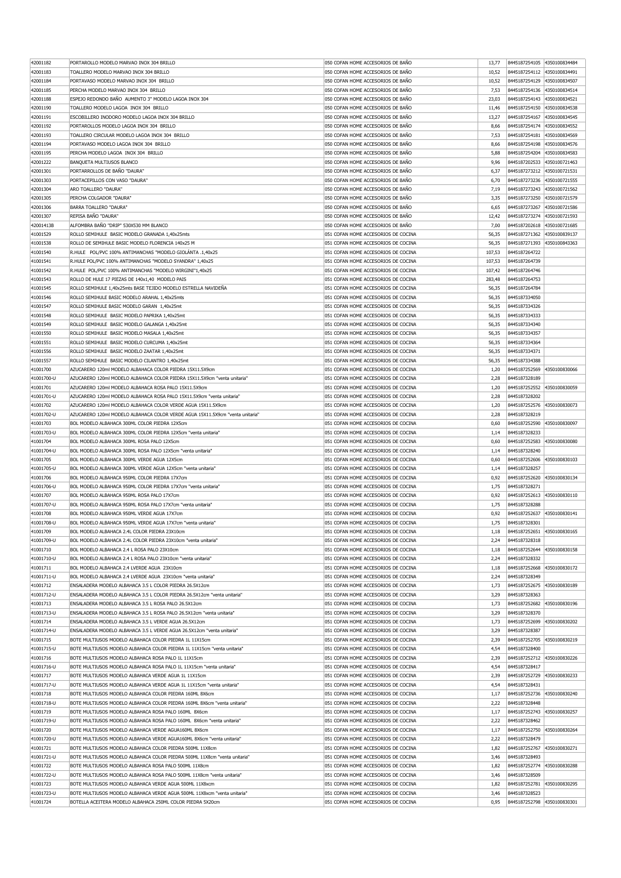| 42001182               | PORTAROLLO MODELO MARVAO INOX 304 BRILLO                                                                                               | 050 COFAN HOME ACCESORIOS DE BAÑO                                          | 13,77        | 8445187254105 4350100834484                  |               |
|------------------------|----------------------------------------------------------------------------------------------------------------------------------------|----------------------------------------------------------------------------|--------------|----------------------------------------------|---------------|
| 42001183               | TOALLERO MODELO MARVAO INOX 304 BRILLO                                                                                                 | 050 COFAN HOME ACCESORIOS DE BAÑO                                          | 10,52        | 8445187254112 4350100834491                  |               |
|                        |                                                                                                                                        |                                                                            |              |                                              |               |
| 42001184               | PORTAVASO MODELO MARVAO INOX 304 BRILLO                                                                                                | 050 COFAN HOME ACCESORIOS DE BAÑO                                          | 10,52        | 8445187254129 4350100834507                  |               |
| 42001185               | PERCHA MODELO MARVAO INOX 304 BRILLO                                                                                                   | 050 COFAN HOME ACCESORIOS DE BAÑO                                          | 7,53         | 8445187254136 4350100834514                  |               |
| 42001188               | ESPEJO REDONDO BAÑO AUMENTO 3" MODELO LAGOA INOX 304                                                                                   | 050 COFAN HOME ACCESORIOS DE BAÑO                                          | 23,03        | 8445187254143                                | 4350100834521 |
| 42001190               | TOALLERO MODELO LAGOA INOX 304 BRILLO                                                                                                  | 050 COFAN HOME ACCESORIOS DE BAÑO                                          | 11,46        | 8445187254150                                | 4350100834538 |
| 42001191               | ESCOBILLERO INODORO MODELO LAGOA INOX 304 BRILLO                                                                                       | 050 COFAN HOME ACCESORIOS DE BAÑO                                          | 13,27        | 8445187254167                                | 4350100834545 |
|                        | PORTAROLLOS MODELO LAGOA INOX 304 BRILLO                                                                                               |                                                                            |              | 8445187254174                                |               |
| 42001192               |                                                                                                                                        | 050 COFAN HOME ACCESORIOS DE BAÑO                                          | 8,66         |                                              | 4350100834552 |
| 42001193               | TOALLERO CIRCULAR MODELO LAGOA INOX 304 BRILLO                                                                                         | 050 COFAN HOME ACCESORIOS DE BAÑO                                          | 7,53         | 8445187254181                                | 4350100834569 |
| 42001194               | PORTAVASO MODELO LAGOA INOX 304 BRILLO                                                                                                 | 050 COFAN HOME ACCESORIOS DE BAÑO                                          | 8,66         | 8445187254198 4350100834576                  |               |
| 42001195               | PERCHA MODELO LAGOA INOX 304 BRILLO                                                                                                    | 050 COFAN HOME ACCESORIOS DE BAÑO                                          | 5,88         | 8445187254204 4350100834583                  |               |
| 42001222               | BANQUETA MULTIUSOS BLANCO                                                                                                              | 050 COFAN HOME ACCESORIOS DE BAÑO                                          | 9,96         | 8445187202533 4350100721463                  |               |
| 42001301               | PORTARROLLOS DE BAÑO "DAURA"                                                                                                           | 050 COFAN HOME ACCESORIOS DE BANO                                          | 6,37         | 8445187273212                                | 4350100721531 |
| 42001303               | PORTACEPILLOS CON VASO "DAURA"                                                                                                         | 050 COFAN HOME ACCESORIOS DE BAÑO                                          | 6,70         | 8445187273236                                | 4350100721555 |
|                        |                                                                                                                                        |                                                                            |              |                                              |               |
| 42001304               | ARO TOALLERO "DAURA"                                                                                                                   | 050 COFAN HOME ACCESORIOS DE BAÑO                                          | 7,19         | 8445187273243                                | 4350100721562 |
| 42001305               | PERCHA COLGADOR "DAURA"                                                                                                                | 050 COFAN HOME ACCESORIOS DE BAÑO                                          | 3,35         | 8445187273250                                | 4350100721579 |
| 42001306               | <b>BARRA TOALLERO "DAURA"</b>                                                                                                          | 050 COFAN HOME ACCESORIOS DE BAÑO                                          | 6,65         | 8445187273267                                | 4350100721586 |
| 42001307               | REPISA BAÑO "DAURA"                                                                                                                    | 050 COFAN HOME ACCESORIOS DE BAÑO                                          | 12,42        | 8445187273274 4350100721593                  |               |
| 42001413B              | ALFOMBRA BAÑO "DRIP" 530X530 MM BLANCO                                                                                                 | 050 COFAN HOME ACCESORIOS DE BAÑO                                          | 7,00         | 8445187202618 4350100721685                  |               |
| 41001529               | ROLLO SEMIHULE BASIC MODELO GRANADA 1,40x25mts                                                                                         | 051 COFAN HOME ACCESORIOS DE COCINA                                        | 56,35        | 8445187271362                                | 4350100839137 |
|                        |                                                                                                                                        |                                                                            |              |                                              |               |
| 41001538               | ROLLO DE SEMIHULE BASIC MODELO FLORENCIA 140x25 M                                                                                      | 051 COFAN HOME ACCESORIOS DE COCINA                                        | 56,35        | 8445187271393                                | 4350100843363 |
| 41001540               | R.HULE POL/PVC 100% ANTIMANCHAS "MODELO GIOLÁNTA .1,40x25                                                                              | 051 COFAN HOME ACCESORIOS DE COCINA                                        | 107,53       | 8445187264722                                |               |
| 41001541               | R.HULE POL/PVC 100% ANTIMANCHAS "MODELO SYANDRA" 1,40x25                                                                               | 051 COFAN HOME ACCESORIOS DE COCINA                                        | 107,53       | 8445187264739                                |               |
| 41001542               | R.HULE POL/PVC 100% ANTIMANCHAS "MODELO WIRGINI"1,40x25                                                                                | 051 COFAN HOME ACCESORIOS DE COCINA                                        | 107,42       | 8445187264746                                |               |
| 41001543               | ROLLO DE HULE 17 PIEZAS DE 140x1,40 MODELO PAIS                                                                                        | 051 COFAN HOME ACCESORIOS DE COCINA                                        | 283,48       | 8445187264753                                |               |
| 41001545               | ROLLO SEMIHULE 1,40x25mts BASE TEJIDO MODELO ESTRELLA NAVIDEÑA                                                                         | 051 COFAN HOME ACCESORIOS DE COCINA                                        |              | 8445187264784                                |               |
|                        |                                                                                                                                        |                                                                            | 56,35        |                                              |               |
| 41001546               | ROLLO SEMIHULE BASIC MODELO ARAHAL 1,40x25mts                                                                                          | 051 COFAN HOME ACCESORIOS DE COCINA                                        | 56,35        | 8445187334050                                |               |
| 41001547               | ROLLO SEMIHULE BASIC MODELO GARAN 1,40x25mt                                                                                            | 051 COFAN HOME ACCESORIOS DE COCINA                                        | 56,35        | 8445187334326                                |               |
| 41001548               | ROLLO SEMIHULE BASIC MODELO PAPRIKA 1,40x25mt                                                                                          | 051 COFAN HOME ACCESORIOS DE COCINA                                        | 56,35        | 8445187334333                                |               |
| 41001549               | ROLLO SEMIHULE BASIC MODELO GALANGA 1,40x25mt                                                                                          | 051 COFAN HOME ACCESORIOS DE COCINA                                        | 56,35        | 8445187334340                                |               |
| 41001550               | ROLLO SEMIHULE BASIC MODELO MASALA 1,40x25mt                                                                                           | 051 COFAN HOME ACCESORIOS DE COCINA                                        | 56,35        | 8445187334357                                |               |
|                        | ROLLO SEMIHULE BASIC MODELO CURCUMA 1.40x25mt                                                                                          | 051 COFAN HOME ACCESORIOS DE COCINA                                        |              | 8445187334364                                |               |
| 41001551               |                                                                                                                                        |                                                                            | 56,35        |                                              |               |
| 41001556               | ROLLO SEMIHULE BASIC MODELO ZAATAR 1,40x25mt                                                                                           | 051 COFAN HOME ACCESORIOS DE COCINA                                        | 56,35        | 8445187334371                                |               |
| 41001557               | ROLLO SEMIHULE BASIC MODELO CILANTRO 1,40x25mt                                                                                         | 051 COFAN HOME ACCESORIOS DE COCINA                                        | 56,35        | 8445187334388                                |               |
| 41001700               | AZUCARERO 120ml MODELO ALBAHACA COLOR PIEDRA 15X11.5X9cm                                                                               | 051 COFAN HOME ACCESORIOS DE COCINA                                        | 1,20         | 8445187252569 4350100830066                  |               |
| 41001700-U             | AZUCARERO 120ml MODELO ALBAHACA COLOR PIEDRA 15X11.5X9cm "venta unitaria"                                                              | 051 COFAN HOME ACCESORIOS DE COCINA                                        | 2,28         | 8445187328189                                |               |
| 41001701               | AZUCARERO 120ml MODELO ALBAHACA ROSA PALO 15X11.5X9cm                                                                                  | 051 COFAN HOME ACCESORIOS DE COCINA                                        | 1,20         | 8445187252552 4350100830059                  |               |
|                        |                                                                                                                                        |                                                                            |              |                                              |               |
| 41001701-U             | AZUCARERO 120ml MODELO ALBAHACA ROSA PALO 15X11.5X9cm "venta unitaria"                                                                 | 051 COFAN HOME ACCESORIOS DE COCINA                                        | 2,28         | 8445187328202                                |               |
| 41001702               | AZUCARERO 120ml MODELO ALBAHACA COLOR VERDE AGUA 15X11.5X9cm                                                                           | 051 COFAN HOME ACCESORIOS DE COCINA                                        | 1,20         | 8445187252576 4350100830073                  |               |
| 41001702-U             | AZUCARERO 120ml MODELO ALBAHACA COLOR VERDE AGUA 15X11.5X9cm "venta unitaria"                                                          | 051 COFAN HOME ACCESORIOS DE COCINA                                        | 2,28         | 8445187328219                                |               |
| 41001703               | BOL MODELO ALBAHACA 300ML COLOR PIEDRA 12X5cm                                                                                          | 051 COFAN HOME ACCESORIOS DE COCINA                                        | 0,60         | 8445187252590                                | 4350100830097 |
|                        |                                                                                                                                        |                                                                            |              |                                              |               |
|                        |                                                                                                                                        |                                                                            |              |                                              |               |
| 41001703-U             | BOL MODELO ALBAHACA 300ML COLOR PIEDRA 12X5cm "venta unitaria"                                                                         | 051 COFAN HOME ACCESORIOS DE COCINA                                        | 1,14         | 8445187328233                                |               |
| 41001704               | BOL MODELO ALBAHACA 300ML ROSA PALO 12X5cm                                                                                             | 051 COFAN HOME ACCESORIOS DE COCINA                                        | 0,60         | 8445187252583                                | 4350100830080 |
| 41001704-U             | BOL MODELO ALBAHACA 300ML ROSA PALO 12X5cm "venta unitaria"                                                                            | 051 COFAN HOME ACCESORIOS DE COCINA                                        | 1,14         | 8445187328240                                |               |
| 41001705               | BOL MODELO ALBAHACA 300ML VERDE AGUA 12X5cm                                                                                            | 051 COFAN HOME ACCESORIOS DE COCINA                                        | 0.60         | 8445187252606                                | 4350100830103 |
| 41001705-U             | BOL MODELO ALBAHACA 300ML VERDE AGUA 12X5cm "venta unitaria"                                                                           | 051 COFAN HOME ACCESORIOS DE COCINA                                        | 1,14         | 8445187328257                                |               |
| 41001706               | BOL MODELO ALBAHACA 950ML COLOR PIEDRA 17X7cm                                                                                          | 051 COFAN HOME ACCESORIOS DE COCINA                                        | 0,92         | 8445187252620                                | 4350100830134 |
|                        |                                                                                                                                        |                                                                            |              |                                              |               |
| 41001706-U             | BOL MODELO ALBAHACA 950ML COLOR PIEDRA 17X7cm "venta unitaria"                                                                         | 051 COFAN HOME ACCESORIOS DE COCINA                                        | 1,75         | 8445187328271                                |               |
| 41001707               | BOL MODELO ALBAHACA 950ML ROSA PALO 17X7cm                                                                                             | 051 COFAN HOME ACCESORIOS DE COCINA                                        | 0,92         | 8445187252613                                | 4350100830110 |
| 41001707-U             | BOL MODELO ALBAHACA 950ML ROSA PALO 17X7cm "venta unitaria"                                                                            | 051 COFAN HOME ACCESORIOS DE COCINA                                        | 1,75         | 8445187328288                                |               |
| 41001708               | BOL MODELO ALBAHACA 950ML VERDE AGUA 17X7cm                                                                                            | 051 COFAN HOME ACCESORIOS DE COCINA                                        | 0,92         | 8445187252637 4350100830141                  |               |
| 41001708-U             | BOL MODELO ALBAHACA 950ML VERDE AGUA 17X7cm "venta unitaria"                                                                           | 051 COFAN HOME ACCESORIOS DE COCINA                                        | 1,75         | 8445187328301                                |               |
| 41001709               | BOL MODELO ALBAHACA 2.4L COLOR PIEDRA 23X10cm                                                                                          | 051 COFAN HOME ACCESORIOS DE COCINA                                        | 1,18         | 8445187252651 4350100830165                  |               |
|                        |                                                                                                                                        |                                                                            | 2,24         |                                              |               |
| 41001709-U             | BOL MODELO ALBAHACA 2.4L COLOR PIEDRA 23X10cm "venta unitaria"                                                                         | 051 COFAN HOME ACCESORIOS DE COCINA                                        |              | 8445187328318                                |               |
| 41001710               | BOL MODELO ALBAHACA 2.4 L ROSA PALO 23X10cm                                                                                            | 051 COFAN HOME ACCESORIOS DE COCINA                                        | 1,18         | 8445187252644                                | 4350100830158 |
| 41001710-U             | BOL MODELO ALBAHACA 2.4 L ROSA PALO 23X10cm "venta unitaria"                                                                           | 051 COFAN HOME ACCESORIOS DE COCINA                                        | 2,24         | 8445187328332                                |               |
| 41001711               | BOL MODELO ALBAHACA 2.4 LVERDE AGUA 23X10cm                                                                                            | 051 COFAN HOME ACCESORIOS DE COCINA                                        | 1,18         | 8445187252668                                | 4350100830172 |
| 41001711-U             | BOL MODELO ALBAHACA 2.4 LVERDE AGUA 23X10cm "venta unitaria"                                                                           | 051 COFAN HOME ACCESORIOS DE COCINA                                        | 2,24         | 8445187328349                                |               |
| 41001712               | ENSALADERA MODELO ALBAHACA 3.5 L COLOR PIEDRA 26.5X12cm                                                                                | 051 COFAN HOME ACCESORIOS DE COCINA                                        | 1,73         | 8445187252675                                | 4350100830189 |
| 41001712-U             | ENSALADERA MODELO ALBAHACA 3.5 L COLOR PIEDRA 26.5X12cm "venta unitaria"                                                               | 051 COFAN HOME ACCESORIOS DE COCINA                                        | 3,29         | 8445187328363                                |               |
|                        |                                                                                                                                        |                                                                            |              |                                              |               |
| 41001713               | ENSALADERA MODELO ALBAHACA 3.5 L ROSA PALO 26.5X12cm                                                                                   | 051 COFAN HOME ACCESORIOS DE COCINA                                        | 1,73         | 8445187252682                                | 4350100830196 |
| 41001713-U             | ENSALADERA MODELO ALBAHACA 3.5 L ROSA PALO 26.5X12cm "venta unitaria"                                                                  | 051 COFAN HOME ACCESORIOS DE COCINA                                        | 3,29         | 8445187328370                                |               |
| 41001714               | ENSALADERA MODELO ALBAHACA 3.5 L VERDE AGUA 26.5X12cm                                                                                  | 051 COFAN HOME ACCESORIOS DE COCINA                                        | 1,73         | 8445187252699                                | 4350100830202 |
| 41001714-U             | ENSALADERA MODELO ALBAHACA 3.5 L VERDE AGUA 26.5X12cm "venta unitaria"                                                                 | 051 COFAN HOME ACCESORIOS DE COCINA                                        | 3,29         | 8445187328387                                |               |
| 41001715               | BOTE MULTIUSOS MODELO ALBAHACA COLOR PIEDRA 1L 11X15cm                                                                                 | 051 COFAN HOME ACCESORIOS DE COCINA                                        | 2,39         | 8445187252705                                | 4350100830219 |
| 41001715-U             | BOTE MULTIUSOS MODELO ALBAHACA COLOR PIEDRA 1L 11X15cm "venta unitaria"                                                                | 051 COFAN HOME ACCESORIOS DE COCINA                                        | 4,54         | 8445187328400                                |               |
|                        |                                                                                                                                        |                                                                            |              |                                              |               |
| 41001716               | BOTE MULTIUSOS MODELO ALBAHACA ROSA PALO 1L 11X15cm                                                                                    | 051 COFAN HOME ACCESORIOS DE COCINA                                        | 2,39         | 8445187252712                                | 4350100830226 |
| 41001716-U             | BOTE MULTIUSOS MODELO ALBAHACA ROSA PALO 1L 11X15cm "venta unitaria"                                                                   | 051 COFAN HOME ACCESORIOS DE COCINA                                        | 4,54         | 8445187328417                                |               |
| 41001717               | BOTE MULTIUSOS MODELO ALBAHACA VERDE AGUA 1L 11X15cm                                                                                   | 051 COFAN HOME ACCESORIOS DE COCINA                                        | 2,39         | 8445187252729 4350100830233                  |               |
| 41001717-U             | BOTE MULTIUSOS MODELO ALBAHACA VERDE AGUA 1L 11X15cm "venta unitaria"                                                                  | 051 COFAN HOME ACCESORIOS DE COCINA                                        | 4,54         | 8445187328431                                |               |
| 41001718               | BOTE MULTIUSOS MODELO ALBAHACA COLOR PIEDRA 160ML 8X6cm                                                                                | 051 COFAN HOME ACCESORIOS DE COCINA                                        | 1,17         | 8445187252736 4350100830240                  |               |
| 41001718-U             | BOTE MULTIUSOS MODELO ALBAHACA COLOR PIEDRA 160ML 8X6cm "venta unitaria"                                                               | 051 COFAN HOME ACCESORIOS DE COCINA                                        | 2,22         | 8445187328448                                |               |
|                        |                                                                                                                                        |                                                                            |              |                                              |               |
| 41001719               | BOTE MULTIUSOS MODELO ALBAHACA ROSA PALO 160ML 8X6cm                                                                                   | 051 COFAN HOME ACCESORIOS DE COCINA                                        | 1,17         | 8445187252743                                | 4350100830257 |
| 41001719-U             | BOTE MULTIUSOS MODELO ALBAHACA ROSA PALO 160ML 8X6cm "venta unitaria"                                                                  | 051 COFAN HOME ACCESORIOS DE COCINA                                        | 2,22         | 8445187328462                                |               |
| 41001720               | BOTE MULTIUSOS MODELO ALBAHACA VERDE AGUA160ML 8X6cm                                                                                   | 051 COFAN HOME ACCESORIOS DE COCINA                                        | 1,17         | 8445187252750                                | 4350100830264 |
| 41001720-U             | BOTE MULTIUSOS MODELO ALBAHACA VERDE AGUA160ML 8X6cm "venta unitaria"                                                                  | 051 COFAN HOME ACCESORIOS DE COCINA                                        | 2,22         | 8445187328479                                |               |
| 41001721               | BOTE MULTIUSOS MODELO ALBAHACA COLOR PIEDRA 500ML 11X8cm                                                                               | 051 COFAN HOME ACCESORIOS DE COCINA                                        | 1,82         | 8445187252767                                | 4350100830271 |
| 41001721-U             | BOTE MULTIUSOS MODELO ALBAHACA COLOR PIEDRA 500ML 11X8cm "venta unitaria"                                                              | 051 COFAN HOME ACCESORIOS DE COCINA                                        | 3,46         | 8445187328493                                |               |
| 41001722               | BOTE MULTIUSOS MODELO ALBAHACA ROSA PALO 500ML 11X8cm                                                                                  | 051 COFAN HOME ACCESORIOS DE COCINA                                        | 1,82         | 8445187252774                                | 4350100830288 |
|                        |                                                                                                                                        |                                                                            |              |                                              |               |
| 41001722-U             | BOTE MULTIUSOS MODELO ALBAHACA ROSA PALO 500ML 11X8cm "venta unitaria"                                                                 | 051 COFAN HOME ACCESORIOS DE COCINA                                        | 3,46         | 8445187328509                                |               |
| 41001723               | BOTE MULTIUSOS MODELO ALBAHACA VERDE AGUA 500ML 11X8xcm                                                                                | 051 COFAN HOME ACCESORIOS DE COCINA                                        | 1,82         | 8445187252781                                | 4350100830295 |
| 41001723-U<br>41001724 | BOTE MULTIUSOS MODELO ALBAHACA VERDE AGUA 500ML 11X8xcm "venta unitaria"<br>BOTELLA ACEITERA MODELO ALBAHACA 250ML COLOR PIEDRA 5X20cm | 051 COFAN HOME ACCESORIOS DE COCINA<br>051 COFAN HOME ACCESORIOS DE COCINA | 3,46<br>0,95 | 8445187328523<br>8445187252798 4350100830301 |               |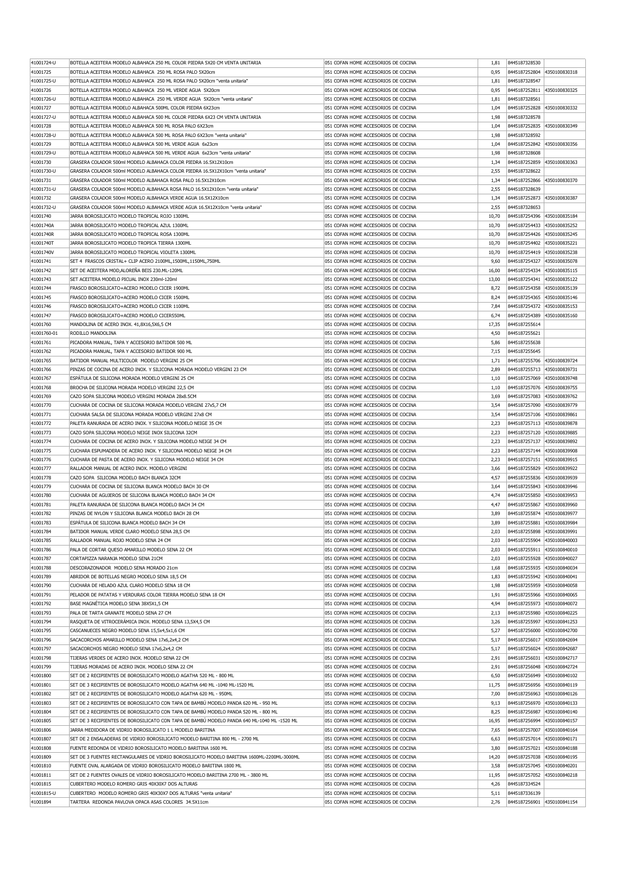| 41001724-U             | BOTELLA ACEITERA MODELO ALBAHACA 250 ML COLOR PIEDRA 5X20 CM VENTA UNITARIA                                               | 051 COFAN HOME ACCESORIOS DE COCINA                                        | 1.81         | 8445187328530                                |                             |
|------------------------|---------------------------------------------------------------------------------------------------------------------------|----------------------------------------------------------------------------|--------------|----------------------------------------------|-----------------------------|
| 41001725               | BOTELLA ACEITERA MODELO ALBAHACA 250 ML ROSA PALO 5X20cm                                                                  | 051 COFAN HOME ACCESORIOS DE COCINA                                        | 0.95         | 8445187252804                                | 4350100830318               |
| 41001725-U             | BOTELLA ACEITERA MODELO ALBAHACA 250 ML ROSA PALO 5X20cm "venta unitaria"                                                 | 051 COFAN HOME ACCESORIOS DE COCINA                                        | 1,81         | 8445187328547                                |                             |
| 41001726               | BOTELLA ACEITERA MODELO ALBAHACA 250 ML VERDE AGUA 5X20cm                                                                 | 051 COFAN HOME ACCESORIOS DE COCINA                                        | 0,95         | 8445187252811                                | 4350100830325               |
|                        |                                                                                                                           |                                                                            |              |                                              |                             |
| 41001726-U             | BOTELLA ACEITERA MODELO ALBAHACA 250 ML VERDE AGUA 5X20cm "venta unitaria"                                                | 051 COFAN HOME ACCESORIOS DE COCINA                                        | 1,81         | 8445187328561                                |                             |
| 41001727               | BOTELLA ACEITERA MODELO ALBAHACA 500ML COLOR PIEDRA 6X23cm                                                                | 051 COFAN HOME ACCESORIOS DE COCINA                                        | 1,04         | 8445187252828 4350100830332                  |                             |
| 41001727-U             | BOTELLA ACEITERA MODELO ALBAHACA 500 ML COLOR PIEDRA 6X23 CM VENTA UNITARIA                                               | 051 COFAN HOME ACCESORIOS DE COCINA                                        | 1,98         | 8445187328578                                |                             |
| 41001728               | BOTELLA ACEITERA MODELO ALBAHACA 500 ML ROSA PALO 6X23cm                                                                  | 051 COFAN HOME ACCESORIOS DE COCINA                                        | 1,04         | 8445187252835                                | 4350100830349               |
| 41001728-U             | BOTELLA ACEITERA MODELO ALBAHACA 500 ML ROSA PALO 6X23cm "venta unitaria"                                                 | 051 COFAN HOME ACCESORIOS DE COCINA                                        | 1,98         | 8445187328592                                |                             |
| 41001729               | BOTELLA ACEITERA MODELO ALBAHACA 500 ML VERDE AGUA 6x23cm                                                                 | 051 COFAN HOME ACCESORIOS DE COCINA                                        | 1,04         | 8445187252842                                | 4350100830356               |
| 41001729-U             | BOTELLA ACEITERA MODELO ALBAHACA 500 ML VERDE AGUA 6x23cm "venta unitaria"                                                | 051 COFAN HOME ACCESORIOS DE COCINA                                        | 1,98         | 8445187328608                                |                             |
| 41001730               | GRASERA COLADOR 500ml MODELO ALBAHACA COLOR PIEDRA 16.5X12X10cm                                                           | 051 COFAN HOME ACCESORIOS DE COCINA                                        | 1,34         | 8445187252859                                | 4350100830363               |
| 41001730-U             | GRASERA COLADOR 500ml MODELO ALBAHACA COLOR PIEDRA 16.5X12X10cm "venta unitaria"                                          | 051 COFAN HOME ACCESORIOS DE COCINA                                        | 2,55         | 8445187328622                                |                             |
| 41001731               | GRASERA COLADOR 500ml MODELO ALBAHACA ROSA PALO 16.5X12X10cm                                                              | 051 COFAN HOME ACCESORIOS DE COCINA                                        | 1,34         | 8445187252866                                | 4350100830370               |
|                        |                                                                                                                           | 051 COFAN HOME ACCESORIOS DE COCINA                                        |              | 8445187328639                                |                             |
| 41001731-U             | GRASERA COLADOR 500ml MODELO ALBAHACA ROSA PALO 16.5X12X10cm "venta unitaria"                                             |                                                                            | 2,55         |                                              |                             |
| 41001732               | GRASERA COLADOR 500ml MODELO ALBAHACA VERDE AGUA 16.5X12X10cm                                                             | 051 COFAN HOME ACCESORIOS DE COCINA                                        | 1,34         | 8445187252873                                | 4350100830387               |
| 41001732-U             | GRASERA COLADOR 500ml MODELO ALBAHACA VERDE AGUA 16.5X12X10cm "venta unitaria"                                            | 051 COFAN HOME ACCESORIOS DE COCINA                                        | 2,55         | 8445187328653                                |                             |
| 41001740               | JARRA BOROSILICATO MODELO TROPICAL ROJO 1300ML                                                                            | 051 COFAN HOME ACCESORIOS DE COCINA                                        | 10,70        | 8445187254396                                | 4350100835184               |
| 41001740A              | JARRA BOROSILICATO MODELO TROPICAL AZUL 1300ML                                                                            | 051 COFAN HOME ACCESORIOS DE COCINA                                        | 10,70        | 8445187254433                                | 4350100835252               |
| 41001740R              | JARRA BOROSILICATO MODELO TROPICAL ROSA 1300ML                                                                            | 051 COFAN HOME ACCESORIOS DE COCINA                                        | 10,70        | 8445187254426                                | 4350100835245               |
| 41001740T              | JARRA BOROSILICATO MODELO TROPICA TIERRA 1300ML                                                                           | 051 COFAN HOME ACCESORIOS DE COCINA                                        | 10,70        | 8445187254402                                | 4350100835221               |
| 41001740V              | JARRA BOROSILICATO MODELO TROPICAL VIOLETA 1300ML                                                                         | 051 COFAN HOME ACCESORIOS DE COCINA                                        | 10,70        | 8445187254419                                | 4350100835238               |
| 41001741               | SET 4 FRASCOS CRISTAL+ CLIP ACERO 2100ML,1500ML,1150ML,750ML                                                              | 051 COFAN HOME ACCESORIOS DE COCINA                                        | 9.60         | 8445187254327                                | 4350100835078               |
|                        |                                                                                                                           |                                                                            |              |                                              |                             |
| 41001742               | SET DE ACEITERA MOD.ALOREÑA BEIS 230.ML-120ML                                                                             | 051 COFAN HOME ACCESORIOS DE COCINA                                        | 16,00        | 8445187254334                                | 4350100835115               |
| 41001743               | SET ACEITERA MODELO PICUAL INOX 230ml-120ml                                                                               | 051 COFAN HOME ACCESORIOS DE COCINA                                        | 13,00        | 8445187254341                                | 4350100835122               |
| 41001744               | FRASCO BOROSILICATO+ACERO MODELO CICER 1900ML                                                                             | 051 COFAN HOME ACCESORIOS DE COCINA                                        | 8,72         | 8445187254358                                | 4350100835139               |
| 41001745               | FRASCO BOROSILICATO+ACERO MODELO CICER 1500ML                                                                             | 051 COFAN HOME ACCESORIOS DE COCINA                                        | 8.24         | 8445187254365                                | 4350100835146               |
| 41001746               | FRASCO BOROSILICATO+ACERO MODELO CICER 1100ML                                                                             | 051 COFAN HOME ACCESORIOS DE COCINA                                        | 7,84         | 8445187254372                                | 4350100835153               |
| 41001747               | FRASCO BOROSILICATO+ACERO MODELO CICER550ML                                                                               | 051 COFAN HOME ACCESORIOS DE COCINA                                        | 6,74         | 8445187254389                                | 4350100835160               |
| 41001760               | MANDOLINA DE ACERO INOX. 41,8X16,5X6,5 CM                                                                                 | 051 COFAN HOME ACCESORIOS DE COCINA                                        | 17,35        | 8445187255614                                |                             |
|                        | RODILLO MANDOLINA                                                                                                         | 051 COFAN HOME ACCESORIOS DE COCINA                                        |              |                                              |                             |
| 41001760-01            |                                                                                                                           |                                                                            | 4,50         | 8445187255621                                |                             |
| 41001761               | PICADORA MANUAL, TAPA Y ACCESORIO BATIDOR 500 ML                                                                          | 051 COFAN HOME ACCESORIOS DE COCINA                                        | 5,86         | 8445187255638                                |                             |
| 41001762               | PICADORA MANUAL, TAPA Y ACCESORIO BATIDOR 900 ML                                                                          | 051 COFAN HOME ACCESORIOS DE COCINA                                        | 7,15         | 8445187255645                                |                             |
| 41001765               | BATIDOR MANUAL MULTICOLOR MODELO VERGINI 25 CM                                                                            | 051 COFAN HOME ACCESORIOS DE COCINA                                        | 1,71         |                                              | 8445187255706 4350100839724 |
| 41001766               | PINZAS DE COCINA DE ACERO INOX. Y SILICONA MORADA MODELO VERGINI 23 CM                                                    | 051 COFAN HOME ACCESORIOS DE COCINA                                        | 2,89         | 8445187255713                                | 4350100839731               |
| 41001767               | ESPATULA DE SILICONA MORADA MODELO VERGINI 25 CM                                                                          | 051 COFAN HOME ACCESORIOS DE COCINA                                        | 1,10         | 8445187257069                                | 4350100839748               |
| 41001768               | BROCHA DE SILICONA MORADA MODELO VERGINI 22,5 CM                                                                          | 051 COFAN HOME ACCESORIOS DE COCINA                                        | 1,10         | 8445187257076                                | 4350100839755               |
| 41001769               | CAZO SOPA SILICONA MODELO VERGINI MORADA 28x8.5CM                                                                         | 051 COFAN HOME ACCESORIOS DE COCINA                                        | 3,69         | 8445187257083                                | 4350100839762               |
| 41001770               | CUCHARA DE COCINA DE SILICONA MORADA MODELO VERGINI 27x5,7 CM                                                             | 051 COFAN HOME ACCESORIOS DE COCINA                                        | 3,54         | 8445187257090                                | 4350100839779               |
|                        | CUCHARA SALSA DE SILICONA MORADA MODELO VERGINI 27x8 CM                                                                   | 051 COFAN HOME ACCESORIOS DE COCINA                                        |              | 8445187257106 4350100839861                  |                             |
| 41001771               |                                                                                                                           |                                                                            | 3,54         |                                              |                             |
| 41001772               | PALETA RANURADA DE ACERO INOX. Y SILICONA MODELO NEIGE 35 CM                                                              | 051 COFAN HOME ACCESORIOS DE COCINA                                        | 2,23         | 8445187257113                                | 4350100839878               |
| 41001773               | CAZO SOPA SILICONA MODELO NEIGE INOX SILICONA 32CM                                                                        | 051 COFAN HOME ACCESORIOS DE COCINA                                        | 2,23         | 8445187257120                                | 4350100839885               |
| 41001774               | CUCHARA DE COCINA DE ACERO INOX. Y SILICONA MODELO NEIGE 34 CM                                                            | 051 COFAN HOME ACCESORIOS DE COCINA                                        | 2,23         | 8445187257137                                | 4350100839892               |
| 41001775               | CUCHARA ESPUMADERA DE ACERO INOX. Y SILICONA MODELO NEIGE 34 CM                                                           | 051 COFAN HOME ACCESORIOS DE COCINA                                        | 2,23         | 8445187257144                                | 4350100839908               |
|                        |                                                                                                                           |                                                                            |              |                                              |                             |
| 41001776               | CUCHARA DE PASTA DE ACERO INOX. Y SILICONA MODELO NEIGE 34 CM                                                             | 051 COFAN HOME ACCESORIOS DE COCINA                                        | 2,23         | 8445187257151                                | 4350100839915               |
| 41001777               | RALLADOR MANUAL DE ACERO INOX. MODELO VERGINI                                                                             | 051 COFAN HOME ACCESORIOS DE COCINA                                        | 3,66         | 8445187255829                                | 4350100839922               |
|                        |                                                                                                                           |                                                                            |              |                                              |                             |
| 41001778               | CAZO SOPA SILICONA MODELO BACH BLANCA 32CM                                                                                | 051 COFAN HOME ACCESORIOS DE COCINA                                        | 4,57         | 8445187255836                                | 4350100839939               |
| 41001779               | CUCHARA DE COCINA DE SILICONA BLANCA MODELO BACH 30 CM                                                                    | 051 COFAN HOME ACCESORIOS DE COCINA                                        | 3,64         | 8445187255843                                | 4350100839946               |
| 41001780               | CUCHARA DE AGUJEROS DE SILICONA BLANCA MODELO BACH 34 CM                                                                  | 051 COFAN HOME ACCESORIOS DE COCINA                                        | 4,74         | 8445187255850                                | 4350100839953               |
| 41001781               | PALETA RANURADA DE SILICONA BLANCA MODELO BACH 34 CM                                                                      | 051 COFAN HOME ACCESORIOS DE COCINA                                        | 4,47         | 8445187255867                                | 4350100839960               |
| 41001782               | PINZAS DE NYLON Y SILICONA BLANCA MODELO BACH 28 CM                                                                       | 051 COFAN HOME ACCESORIOS DE COCINA                                        | 3,89         | 8445187255874                                | 4350100839977               |
| 41001783               | ESPÁTULA DE SILICONA BLANCA MODELO BACH 34 CM                                                                             | 051 COFAN HOME ACCESORIOS DE COCINA                                        | 3,89         | 8445187255881                                | 4350100839984               |
| 41001784               | BATIDOR MANUAL VERDE CLARO MODELO SENA 28,5 CM                                                                            | 051 COFAN HOME ACCESORIOS DE COCINA                                        | 2,03         | 8445187255898                                | 4350100839991               |
| 41001785               | RALLADOR MANUAL ROJO MODELO SENA 24 CM                                                                                    | 051 COFAN HOME ACCESORIOS DE COCINA                                        | 2,03         | 8445187255904                                | 4350100840003               |
|                        |                                                                                                                           |                                                                            |              |                                              |                             |
| 41001786               | PALA DE CORTAR QUESO AMARILLO MODELO SENA 22 CM                                                                           | 051 COFAN HOME ACCESORIOS DE COCINA                                        | 2,03         | 8445187255911                                | 4350100840010               |
| 41001787               | CORTAPIZZA NARANJA MODELO SENA 21CM                                                                                       | 051 COFAN HOME ACCESORIOS DE COCINA                                        | 2,03         | 8445187255928                                | 4350100840027               |
| 41001788               | DESCORAZONADOR MODELO SENA MORADO 21cm                                                                                    | 051 COFAN HOME ACCESORIOS DE COCINA                                        | 1,68         | 8445187255935                                | 4350100840034               |
| 41001789               | ABRIDOR DE BOTELLAS NEGRO MODELO SENA 18.5 CM                                                                             | 051 COFAN HOME ACCESORIOS DE COCINA                                        | 1,83         | 8445187255942                                | 4350100840041               |
| 41001790               | CUCHARA DE HELADO AZUL CLARO MODELO SENA 18 CM                                                                            | 051 COFAN HOME ACCESORIOS DE COCINA                                        | 1.98         | 8445187255959                                | 4350100840058               |
| 41001791               | PELADOR DE PATATAS Y VERDURAS COLOR TIERRA MODELO SENA 18 CM                                                              | 051 COFAN HOME ACCESORIOS DE COCINA                                        | 1,91         | 8445187255966                                | 4350100840065               |
| 41001792               | BASE MAGNÉTICA MODELO SENA 38X5X1,5 CM                                                                                    | 051 COFAN HOME ACCESORIOS DE COCINA                                        | 4,94         | 8445187255973                                | 4350100840072               |
| 41001793               | PALA DE TARTA GRANATE MODELO SENA 27 CM                                                                                   | 051 COFAN HOME ACCESORIOS DE COCINA                                        | 2,13         | 8445187255980                                | 4350100840225               |
| 41001794               | RASQUETA DE VITROCERÁMICA INOX. MODELO SENA 13,5X4,5 CM                                                                   | 051 COFAN HOME ACCESORIOS DE COCINA                                        | 3,26         | 8445187255997                                | 4350100841253               |
| 41001795               | CASCANUECES NEGRO MODELO SENA 15,5x4,5x1,6 CM                                                                             | 051 COFAN HOME ACCESORIOS DE COCINA                                        | 5,27         | 8445187256000                                | 4350100842700               |
|                        |                                                                                                                           |                                                                            |              |                                              |                             |
| 41001796               | SACACORCHOS AMARILLO MODELO SENA 17x6,2x4,2 CM                                                                            | 051 COFAN HOME ACCESORIOS DE COCINA                                        | 5,17         | 8445187256017                                | 4350100842694               |
| 41001797               | SACACORCHOS NEGRO MODELO SENA 17x6,2x4,2 CM                                                                               | 051 COFAN HOME ACCESORIOS DE COCINA                                        | 5,17         | 8445187256024 4350100842687                  |                             |
| 41001798               | TIJERAS VERDES DE ACERO INOX. MODELO SENA 22 CM                                                                           | 051 COFAN HOME ACCESORIOS DE COCINA                                        | 2,91         | 8445187256031                                | 4350100842717               |
| 41001799               | TIJERAS MORADAS DE ACERO INOX. MODELO SENA 22 CM                                                                          | 051 COFAN HOME ACCESORIOS DE COCINA                                        | 2,91         | 8445187256048                                | 4350100842724               |
| 41001800               | SET DE 2 RECIPIENTES DE BOROSILICATO MODELO AGATHA 520 ML - 800 ML                                                        | 051 COFAN HOME ACCESORIOS DE COCINA                                        | 6,50         | 8445187256949                                | 4350100840102               |
| 41001801               | SET DE 3 RECIPIENTES DE BOROSILICATO MODELO AGATHA 640 ML -1040 ML-1520 ML                                                | 051 COFAN HOME ACCESORIOS DE COCINA                                        | 11,75        | 8445187256956                                | 4350100840119               |
| 41001802               | SET DE 2 RECIPIENTES DE BOROSILICATO MODELO AGATHA 620 ML - 950ML                                                         | 051 COFAN HOME ACCESORIOS DE COCINA                                        | 7,00         | 8445187256963                                | 4350100840126               |
| 41001803               | SET DE 2 RECIPIENTES DE BOROSILICATO CON TAPA DE BAMBÚ MODELO PANDA 620 ML - 950 ML                                       | 051 COFAN HOME ACCESORIOS DE COCINA                                        | 9,13         | 8445187256970                                | 4350100840133               |
| 41001804               | SET DE 2 RECIPIENTES DE BOROSILICATO CON TAPA DE BAMBÚ MODELO PANDA 520 ML - 800 ML                                       | 051 COFAN HOME ACCESORIOS DE COCINA                                        | 8,25         | 8445187256987                                | 4350100840140               |
|                        |                                                                                                                           |                                                                            |              |                                              |                             |
| 41001805               | SET DE 3 RECIPIENTES DE BOROSILICATO CON TAPA DE BAMBÚ MODELO PANDA 640 ML-1040 ML -1520 ML                               | 051 COFAN HOME ACCESORIOS DE COCINA                                        | 16,95        | 8445187256994                                | 4350100840157               |
| 41001806               | JARRA MEDIDORA DE VIDRIO BOROSILICATO 1 L MODELO BARITINA                                                                 | 051 COFAN HOME ACCESORIOS DE COCINA                                        | 7,65         | 8445187257007                                | 4350100840164               |
| 41001807               | SET DE 2 ENSALADERAS DE VIDRIO BOROSILICATO MODELO BARITINA 800 ML - 2700 ML                                              | 051 COFAN HOME ACCESORIOS DE COCINA                                        | 6,63         | 8445187257014                                | 4350100840171               |
| 41001808               | FUENTE REDONDA DE VIDRIO BOROSILICATO MODELO BARITINA 1600 ML                                                             | 051 COFAN HOME ACCESORIOS DE COCINA                                        | 3,80         | 8445187257021                                | 4350100840188               |
| 41001809               | SET DE 3 FUENTES RECTANGULARES DE VIDRIO BOROSILICATO MODELO BARITINA 1600ML-2200ML-3000ML                                | 051 COFAN HOME ACCESORIOS DE COCINA                                        | 14,20        | 8445187257038                                | 4350100840195               |
| 41001810               | FUENTE OVAL ALARGADA DE VIDRIO BOROSILICATO MODELO BARITINA 1800 ML                                                       | 051 COFAN HOME ACCESORIOS DE COCINA                                        | 3,58         | 8445187257045                                | 4350100840201               |
| 41001811               | SET DE 2 FUENTES OVALES DE VIDRIO BOROSILICATO MODELO BARITINA 2700 ML - 3800 ML                                          | 051 COFAN HOME ACCESORIOS DE COCINA                                        | 11,95        | 8445187257052                                | 4350100840218               |
| 41001815               | CUBERTERO MODELO ROMERO GRIS 40X30X7 DOS ALTURAS                                                                          | 051 COFAN HOME ACCESORIOS DE COCINA                                        | 4,26         | 8445187334524                                |                             |
|                        |                                                                                                                           |                                                                            |              |                                              |                             |
| 41001815-U<br>41001894 | CUBERTERO MODELO ROMERO GRIS 40X30X7 DOS ALTURAS "venta unitaria"<br>TARTERA REDONDA PAVLOVA OPACA ASAS COLORES 34.5X11cm | 051 COFAN HOME ACCESORIOS DE COCINA<br>051 COFAN HOME ACCESORIOS DE COCINA | 5,11<br>2,76 | 8445187336139<br>8445187256901 4350100841154 |                             |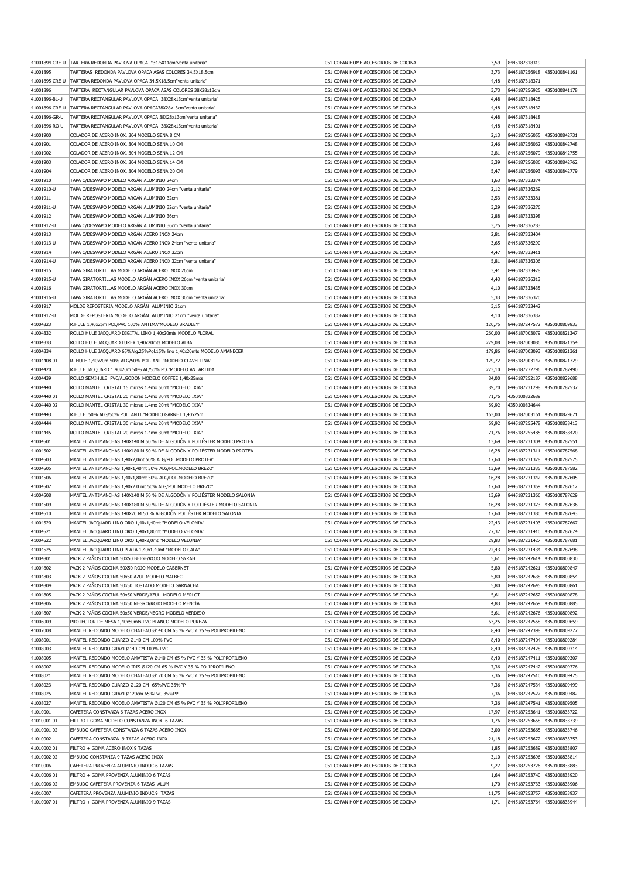| 41001894-CRE-U | TARTERA REDONDA PAVLOVA OPACA "34.5X11cm"venta unitaria'                   | 051 COFAN HOME ACCESORIOS DE COCINA | 3.59   | 8445187318319               |                             |
|----------------|----------------------------------------------------------------------------|-------------------------------------|--------|-----------------------------|-----------------------------|
| 41001895       | TARTERAS REDONDA PAVLOVA OPACA ASAS COLORES 34.5X18.5cm                    | 051 COFAN HOME ACCESORIOS DE COCINA | 3,73   | 8445187256918               | 4350100841161               |
|                | 41001895-CRE-U   TARTERA REDONDA PAVLOVA OPACA 34.5X18.5cm"venta unitaria" | 051 COFAN HOME ACCESORIOS DE COCINA | 4,48   | 8445187318371               |                             |
|                |                                                                            |                                     |        |                             |                             |
| 41001896       | TARTERA RECTANGULAR PAVLOVA OPACA ASAS COLORES 38X28x13cm                  | 051 COFAN HOME ACCESORIOS DE COCINA | 3,73   | 8445187256925 4350100841178 |                             |
| 41001896-BL-U  | TARTERA RECTANGULAR PAVLOVA OPACA 38X28x13cm"venta unitaria"               | 051 COFAN HOME ACCESORIOS DE COCINA | 4,48   | 8445187318425               |                             |
| 41001896-CRE-U | TARTERA RECTANGULAR PAVLOVA OPACA38X28x13cm"venta unitaria"                | 051 COFAN HOME ACCESORIOS DE COCINA | 4,48   | 8445187318432               |                             |
| 41001896-GR-U  | TARTERA RECTANGULAR PAVLOVA OPACA 38X28x13cm"venta unitaria"               | 051 COFAN HOME ACCESORIOS DE COCINA | 4,48   | 8445187318418               |                             |
| 41001896-RO-U  | TARTERA RECTANGULAR PAVLOVA OPACA 38X28x13cm"venta unitaria"               | 051 COFAN HOME ACCESORIOS DE COCINA | 4,48   | 8445187318401               |                             |
| 41001900       | COLADOR DE ACERO INOX. 304 MODELO SENA 8 CM                                | 051 COFAN HOME ACCESORIOS DE COCINA | 2,13   | 8445187256055               | 4350100842731               |
| 41001901       | COLADOR DE ACERO INOX. 304 MODELO SENA 10 CM                               | 051 COFAN HOME ACCESORIOS DE COCINA | 2,46   | 8445187256062               | 4350100842748               |
|                |                                                                            |                                     |        |                             |                             |
| 41001902       | COLADOR DE ACERO INOX. 304 MODELO SENA 12 CM                               | 051 COFAN HOME ACCESORIOS DE COCINA | 2,81   | 8445187256079               | 4350100842755               |
| 41001903       | COLADOR DE ACERO INOX. 304 MODELO SENA 14 CM                               | 051 COFAN HOME ACCESORIOS DE COCINA | 3,39   | 8445187256086               | 4350100842762               |
| 41001904       | COLADOR DE ACERO INOX. 304 MODELO SENA 20 CM                               | 051 COFAN HOME ACCESORIOS DE COCINA | 5,47   | 8445187256093               | 4350100842779               |
| 41001910       | TAPA C/DESVAPO MODELO ARGÁN ALUMINIO 24cm                                  | 051 COFAN HOME ACCESORIOS DE COCINA | 1,63   | 8445187333374               |                             |
| 41001910-U     | TAPA C/DESVAPO MODELO ARGAN ALUMINIO 24cm "venta unitaria"                 | 051 COFAN HOME ACCESORIOS DE COCINA | 2,12   | 8445187336269               |                             |
| 41001911       | TAPA C/DESVAPO MODELO ARGÁN ALUMINIO 32cm                                  | 051 COFAN HOME ACCESORIOS DE COCINA | 2,53   | 8445187333381               |                             |
|                | TAPA C/DESVAPO MODELO ARGÁN ALUMINIO 32cm "venta unitaria"                 |                                     |        |                             |                             |
| 41001911-U     |                                                                            | 051 COFAN HOME ACCESORIOS DE COCINA | 3,29   | 8445187336276               |                             |
| 41001912       | TAPA C/DESVAPO MODELO ARGÁN ALUMINIO 36cm                                  | 051 COFAN HOME ACCESORIOS DE COCINA | 2,88   | 8445187333398               |                             |
| 41001912-U     | TAPA C/DESVAPO MODELO ARGAN ALUMINIO 36cm "venta unitaria"                 | 051 COFAN HOME ACCESORIOS DE COCINA | 3,75   | 8445187336283               |                             |
| 41001913       | TAPA C/DESVAPO MODELO ARGÁN ACERO INOX 24cm                                | 051 COFAN HOME ACCESORIOS DE COCINA | 2,81   | 8445187333404               |                             |
| 41001913-U     | TAPA C/DESVAPO MODELO ARGÁN ACERO INOX 24cm "venta unitaria"               | 051 COFAN HOME ACCESORIOS DE COCINA | 3,65   | 8445187336290               |                             |
| 41001914       | TAPA C/DESVAPO MODELO ARGÁN ACERO INOX 32cm                                | 051 COFAN HOME ACCESORIOS DE COCINA | 4,47   | 8445187333411               |                             |
| 41001914-U     | TAPA C/DESVAPO MODELO ARGAN ACERO INOX 32cm "venta unitaria"               | 051 COFAN HOME ACCESORIOS DE COCINA | 5,81   | 8445187336306               |                             |
|                |                                                                            |                                     |        |                             |                             |
| 41001915       | TAPA GIRATORTILLAS MODELO ARGÁN ACERO INOX 26cm                            | 051 COFAN HOME ACCESORIOS DE COCINA | 3,41   | 8445187333428               |                             |
| 41001915-U     | TAPA GIRATORTILLAS MODELO ARGÁN ACERO INOX 26cm "venta unitaria"           | 051 COFAN HOME ACCESORIOS DE COCINA | 4,43   | 8445187336313               |                             |
| 41001916       | TAPA GIRATORTILLAS MODELO ARGÁN ACERO INOX 30cm                            | 051 COFAN HOME ACCESORIOS DE COCINA | 4,10   | 8445187333435               |                             |
| 41001916-U     | TAPA GIRATORTILLAS MODELO ARGÁN ACERO INOX 30cm "venta unitaria"           | 051 COFAN HOME ACCESORIOS DE COCINA | 5,33   | 8445187336320               |                             |
| 41001917       | MOLDE REPOSTERIA MODELO ARGÁN ALUMINIO 21cm                                | 051 COFAN HOME ACCESORIOS DE COCINA | 3,15   | 8445187333442               |                             |
| 41001917-U     | MOLDE REPOSTERIA MODELO ARGÁN ALUMINIO 21cm "venta unitaria"               | 051 COFAN HOME ACCESORIOS DE COCINA | 4,10   | 8445187336337               |                             |
| 41004323       | R.HULE 1,40x25m POL/PVC 100% ANTIMA"MODELO BRADLEY"                        | 051 COFAN HOME ACCESORIOS DE COCINA | 120,75 | 8445187247572 4350100809833 |                             |
|                |                                                                            |                                     |        |                             |                             |
| 41004332       | ROLLO HULE JACQUARD DIGITAL LINO 1,40x20mts MODELO FLORAL                  | 051 COFAN HOME ACCESORIOS DE COCINA | 260,00 | 8445187003079 4350100821347 |                             |
| 41004333       | ROLLO HULE JACQUARD LUREX 1,40x20mts MODELO ALBA                           | 051 COFAN HOME ACCESORIOS DE COCINA | 229,08 | 8445187003086               | 4350100821354               |
| 41004334       | ROLLO HULE JACQUARD 65%Alg.25%Pol.15% lino 1,40x20mts MODELO AMANECER      | 051 COFAN HOME ACCESORIOS DE COCINA | 179,86 | 8445187003093               | 4350100821361               |
| 41004408.01    | R. HULE 1,40x20m 50% ALG/50% POL. ANT."MODELO CLAVELLINA"                  | 051 COFAN HOME ACCESORIOS DE COCINA | 129,72 | 8445187003147               | 4350100821729               |
| 41004420       | R.HULE JACQUARD 1,40x20m 50% AL/50% PO."MODELO ANTARTIDA                   | 051 COFAN HOME ACCESORIOS DE COCINA | 223,10 | 8445187272796               | 4350100787490               |
| 41004439       | ROLLO SEMIHULE PVC/ALGODON MODELO COFFEE 1,40x25mts                        | 051 COFAN HOME ACCESORIOS DE COCINA | 84,00  | 8445187252187               | 4350100829688               |
|                |                                                                            |                                     |        |                             |                             |
| 41004440       | ROLLO MANTEL CRISTAL 15 micras 1.4mx 50mt "MODELO IXIA"                    | 051 COFAN HOME ACCESORIOS DE COCINA | 89,70  | 8445187231298               | 4350100787537               |
| 41004440.01    | ROLLO MANTEL CRISTAL 20 micras 1.4mx 30mt "MODELO IXIA"                    | 051 COFAN HOME ACCESORIOS DE COCINA | 71,76  | 4350100822689               |                             |
| 41004440.02    | ROLLO MANTEL CRISTAL 30 micras 1.4mx 20mt "MODELO IXIA"                    | 051 COFAN HOME ACCESORIOS DE COCINA | 69,92  | 4350100834644               |                             |
| 41004443       | R.HULE 50% ALG/50% POL. ANTI."MODELO GARNET 1,40x25m                       | 051 COFAN HOME ACCESORIOS DE COCINA | 163,00 |                             | 8445187003161 4350100829671 |
| 41004444       | ROLLO MANTEL CRISTAL 30 micras 1.4mx 20mt "MODELO IXIA"                    | 051 COFAN HOME ACCESORIOS DE COCINA | 69,92  | 8445187255478               | 4350100838413               |
| 41004445       | ROLLO MANTEL CRISTAL 20 micras 1.4mx 30mt "MODELO IXIA"                    | 051 COFAN HOME ACCESORIOS DE COCINA | 71,76  | 8445187255485               | 4350100838420               |
| 41004501       | MANTEL ANTIMANCHAS 140X140 M 50 % DE ALGODÓN Y POLIÉSTER MODELO PROTEA     | 051 COFAN HOME ACCESORIOS DE COCINA | 13,69  | 8445187231304               | 4350100787551               |
|                |                                                                            |                                     |        |                             |                             |
| 41004502       | MANTEL ANTIMANCHAS 140X180 M 50 % DE ALGODÓN Y POLIÉSTER MODELO PROTEA     | 051 COFAN HOME ACCESORIOS DE COCINA | 16,28  | 8445187231311               | 4350100787568               |
| 41004503       | MANTEL ANTIMANCHAS 1,40x2,0mt 50% ALG/POL.MODELO PROTEA"                   | 051 COFAN HOME ACCESORIOS DE COCINA | 17,60  | 8445187231328               | 4350100787575               |
| 41004505       | MANTEL ANTIMANCHAS 1,40x1,40mt 50% ALG/POL.MODELO BREZO"                   | 051 COFAN HOME ACCESORIOS DE COCINA | 13,69  | 8445187231335 4350100787582 |                             |
| 41004506       | MANTEL ANTIMANCHAS 1,40x1,80mt 50% ALG/POL.MODELO BREZO"                   | 051 COFAN HOME ACCESORIOS DE COCINA | 16,28  | 8445187231342 4350100787605 |                             |
| 41004507       | MANTEL ANTIMANCHAS 1,40x2.0 mt 50% ALG/POL.MODELO BREZO"                   | 051 COFAN HOME ACCESORIOS DE COCINA | 17,60  | 8445187231359               | 4350100787612               |
| 41004508       | MANTEL ANTIMANCHAS 140X140 M 50 % DE ALGODÓN Y POLIÉSTER MODELO SALONIA    | 051 COFAN HOME ACCESORIOS DE COCINA | 13,69  | 8445187231366               | 4350100787629               |
| 41004509       | MANTEL ANTIMANCHAS 140X180 M 50 % DE ALGODÓN Y POLLIÉSTER MODELO SALONIA   | 051 COFAN HOME ACCESORIOS DE COCINA | 16,28  | 8445187231373               | 4350100787636               |
|                |                                                                            |                                     |        |                             |                             |
| 41004510       | MANTEL ANTIMANCHAS 140X20 M 50 % ALGODON POLIESTER MODELO SALONIA          | 051 COFAN HOME ACCESORIOS DE COCINA | 17,60  | 8445187231380               | 4350100787643               |
| 41004520       | MANTEL JACQUARD LINO ORO 1,40x1,40mt "MODELO VELONIA"                      | 051 COFAN HOME ACCESORIOS DE COCINA | 22,43  | 8445187231403               | 4350100787667               |
| 41004521       | MANTEL JACQUARD LINO ORO 1,40x1,80mt "MODELO VELONIA"                      | 051 COFAN HOME ACCESORIOS DE COCINA | 27,37  | 8445187231410 4350100787674 |                             |
| 41004522       | MANTEL JACQUARD LINO ORO 1,40x2,0mt "MODELO VELONIA"                       | 051 COFAN HOME ACCESORIOS DE COCINA | 29,83  | 8445187231427 4350100787681 |                             |
| 41004525       | MANTEL JACQUARD LINO PLATA 1,40x1,40mt "MODELO CALA"                       | 051 COFAN HOME ACCESORIOS DE COCINA | 22,43  | 8445187231434 4350100787698 |                             |
| 41004801       | PACK 2 PAÑOS COCINA 50X50 BEIGE/ROJO MODELO SYRAH                          | 051 COFAN HOME ACCESORIOS DE COCINA | 5,61   | 8445187242614 4350100800830 |                             |
| 41004802       | PACK 2 PAÑOS COCINA 50X50 ROJO MODELO CABERNET                             | 051 COFAN HOME ACCESORIOS DE COCINA | 5,80   | 8445187242621 4350100800847 |                             |
|                |                                                                            |                                     |        |                             |                             |
| 41004803       | PACK 2 PAÑOS COCINA 50x50 AZUL MODELO MALBEC                               | 051 COFAN HOME ACCESORIOS DE COCINA | 5,80   | 8445187242638               | 4350100800854               |
| 41004804       | PACK 2 PAÑOS COCINA 50x50 TOSTADO MODELO GARNACHA                          | 051 COFAN HOME ACCESORIOS DE COCINA | 5,80   | 8445187242645               | 4350100800861               |
| 41004805       | PACK 2 PAÑOS COCINA 50x50 VERDE/AZUL MODELO MERLOT                         | 051 COFAN HOME ACCESORIOS DE COCINA | 5,61   | 8445187242652               | 4350100800878               |
| 41004806       | PACK 2 PAÑOS COCINA 50x50 NEGRO/ROJO MODELO MENCÍA                         | 051 COFAN HOME ACCESORIOS DE COCINA | 4,83   | 8445187242669               | 4350100800885               |
| 41004807       | PACK 2 PAÑOS COCINA 50x50 VERDE/NEGRO MODELO VERDEJO                       | 051 COFAN HOME ACCESORIOS DE COCINA | 5,61   | 8445187242676 4350100800892 |                             |
| 41006009       | PROTECTOR DE MESA 1,40x50mts PVC BLANCO MODELO PUREZA                      | 051 COFAN HOME ACCESORIOS DE COCINA | 63,25  | 8445187247558 4350100809659 |                             |
| 41007008       | MANTEL REDONDO MODELO CHATEAU Ø140 CM 65 % PVC Y 35 % POLIPROPILENO        | 051 COFAN HOME ACCESORIOS DE COCINA | 8,40   | 8445187247398               | 4350100809277               |
| 41008001       | MANTEL REDONDO CUARZO Ø140 CM 100% PVC                                     | 051 COFAN HOME ACCESORIOS DE COCINA | 8,40   | 8445187247404 4350100809284 |                             |
|                |                                                                            |                                     |        |                             |                             |
| 41008003       | MANTEL REDONDO GRAYI Ø140 CM 100% PVC                                      | 051 COFAN HOME ACCESORIOS DE COCINA | 8,40   | 8445187247428               | 4350100809314               |
| 41008005       | MANTEL REDONDO MODELO AMATISTA Ø140 CM 65 % PVC Y 35 % POLIPROPILENO       | 051 COFAN HOME ACCESORIOS DE COCINA | 8,40   | 8445187247411               | 4350100809307               |
| 41008007       | MANTEL REDONDO MODELO IRIS Ø120 CM 65 % PVC Y 35 % POLIPROPILENO           | 051 COFAN HOME ACCESORIOS DE COCINA | 7,36   | 8445187247442               | 4350100809376               |
| 41008021       | MANTEL REDONDO MODELO CHATEAU Ø120 CM 65 % PVC Y 35 % POLIPROPILENO        | 051 COFAN HOME ACCESORIOS DE COCINA | 7,36   | 8445187247510               | 4350100809475               |
| 41008023       | MANTEL REDONDO CUARZO Ø120 CM 65%PVC 35%PP                                 | 051 COFAN HOME ACCESORIOS DE COCINA | 7,36   | 8445187247534               | 4350100809499               |
| 41008025       | MANTEL REDONDO GRAYI Ø120cm 65%PVC 35%PP                                   | 051 COFAN HOME ACCESORIOS DE COCINA | 7,36   | 8445187247527 4350100809482 |                             |
| 41008027       | MANTEL REDONDO MODELO AMATISTA Ø120 CM 65 % PVC Y 35 % POLIPROPILENO       | 051 COFAN HOME ACCESORIOS DE COCINA | 7,36   | 8445187247541 4350100809505 |                             |
| 41010001       | CAFETERA CONSTANZA 6 TAZAS ACERO INOX                                      | 051 COFAN HOME ACCESORIOS DE COCINA | 17,97  | 8445187253641 4350100833722 |                             |
|                |                                                                            |                                     |        |                             |                             |
| 41010001.01    | FILTRO+ GOMA MODELO CONSTANZA INOX 6 TAZAS                                 | 051 COFAN HOME ACCESORIOS DE COCINA | 1,76   | 8445187253658               | 4350100833739               |
| 41010001.02    | EMBUDO CAFETERA CONSTANZA 6 TAZAS ACERO INOX                               | 051 COFAN HOME ACCESORIOS DE COCINA | 3,00   | 8445187253665               | 4350100833746               |
| 41010002       | CAFETERA CONSTANZA 9 TAZAS ACERO INOX                                      | 051 COFAN HOME ACCESORIOS DE COCINA | 21,18  | 8445187253672               | 4350100833753               |
| 41010002.01    | FILTRO + GOMA ACERO INOX 9 TAZAS                                           | 051 COFAN HOME ACCESORIOS DE COCINA | 1,85   | 8445187253689               | 4350100833807               |
| 41010002.02    | EMBUDO CONSTANZA 9 TAZAS ACERO INOX                                        | 051 COFAN HOME ACCESORIOS DE COCINA | 3,10   | 8445187253696               | 4350100833814               |
| 41010006       | CAFETERA PROVENZA ALUMINIO INDUC.6 TAZAS                                   | 051 COFAN HOME ACCESORIOS DE COCINA | 9,27   | 8445187253726 4350100833883 |                             |
| 41010006.01    | FILTRO + GOMA PROVENZA ALUMINIO 6 TAZAS                                    | 051 COFAN HOME ACCESORIOS DE COCINA | 1,64   | 8445187253740 4350100833920 |                             |
|                |                                                                            |                                     |        |                             |                             |
| 41010006.02    | EMBUDO CAFETERA PROVENZA 6 TAZAS ALUM                                      | 051 COFAN HOME ACCESORIOS DE COCINA | 1,70   | 8445187253733 4350100833906 |                             |
| 41010007       | CAFETERA PROVENZA ALUMINIO INDUC.9 TAZAS                                   | 051 COFAN HOME ACCESORIOS DE COCINA | 11,75  | 8445187253757               | 4350100833937               |
| 41010007.01    | FILTRO + GOMA PROVENZA ALUMINIO 9 TAZAS                                    | 051 COFAN HOME ACCESORIOS DE COCINA | 1,71   | 8445187253764 4350100833944 |                             |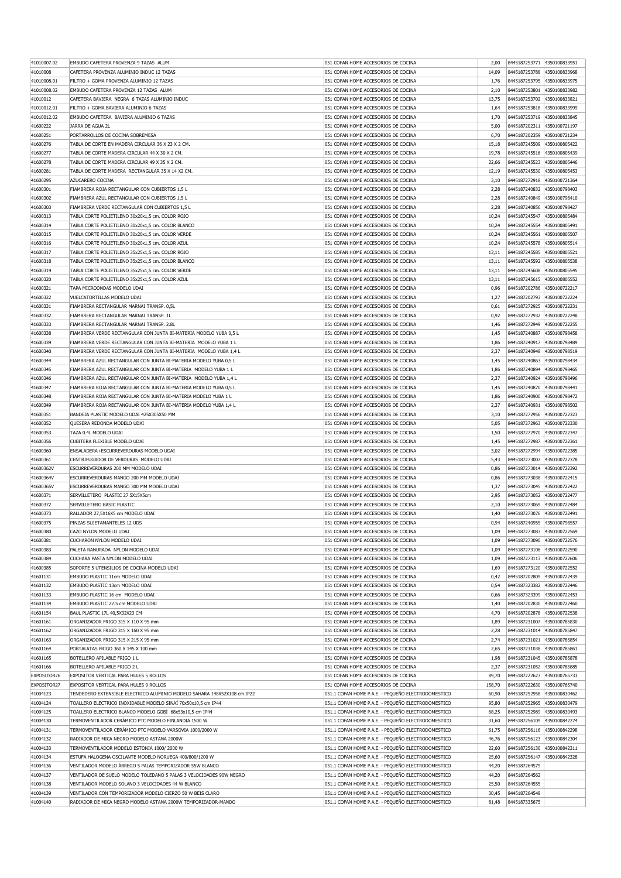|             | EMBUDO CAFETERA PROVENZA 9 TAZAS ALUM                                    | 051 COFAN HOME ACCESORIOS DE COCINA                | 2,00   | 8445187253771 4350100833951 |               |
|-------------|--------------------------------------------------------------------------|----------------------------------------------------|--------|-----------------------------|---------------|
| 41010008    | CAFETERA PROVENZA ALUMINIO INDUC 12 TAZAS                                | 051 COFAN HOME ACCESORIOS DE COCINA                | 14,09  | 8445187253788               | 4350100833968 |
| 41010008.01 | FILTRO + GOMA PROVENZA ALUMINIO 12 TAZAS                                 | 051 COFAN HOME ACCESORIOS DE COCINA                | 1,76   | 8445187253795 4350100833975 |               |
| 41010008.02 | EMBUDO CAFETERA PROVENZA 12 TAZAS ALUM                                   | 051 COFAN HOME ACCESORIOS DE COCINA                | 2,10   | 8445187253801               | 4350100833982 |
| 41010012    | CAFETERA BAVIERA NEGRA 6 TAZAS ALUMINIO INDUC                            | 051 COFAN HOME ACCESORIOS DE COCINA                | 13,75  | 8445187253702               | 4350100833821 |
| 41010012.01 | FILTRO + GOMA BAVIERA ALUMINIO 6 TAZAS                                   | 051 COFAN HOME ACCESORIOS DE COCINA                | 1,64   | 8445187253818 4350100833999 |               |
| 41010012.02 | EMBUDO CAFETERA BAVIERA ALUMINIO 6 TAZAS                                 | 051 COFAN HOME ACCESORIOS DE COCINA                | 1.70   | 8445187253719 4350100833845 |               |
| 41600222    | JARRA DE AGUA 2L                                                         | 051 COFAN HOME ACCESORIOS DE COCINA                | 5,00   | 8445187202311 4350100721197 |               |
|             |                                                                          |                                                    |        |                             |               |
| 41600251    | PORTARROLLOS DE COCINA SOBREMESA                                         | 051 COFAN HOME ACCESORIOS DE COCINA                | 6.70   | 8445187202359               | 4350100721234 |
| 41600276    | TABLA DE CORTE EN MADERA CIRCULAR 36 X 23 X 2 CM.                        | 051 COFAN HOME ACCESORIOS DE COCINA                | 15,18  | 8445187245509               | 4350100805422 |
| 41600277    | TABLA DE CORTE MADERA CIRCULAR 44 X 30 X 2 CM.                           | 051 COFAN HOME ACCESORIOS DE COCINA                | 19,78  | 8445187245516               | 4350100805439 |
| 41600278    | TABLA DE CORTE MADERA CIRCULAR 49 X 35 X 2 CM.                           | 051 COFAN HOME ACCESORIOS DE COCINA                | 22,66  | 8445187245523               | 4350100805446 |
| 41600281    | TABLA DE CORTE MADERA RECTANGULAR 35 X 14 X2 CM.                         | 051 COFAN HOME ACCESORIOS DE COCINA                | 12,19  | 8445187245530               | 4350100805453 |
| 41600295    | AZUCARERO COCINA                                                         | 051 COFAN HOME ACCESORIOS DE COCINA                | 3,10   | 8445187272918 4350100721364 |               |
| 41600301    | FIAMBRERA ROJA RECTANGULAR CON CUBIERTOS 1,5 L                           | 051 COFAN HOME ACCESORIOS DE COCINA                | 2,28   | 8445187240832 4350100798403 |               |
| 41600302    | FIAMBRERA AZUL RECTANGULAR CON CUBIERTOS 1,5 L                           | 051 COFAN HOME ACCESORIOS DE COCINA                | 2.28   | 8445187240849               | 4350100798410 |
| 41600303    | FIAMBRERA VERDE RECTANGULAR CON CUBIERTOS 1,5 L                          | 051 COFAN HOME ACCESORIOS DE COCINA                | 2,28   | 8445187240856               | 4350100798427 |
| 41600313    | TABLA CORTE POLIETILENO 30x20x1,5 cm. COLOR ROJO                         | 051 COFAN HOME ACCESORIOS DE COCINA                | 10,24  | 8445187245547               | 4350100805484 |
| 41600314    | TABLA CORTE POLIETILENO 30x20x1,5 cm. COLOR BLANCO                       | 051 COFAN HOME ACCESORIOS DE COCINA                | 10,24  | 8445187245554               | 4350100805491 |
| 41600315    | TABLA CORTE POLIETILENO 30x20x1,5 cm. COLOR VERDE                        | 051 COFAN HOME ACCESORIOS DE COCINA                | 10,24  | 8445187245561               | 4350100805507 |
| 41600316    | TABLA CORTE POLIETILENO 30x20x1,5 cm. COLOR AZUL                         | 051 COFAN HOME ACCESORIOS DE COCINA                | 10,24  | 8445187245578               | 4350100805514 |
|             |                                                                          | 051 COFAN HOME ACCESORIOS DE COCINA                |        |                             | 4350100805521 |
| 41600317    | TABLA CORTE POLIETILENO 35x25x1,5 cm. COLOR ROJO                         |                                                    | 13,11  | 8445187245585               |               |
| 41600318    | TABLA CORTE POLIETILENO 35x25x1,5 cm. COLOR BLANCO                       | 051 COFAN HOME ACCESORIOS DE COCINA                | 13,11  | 8445187245592 4350100805538 |               |
| 41600319    | TABLA CORTE POLIETILENO 35x25x1,5 cm. COLOR VERDE                        | 051 COFAN HOME ACCESORIOS DE COCINA                | 13,11  | 8445187245608 4350100805545 |               |
| 41600320    | TABLA CORTE POLIETILENO 35x25x1,5 cm. COLOR AZUL                         | 051 COFAN HOME ACCESORIOS DE COCINA                | 13,11  | 8445187245615               | 4350100805552 |
| 41600321    | TAPA MICROONDAS MODELO UDAI                                              | 051 COFAN HOME ACCESORIOS DE COCINA                | 0,96   | 8445187202786               | 4350100722217 |
| 41600322    | VUELCATORTILLAS MODELO UDAI                                              | 051 COFAN HOME ACCESORIOS DE COCINA                | 1,27   | 8445187202793               | 4350100722224 |
| 41600331    | FIAMBRERA RECTANGULAR MARNAI TRANSP. 0,5L                                | 051 COFAN HOME ACCESORIOS DE COCINA                | 0,61   | 8445187272925               | 4350100722231 |
| 41600332    | FIAMBRERA RECTANGULAR MARNAI TRANSP. 1L                                  | 051 COFAN HOME ACCESORIOS DE COCINA                | 0,92   | 8445187272932               | 4350100722248 |
| 41600333    | FIAMBRERA RECTANGULAR MARNAI TRANSP. 2.8L                                | 051 COFAN HOME ACCESORIOS DE COCINA                | 1,46   | 8445187272949               | 4350100722255 |
| 41600338    | FIAMBRERA VERDE RECTANGULAR CON JUNTA BI-MATERIA MODELO YUBA 0,5 L       | 051 COFAN HOME ACCESORIOS DE COCINA                | 1,45   | 8445187240887               | 4350100798458 |
| 41600339    | FIAMBRERA VERDE RECTANGULAR CON JUNTA BI-MATERIA MODELO YUBA 1 L         | 051 COFAN HOME ACCESORIOS DE COCINA                | 1,86   | 8445187240917               | 4350100798489 |
| 41600340    | FIAMBRERA VERDE RECTANGULAR CON JUNTA BI-MATERIA MODELO YUBA 1,4 L       | 051 COFAN HOME ACCESORIOS DE COCINA                | 2,37   | 8445187240948               | 4350100798519 |
|             |                                                                          |                                                    |        |                             |               |
| 41600344    | FIAMBRERA AZUL RECTANGULAR CON JUNTA BI-MATERIA MODELO YUBA 0,5 L        | 051 COFAN HOME ACCESORIOS DE COCINA                | 1.45   | 8445187240863               | 4350100798434 |
| 41600345    | FIAMBRERA AZUL RECTANGULAR CON JUNTA BI-MATERIA MODELO YUBA 1 L          | 051 COFAN HOME ACCESORIOS DE COCINA                | 1,86   | 8445187240894               | 4350100798465 |
| 41600346    | FIAMBRERA AZUL RECTANGULAR CON JUNTA BI-MATERIA MODELO YUBA 1,4 L        | 051 COFAN HOME ACCESORIOS DE COCINA                | 2,37   | 8445187240924               | 4350100798496 |
| 41600347    | FIAMBRERA ROJA RECTANGULAR CON JUNTA BI-MATERIA MODELO YUBA 0,5 L        | 051 COFAN HOME ACCESORIOS DE COCINA                | 1,45   | 8445187240870               | 4350100798441 |
| 41600348    | FIAMBRERA ROJA RECTANGULAR CON JUNTA BI-MATERIA MODELO YUBA 1 L          | 051 COFAN HOME ACCESORIOS DE COCINA                | 1,86   | 8445187240900               | 4350100798472 |
| 41600349    | FIAMBRERA ROJA RECTANGULAR CON JUNTA BI-MATERIA MODELO YUBA 1,4 L        | 051 COFAN HOME ACCESORIOS DE COCINA                | 2,37   | 8445187240931               | 4350100798502 |
| 41600351    | BANDEJA PLASTIC MODELO UDAI 425X305X50 MM                                | 051 COFAN HOME ACCESORIOS DE COCINA                | 3,10   | 8445187272956 4350100722323 |               |
| 41600352    | QUESERA REDONDA MODELO UDAI                                              | 051 COFAN HOME ACCESORIOS DE COCINA                | 5,05   | 8445187272963               | 4350100722330 |
| 41600353    | TAZA 0.4L MODELO UDAI                                                    | 051 COFAN HOME ACCESORIOS DE COCINA                | 1,50   | 8445187272970               | 4350100722347 |
| 41600356    | CUBITERA FLEXIBLE MODELO UDAI                                            | 051 COFAN HOME ACCESORIOS DE COCINA                | 1,45   | 8445187272987               | 4350100722361 |
| 41600360    | ENSALADERA+ESCURREVERDURAS MODELO UDAI                                   | 051 COFAN HOME ACCESORIOS DE COCINA                | 3,02   | 8445187272994               | 4350100722385 |
| 41600361    | CENTRIFUGADOR DE VERDURAS MODELO UDAI                                    | 051 COFAN HOME ACCESORIOS DE COCINA                | 5,43   | 8445187273007               | 4350100722378 |
| 41600362V   |                                                                          |                                                    |        |                             |               |
|             | ESCURREVERDURAS 200 MM MODELO UDAI                                       | 051 COFAN HOME ACCESORIOS DE COCINA                | 0,86   | 8445187273014               | 4350100722392 |
|             |                                                                          |                                                    |        |                             |               |
| 41600364V   | ESCURREVERDURAS MANGO 200 MM MODELO UDAI                                 | 051 COFAN HOME ACCESORIOS DE COCINA                | 0,86   | 8445187273038               | 4350100722415 |
| 41600365V   | ESCURREVERDURAS MANGO 300 MM MODELO UDAI                                 | 051 COFAN HOME ACCESORIOS DE COCINA                | 1,37   | 8445187273045 4350100722422 |               |
| 41600371    | SERVILLETERO PLASTIC 27.5X15X5cm                                         | 051 COFAN HOME ACCESORIOS DE COCINA                | 2,95   | 8445187273052 4350100722477 |               |
| 41600372    | SERVILLETERO BASIC PLASTIC                                               | 051 COFAN HOME ACCESORIOS DE COCINA                | 2,10   | 8445187273069               | 4350100722484 |
| 41600373    | RALLADOR 27,5X16X5 cm MODELO UDAI                                        | 051 COFAN HOME ACCESORIOS DE COCINA                | 1,40   | 8445187273076 4350100722491 |               |
| 41600375    | PINZAS SUJETAMANTELES 12 UDS                                             | 051 COFAN HOME ACCESORIOS DE COCINA                | 0,94   | 8445187240955               | 4350100798557 |
| 41600380    | CAZO NYLON MODELO UDAI                                                   | 051 COFAN HOME ACCESORIOS DE COCINA                | 1,09   | 8445187273083               | 4350100722569 |
| 41600381    | CUCHARON NYLON MODELO UDAI                                               | 051 COFAN HOME ACCESORIOS DE COCINA                | 1,09   | 8445187273090               | 4350100722576 |
| 41600383    | PALETA RANURADA NYLON MODELO UDAI                                        | 051 COFAN HOME ACCESORIOS DE COCINA                | 1,09   | 8445187273106 4350100722590 |               |
| 41600384    | CUCHARA PASTA NYLON MODELO UDAI                                          | 051 COFAN HOME ACCESORIOS DE COCINA                | 1,09   | 8445187273113 4350100722606 |               |
|             | SOPORTE 5 UTENSILIOS DE COCINA MODELO UDAI                               | 051 COFAN HOME ACCESORIOS DE COCINA                |        | 8445187273120 4350100722552 |               |
| 41600385    |                                                                          | 051 COFAN HOME ACCESORIOS DE COCINA                | 1,69   |                             |               |
| 41601131    | EMBUDO PLASTIC 11cm MODELO UDAI                                          |                                                    | 0,42   | 8445187202809               | 4350100722439 |
| 41601132    | EMBUDO PLASTIC 13cm MODELO UDAI                                          | 051 COFAN HOME ACCESORIOS DE COCINA                | 0,54   | 8445187323382               | 4350100722446 |
| 41601133    | EMBUDO PLASTIC 16 cm MODELO UDAI                                         | 051 COFAN HOME ACCESORIOS DE COCINA                | 0,66   | 8445187323399               | 4350100722453 |
| 41601134    | EMBUDO PLASTIC 22.5 cm MODELO UDAI                                       | 051 COFAN HOME ACCESORIOS DE COCINA                | 1,40   | 8445187202830               | 4350100722460 |
| 41601154    | BAUL PLASTIC 17L 40,5X32X23 CM                                           | 051 COFAN HOME ACCESORIOS DE COCINA                | 4,70   | 8445187202878 4350100722538 |               |
| 41601161    | ORGANIZADOR FRIGO 315 X 110 X 95 mm                                      | 051 COFAN HOME ACCESORIOS DE COCINA                | 1,89   | 8445187231007               | 4350100785830 |
| 41601162    | ORGANIZADOR FRIGO 315 X 160 X 95 mm                                      | 051 COFAN HOME ACCESORIOS DE COCINA                | 2,28   | 8445187231014               | 4350100785847 |
| 41601163    | ORGANIZADOR FRIGO 315 X 215 X 95 mm                                      | 051 COFAN HOME ACCESORIOS DE COCINA                | 2,74   | 8445187231021 4350100785854 |               |
| 41601164    | PORTALATAS FRIGO 360 X 145 X 100 mm                                      | 051 COFAN HOME ACCESORIOS DE COCINA                | 2,65   | 8445187231038 4350100785861 |               |
| 41601165    | BOTELLERO APILABLE FRIGO 1 L                                             | 051 COFAN HOME ACCESORIOS DE COCINA                | 1,98   | 8445187231045 4350100785878 |               |
| 41601166    | BOTELLERO APILABLE FRIGO 2 L                                             | 051 COFAN HOME ACCESORIOS DE COCINA                | 2,37   | 8445187231052               | 4350100785885 |
| EXPOSITOR26 | EXPOSITOR VERTICAL PARA HULES 5 ROLLOS                                   | 051 COFAN HOME ACCESORIOS DE COCINA                | 89,70  | 8445187222623 4350100765733 |               |
| EXPOSITOR27 | EXPOSITOR VERTICAL PARA HULES 9 ROLLOS                                   | 051 COFAN HOME ACCESORIOS DE COCINA                | 158,70 | 8445187222630               | 4350100765740 |
| 41004123    | TENDEDERO EXTENSIBLE ELECTRICO ALUMINIO MODELO SAHARA 148X52X108 cm IP22 | 051.1 COFAN HOME P.A.E. - PEQUEÑO ELECTRODOMESTICO | 60,90  | 8445187252958 4350100830462 |               |
|             | TOALLERO ELECTRICO INOXIDABLE MODELO SINAÍ 70x50x10,5 cm IP44            |                                                    |        | 8445187252965               |               |
| 41004124    |                                                                          | 051.1 COFAN HOME P.A.E. - PEQUEÑO ELECTRODOMESTICO | 95,80  |                             | 4350100830479 |
| 41004125    | TOALLERO ELECTRICO BLANCO MODELO GOBI 68x53x10,5 cm IP44                 | 051.1 COFAN HOME P.A.E. - PEQUEÑO ELECTRODOMESTICO | 68,25  | 8445187252989 4350100830493 |               |
| 41004130    | TERMOVENTILADOR CERÁMICO PTC MODELO FINLANDIA 1500 W                     | 051.1 COFAN HOME P.A.E. - PEQUEÑO ELECTRODOMESTICO | 31,60  | 8445187256109 4350100842274 |               |
| 41004131    | TERMOVENTILADOR CERÁMICO PTC MODELO VARSOVIA 1000/2000 W                 | 051.1 COFAN HOME P.A.E. - PEQUEÑO ELECTRODOMESTICO | 61,75  | 8445187256116 4350100842298 |               |
| 41004132    | RADIADOR DE MICA NEGRO MODELO ASTANA 2000W                               | 051.1 COFAN HOME P.A.E. - PEQUEÑO ELECTRODOMESTICO | 46,76  | 8445187256123               | 4350100842304 |
| 41004133    | TERMOVENTILADOR MODELO ESTONIA 1000/2000 W                               | 051.1 COFAN HOME P.A.E. - PEQUEÑO ELECTRODOMESTICO | 22,60  | 8445187256130               | 4350100842311 |
| 41004134    | ESTUFA HALOGENA OSCILANTE MODELO NORUEGA 400/800/1200 W                  | 051.1 COFAN HOME P.A.E. - PEQUEÑO ELECTRODOMESTICO | 25,60  | 8445187256147               | 4350100842328 |
| 41004136    | VENTILADOR MODELO ÁBREGO 5 PALAS TEMPORIZADOR 55W BLANCO                 | 051.1 COFAN HOME P.A.E. - PEQUEÑO ELECTRODOMESTICO | 44,20  | 8445187264579               |               |
| 41004137    | VENTILADOR DE SUELO MODELO TOLEDANO 5 PALAS 3 VELOCIDADES 90W NEGRO      | 051.1 COFAN HOME P.A.E. - PEQUEÑO ELECTRODOMESTICO | 44,20  | 8445187264562               |               |
| 41004138    | VENTILADOR MODELO SOLANO 3 VELOCIDADES 44 W BLANCO                       | 051.1 COFAN HOME P.A.E. - PEQUEÑO ELECTRODOMESTICO | 25,50  | 8445187264555               |               |
| 41004139    | VENTILADOR CON TEMPORIZADOR MODELO CIERZO 50 W BEIS CLARO                | 051.1 COFAN HOME P.A.E. - PEQUEÑO ELECTRODOMESTICO | 30,45  | 8445187264548               |               |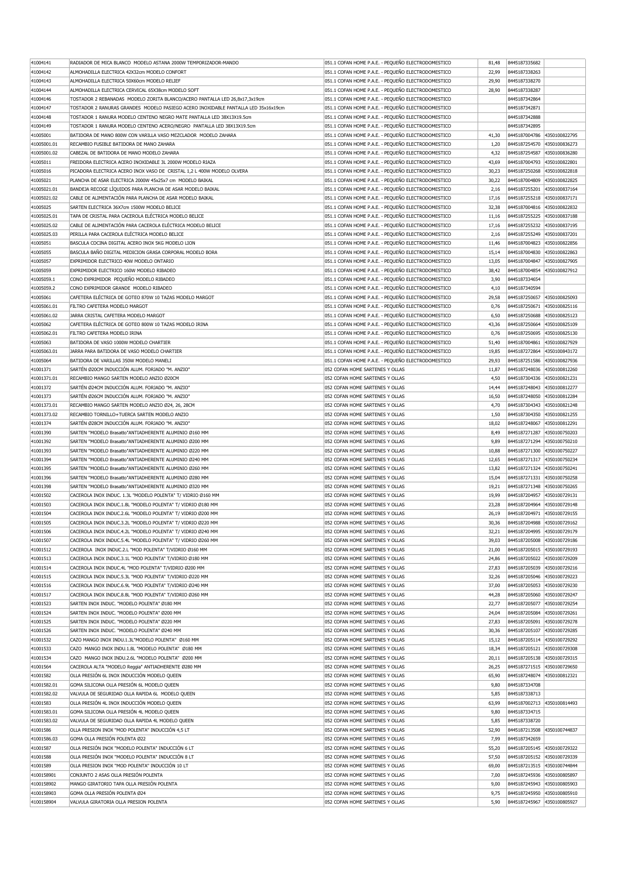| 41004141    | RADIADOR DE MICA BLANCO MODELO ASTANA 2000W TEMPORIZADOR-MANDO                     | 051.1 COFAN HOME P.A.E. - PEQUEÑO ELECTRODOMESTICO | 81,48 | 8445187335682               |               |
|-------------|------------------------------------------------------------------------------------|----------------------------------------------------|-------|-----------------------------|---------------|
| 41004142    | ALMOHADILLA ELECTRICA 42X32cm MODELO CONFORT                                       | 051.1 COFAN HOME P.A.E. - PEQUEÑO ELECTRODOMESTICO | 22,99 | 8445187338263               |               |
| 41004143    | ALMOHADILLA ELECTRICA 50X60cm MODELO RELIEF                                        | 051.1 COFAN HOME P.A.E. - PEQUEÑO ELECTRODOMESTICO | 29,90 | 8445187338270               |               |
| 41004144    | ALMOHADILLA ELECTRICA CERVICAL 65X38cm MODELO SOFT                                 | 051.1 COFAN HOME P.A.E. - PEQUEÑO ELECTRODOMESTICO | 28,90 | 8445187338287               |               |
|             |                                                                                    |                                                    |       |                             |               |
| 41004146    | TOSTADOR 2 REBANADAS MODELO ZORITA BLANCO/ACERO PANTALLA LED 26,8x17,3x19cm        | 051.1 COFAN HOME P.A.E. - PEQUEÑO ELECTRODOMESTICO |       | 8445187342864               |               |
| 41004147    | TOSTADOR 2 RANURAS GRANDES MODELO PASIEGO ACERO INOXIDABLE PANTALLA LED 35x16x19cm | 051.1 COFAN HOME P.A.E. - PEQUEÑO ELECTRODOMESTICO |       | 8445187342871               |               |
| 41004148    | TOSTADOR 1 RANURA MODELO CENTENO NEGRO MATE PANTALLA LED 38X13X19.5cm              | 051.1 COFAN HOME P.A.E. - PEQUEÑO ELECTRODOMESTICO |       | 8445187342888               |               |
| 41004149    | TOSTADOR 1 RANURA MODELO CENTENO ACERO/NEGRO PANTALLA LED 38X13X19.5cm             | 051.1 COFAN HOME P.A.E. - PEQUEÑO ELECTRODOMESTICO |       | 8445187342895               |               |
| 41005001    | BATIDORA DE MANO 800W CON VARILLA VASO MEZCLADOR MODELO ZAHARA                     | 051.1 COFAN HOME P.A.E. - PEQUEÑO ELECTRODOMESTICO | 41,30 | 8445187004786 4350100822795 |               |
| 41005001.01 | RECAMBIO FUSIBLE BATIDORA DE MANO ZAHARA                                           | 051.1 COFAN HOME P.A.E. - PEQUEÑO ELECTRODOMESTICO | 1,20  | 8445187254570               | 4350100836273 |
|             |                                                                                    |                                                    |       |                             |               |
| 41005001.02 | CABEZAL DE BATIDORA DE MANO MODELO ZAHARA                                          | 051.1 COFAN HOME P.A.E. - PEQUEÑO ELECTRODOMESTICO | 4,32  | 8445187254587               | 4350100836280 |
| 41005011    | FREIDORA ELECTRICA ACERO INOXIDABLE 3L 2000W MODELO RIAZA                          | 051.1 COFAN HOME P.A.E. - PEQUEÑO ELECTRODOMESTICO | 43,69 | 8445187004793               | 4350100822801 |
| 41005016    | PICADORA ELECTRICA ACERO INOX VASO DE CRISTAL 1,2 L 400W MODELO OLVERA             | 051.1 COFAN HOME P.A.E. - PEQUEÑO ELECTRODOMESTICO | 30,23 | 8445187250268               | 4350100822818 |
| 41005021    | PLANCHA DE ASAR ELECTRICA 2000W 45x25x7 cm MODELO BAIKAL                           | 051.1 COFAN HOME P.A.E. - PEQUEÑO ELECTRODOMESTICO | 30,22 | 8445187004809               | 4350100822825 |
| 41005021.01 | BANDEJA RECOGE LÍQUIDOS PARA PLANCHA DE ASAR MODELO BAIKAL                         | 051.1 COFAN HOME P.A.E. - PEQUEÑO ELECTRODOMESTICO | 2,16  | 8445187255201               | 4350100837164 |
| 41005021.02 | CABLE DE ALIMENTACIÓN PARA PLANCHA DE ASAR MODELO BAIKAL                           | 051.1 COFAN HOME P.A.E. - PEQUEÑO ELECTRODOMESTICO | 17,16 | 8445187255218 4350100837171 |               |
|             |                                                                                    |                                                    |       |                             |               |
| 41005025    | SARTEN ELECTRICA 36X7cm 1500W MODELO BELICE                                        | 051.1 COFAN HOME P.A.E. - PEQUEÑO ELECTRODOMESTICO | 32,38 | 8445187004816               | 4350100822832 |
| 41005025.01 | TAPA DE CRISTAL PARA CACEROLA ELÉCTRICA MODELO BELICE                              | 051.1 COFAN HOME P.A.E. - PEQUEÑO ELECTRODOMESTICO | 11,16 | 8445187255225               | 4350100837188 |
| 41005025.02 | CABLE DE ALIMENTACIÓN PARA CACEROLA ELÉCTRICA MODELO BELICE                        | 051.1 COFAN HOME P.A.E. - PEQUEÑO ELECTRODOMESTICO | 17,16 | 8445187255232               | 4350100837195 |
| 41005025.03 | PERILLA PARA CACEROLA ELÉCTRICA MODELO BELICE                                      | 051.1 COFAN HOME P.A.E. - PEQUEÑO ELECTRODOMESTICO | 2,16  | 8445187255249               | 4350100837201 |
| 41005051    | BASCULA COCINA DIGITAL ACERO INOX 5KG MODELO LION                                  | 051.1 COFAN HOME P.A.E. - PEQUEÑO ELECTRODOMESTICO | 11,46 | 8445187004823               | 4350100822856 |
|             |                                                                                    |                                                    |       |                             |               |
| 41005055    | BASCULA BAÑO DIGITAL MEDICION GRASA CORPORAL MODELO BORA                           | 051.1 COFAN HOME P.A.E. - PEQUEÑO ELECTRODOMESTICO | 15,14 | 8445187004830               | 4350100822863 |
| 41005057    | EXPRIMIDOR ELECTRICO 40W MODELO ONTARIO                                            | 051.1 COFAN HOME P.A.E. - PEQUEÑO ELECTRODOMESTICO | 13,05 | 8445187004847               | 4350100827905 |
| 41005059    | EXPRIMIDOR ELECTRICO 160W MODELO RIBADEO                                           | 051.1 COFAN HOME P.A.E. - PEQUEÑO ELECTRODOMESTICO | 38,42 | 8445187004854               | 4350100827912 |
| 41005059.1  | CONO EXPRIMIDOR PEOUEÑO MODELO RIBADEO                                             | 051.1 COFAN HOME P.A.E. - PEQUEÑO ELECTRODOMESTICO | 3,90  | 8445187334654               |               |
| 41005059.2  | CONO EXPRIMIDOR GRANDE MODELO RIBADEO                                              | 051.1 COFAN HOME P.A.E. - PEQUEÑO ELECTRODOMESTICO | 4,10  | 8445187340594               |               |
|             |                                                                                    |                                                    |       |                             |               |
| 41005061    | CAFETERA ELÉCTRICA DE GOTEO 870W 10 TAZAS MODELO MARGOT                            | 051.1 COFAN HOME P.A.E. - PEQUEÑO ELECTRODOMESTICO | 29,58 | 8445187250657               | 4350100825093 |
| 41005061.01 | FILTRO CAFETERA MODELO MARGOT                                                      | 051.1 COFAN HOME P.A.E. - PEQUEÑO ELECTRODOMESTICO | 0,76  | 8445187250671               | 4350100825116 |
| 41005061.02 | JARRA CRISTAL CAFETERA MODELO MARGOT                                               | 051.1 COFAN HOME P.A.E. - PEQUEÑO ELECTRODOMESTICO | 6,50  | 8445187250688               | 4350100825123 |
| 41005062    | CAFETERA ELÉCTRICA DE GOTEO 800W 10 TAZAS MODELO IRINA                             | 051.1 COFAN HOME P.A.E. - PEQUEÑO ELECTRODOMESTICO | 43,36 | 8445187250664               | 4350100825109 |
| 41005062.01 | FILTRO CAFETERA MODELO IRINA                                                       | 051.1 COFAN HOME P.A.E. - PEQUEÑO ELECTRODOMESTICO | 0,76  | 8445187250695               | 4350100825130 |
|             |                                                                                    |                                                    |       |                             |               |
| 41005063    | BATIDORA DE VASO 1000W MODELO CHARTIER                                             | 051.1 COFAN HOME P.A.E. - PEQUEÑO ELECTRODOMESTICO | 51,40 | 8445187004861 4350100827929 |               |
| 41005063.01 | JARRA PARA BATIDORA DE VASO MODELO CHARTIER                                        | 051.1 COFAN HOME P.A.E. - PEQUEÑO ELECTRODOMESTICO | 19,85 | 8445187272864               | 4350100843172 |
| 41005064    | BATIDORA DE VARILLAS 350W MODELO MANELI                                            | 051.1 COFAN HOME P.A.E. - PEQUEÑO ELECTRODOMESTICO | 29,93 | 8445187251586               | 4350100827936 |
| 41001371    | SARTÉN Ø20CM INDUCCIÓN ALUM. FORJADO "M. ANZIO"                                    | 052 COFAN HOME SARTENES Y OLLAS                    | 11,87 | 8445187248036               | 4350100812260 |
| 41001371.01 | RECAMBIO MANGO SARTEN MODELO ANZIO Ø20CM                                           | 052 COFAN HOME SARTENES Y OLLAS                    | 4,50  | 8445187304336               | 4350100821231 |
|             |                                                                                    |                                                    |       |                             |               |
| 41001372    | SARTÉN Ø24CM INDUCCIÓN ALUM. FORJADO "M. ANZIO"                                    | 052 COFAN HOME SARTENES Y OLLAS                    | 14,44 | 8445187248043               | 4350100812277 |
| 41001373    | SARTÉN Ø26CM INDUCCIÓN ALUM. FORJADO "M. ANZIO"                                    | 052 COFAN HOME SARTENES Y OLLAS                    | 16,50 | 8445187248050               | 4350100812284 |
| 41001373.01 | RECAMBIO MANGO SARTEN MODELO ANZIO Ø24, 26, 28CM                                   | 052 COFAN HOME SARTENES Y OLLAS                    | 4,70  | 8445187304343               | 4350100821248 |
| 41001373.02 | RECAMBIO TORNILLO+TUERCA SARTEN MODELO ANZIO                                       | 052 COFAN HOME SARTENES Y OLLAS                    | 1,50  | 8445187304350               | 4350100821255 |
| 41001374    | SARTÉN Ø28CM INDUCCIÓN ALUM. FORJADO "M. ANZIO"                                    | 052 COFAN HOME SARTENES Y OLLAS                    | 18,02 | 8445187248067               | 4350100812291 |
|             |                                                                                    |                                                    |       |                             |               |
| 41001390    | SARTEN "MODELO Brasatto"ANTIADHERENTE ALUMINIO Ø160 MM                             | 052 COFAN HOME SARTENES Y OLLAS                    | 8,49  | 8445187271287               | 4350100750203 |
| 41001392    | SARTEN "MODELO Brasatto"ANTIADHERENTE ALUMINIO Ø200 MM                             | 052 COFAN HOME SARTENES Y OLLAS                    | 9,89  | 8445187271294               | 4350100750210 |
| 41001393    | SARTEN "MODELO Brasatto"ANTIADHERENTE ALUMINIO Ø220 MM                             | 052 COFAN HOME SARTENES Y OLLAS                    | 10,88 | 8445187271300               | 4350100750227 |
| 41001394    | SARTEN "MODELO Brasatto"ANTIADHERENTE ALUMINIO Ø240 MM                             | 052 COFAN HOME SARTENES Y OLLAS                    | 12,65 | 8445187271317               | 4350100750234 |
| 41001395    | SARTEN "MODELO Brasatto"ANTIADHERENTE ALUMINIO Ø260 MM                             | 052 COFAN HOME SARTENES Y OLLAS                    | 13,82 | 8445187271324               | 4350100750241 |
|             |                                                                                    |                                                    |       |                             |               |
| 41001396    | SARTEN "MODELO Brasatto"ANTIADHERENTE ALUMINIO Ø280 MM                             | 052 COFAN HOME SARTENES Y OLLAS                    | 15,04 | 8445187271331               | 4350100750258 |
| 41001398    | SARTEN "MODELO Brasatto"ANTIADHERENTE ALUMINIO Ø320 MM                             | 052 COFAN HOME SARTENES Y OLLAS                    | 19,21 | 8445187271348               | 4350100750265 |
| 41001502    | CACEROLA INOX INDUC. 1.3L "MODELO POLENTA" T/ VIDRIO Ø160 MM                       | 052 COFAN HOME SARTENES Y OLLAS                    | 19,99 | 8445187204957 4350100729131 |               |
| 41001503    | CACEROLA INOX INDUC.1.8L "MODELO POLENTA" T/ VIDRIO Ø180 MM                        | 052 COFAN HOME SARTENES Y OLLAS                    | 23,28 | 8445187204964 4350100729148 |               |
| 41001504    | CACEROLA INOX INDUC.2.6L "MODELO POLENTA" T/ VIDRIO Ø200 MM                        | 052 COFAN HOME SARTENES Y OLLAS                    | 26,19 | 8445187204971 4350100729155 |               |
|             |                                                                                    |                                                    |       |                             |               |
| 41001505    | CACEROLA INOX INDUC.3.2L "MODELO POLENTA" T/ VIDRIO Ø220 MM                        | 052 COFAN HOME SARTENES Y OLLAS                    | 30,36 | 8445187204988               | 4350100729162 |
| 41001506    | CACEROLA INOX INDUC.4.2L "MODELO POLENTA" T/ VIDRIO Ø240 MM                        | 052 COFAN HOME SARTENES Y OLLAS                    | 32,21 | 8445187204995               | 4350100729179 |
| 41001507    | CACEROLA INOX INDUC.5.4L "MODELO POLENTA" T/ VIDRIO Ø260 MM                        | 052 COFAN HOME SARTENES Y OLLAS                    | 39,03 | 8445187205008               | 4350100729186 |
| 41001512    | CACEROLA INOX INDUC.2.L "MOD POLENTA" T/VIDRIO Ø160 MM                             | 052 COFAN HOME SARTENES Y OLLAS                    | 21,00 | 8445187205015               | 4350100729193 |
| 41001513    | CACEROLA INOX INDUC.3.1L "MOD POLENTA" T/VIDRIO Ø180 MM                            | 052 COFAN HOME SARTENES Y OLLAS                    | 24,86 | 8445187205022               | 4350100729209 |
|             |                                                                                    |                                                    |       |                             |               |
| 41001514    | CACEROLA INOX INDUC.4L "MOD POLENTA" T/VIDRIO Ø200 MM                              | 052 COFAN HOME SARTENES Y OLLAS                    | 27,83 | 8445187205039               | 4350100729216 |
| 41001515    | CACEROLA INOX INDUC.5.3L "MOD POLENTA" T/VIDRIO Ø220 MM                            | 052 COFAN HOME SARTENES Y OLLAS                    | 32,26 | 8445187205046               | 4350100729223 |
| 41001516    | CACEROLA INOX INDUC.6.9L "MOD POLENTA" T/VIDRIO Ø240 MM                            | 052 COFAN HOME SARTENES Y OLLAS                    | 37,00 | 8445187205053               | 4350100729230 |
| 41001517    | CACEROLA INOX INDUC.8.8L "MOD POLENTA" T/VIDRIO Ø260 MM                            | 052 COFAN HOME SARTENES Y OLLAS                    | 44,28 | 8445187205060               | 4350100729247 |
| 41001523    | SARTEN INOX INDUC. "MODELO POLENTA" Ø180 MM                                        | 052 COFAN HOME SARTENES Y OLLAS                    | 22,77 | 8445187205077               | 4350100729254 |
| 41001524    | SARTEN INOX INDUC. "MODELO POLENTA" Ø200 MM                                        |                                                    |       | 8445187205084               | 4350100729261 |
|             |                                                                                    | 052 COFAN HOME SARTENES Y OLLAS                    | 24,04 |                             |               |
| 41001525    | SARTEN INOX INDUC. "MODELO POLENTA" Ø220 MM                                        | 052 COFAN HOME SARTENES Y OLLAS                    | 27,83 | 8445187205091               | 4350100729278 |
| 41001526    | SARTEN INOX INDUC. "MODELO POLENTA" Ø240 MM                                        | 052 COFAN HOME SARTENES Y OLLAS                    | 30,36 | 8445187205107               | 4350100729285 |
| 41001532    | CAZO MANGO INOX INDU.1.3L"MODELO POLENTA" Ø160 MM                                  | 052 COFAN HOME SARTENES Y OLLAS                    | 15,12 | 8445187205114               | 4350100729292 |
| 41001533    | CAZO MANGO INOX INDU.1.8L "MODELO POLENTA" Ø180 MM                                 | 052 COFAN HOME SARTENES Y OLLAS                    | 18,34 | 8445187205121               | 4350100729308 |
| 41001534    | CAZO MANGO INOX INDU.2.6L "MODELO POLENTA" Ø200 MM                                 | 052 COFAN HOME SARTENES Y OLLAS                    |       | 8445187205138 4350100729315 |               |
|             |                                                                                    |                                                    | 20,11 |                             |               |
| 41001564    | CACEROLA ALTA "MODELO Reggia" ANTIADHERENTE Ø280 MM                                | 052 COFAN HOME SARTENES Y OLLAS                    | 26,25 | 8445187271515               | 4350100729650 |
| 41001582    | OLLA PRESIÓN 6L INOX INDUCCIÓN MODELO QUEEN                                        | 052 COFAN HOME SARTENES Y OLLAS                    | 65,90 | 8445187248074               | 4350100812321 |
| 41001582.01 | GOMA SILICONA OLLA PRESIÓN 6L MODELO QUEEN                                         | 052 COFAN HOME SARTENES Y OLLAS                    | 9,80  | 8445187334708               |               |
| 41001582.02 | VALVULA DE SEGURIDAD OLLA RAPIDA 6L MODELO QUEEN                                   | 052 COFAN HOME SARTENES Y OLLAS                    | 5,85  | 8445187338713               |               |
| 41001583    | OLLA PRESIÓN 4L INOX INDUCCIÓN MODELO QUEEN                                        | 052 COFAN HOME SARTENES Y OLLAS                    | 63,99 | 8445187002713 4350100814493 |               |
|             |                                                                                    |                                                    |       |                             |               |
| 41001583.01 | GOMA SILICONA OLLA PRESIÓN 4L MODELO QUEEN                                         | 052 COFAN HOME SARTENES Y OLLAS                    | 9,80  | 8445187334715               |               |
| 41001583.02 | VALVULA DE SEGURIDAD OLLA RAPIDA 4L MODELO QUEEN                                   | 052 COFAN HOME SARTENES Y OLLAS                    | 5,85  | 8445187338720               |               |
| 41001586    | OLLA PRESION INOX "MOD POLENTA" INDUCCIÓN 4,5 LT                                   | 052 COFAN HOME SARTENES Y OLLAS                    | 52,90 | 8445187213508 4350100744837 |               |
| 41001586.03 | GOMA OLLA PRESIÓN POLENTA Ø22                                                      | 052 COFAN HOME SARTENES Y OLLAS                    | 7,99  | 8445187342659               |               |
| 41001587    | OLLA PRESIÓN INOX "MODELO POLENTA" INDUCCIÓN 6 LT                                  | 052 COFAN HOME SARTENES Y OLLAS                    | 55,20 | 8445187205145               | 4350100729322 |
|             |                                                                                    |                                                    |       |                             |               |
| 41001588    | OLLA PRESIÓN INOX "MODELO POLENTA" INDUCCIÓN 8 LT                                  | 052 COFAN HOME SARTENES Y OLLAS                    | 57,50 | 8445187205152               | 4350100729339 |
| 41001589    | OLLA PRESION INOX "MOD POLENTA" INDUCCIÓN 10 LT                                    | 052 COFAN HOME SARTENES Y OLLAS                    | 69,00 | 8445187213515               | 4350100744844 |
| 4100158901  | CONJUNTO 2 ASAS OLLA PRESIÓN POLENTA                                               | 052 COFAN HOME SARTENES Y OLLAS                    | 7,00  | 8445187245936               | 4350100805897 |
| 4100158902  | MANGO GIRATORIO TAPA OLLA PRESIÓN POLENTA                                          | 052 COFAN HOME SARTENES Y OLLAS                    | 9,00  | 8445187245943               | 4350100805903 |
|             |                                                                                    |                                                    |       |                             |               |
| 4100158903  | GOMA OLLA PRESIÓN POLENTA Ø24                                                      | 052 COFAN HOME SARTENES Y OLLAS                    | 9,75  | 8445187245950               | 4350100805910 |
| 4100158904  | VALVULA GIRATORIA OLLA PRESION POLENTA                                             | 052 COFAN HOME SARTENES Y OLLAS                    | 5,90  | 8445187245967 4350100805927 |               |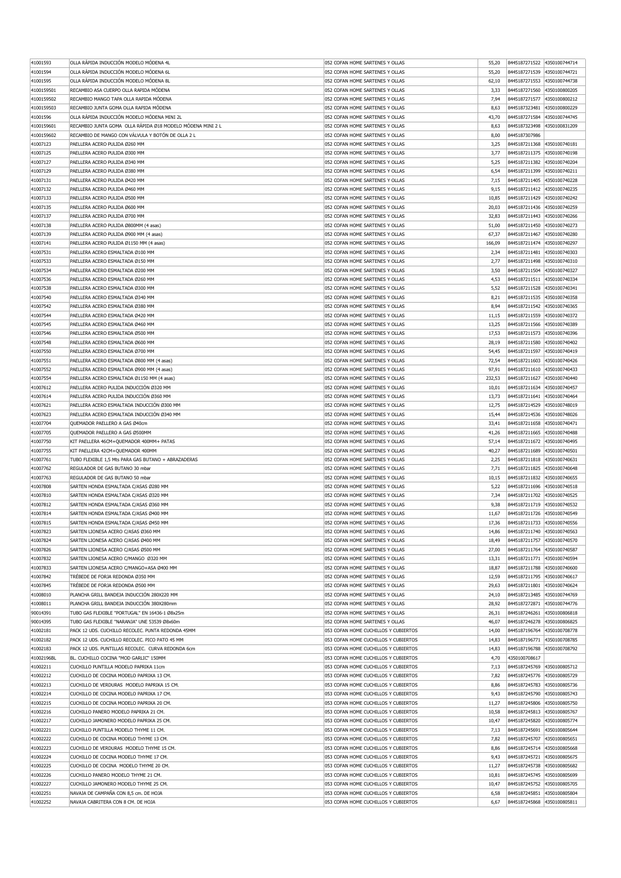| 41001593   | OLLA RÁPIDA INDUCCIÓN MODELO MÓDENA 4L                     | 052 COFAN HOME SARTENES Y OLLAS      | 55,20  | 8445187271522 4350100744714    |
|------------|------------------------------------------------------------|--------------------------------------|--------|--------------------------------|
| 41001594   | OLLA RÁPIDA INDUCCIÓN MODELO MÓDENA 6L                     | 052 COFAN HOME SARTENES Y OLLAS      | 55,20  | 8445187271539<br>4350100744721 |
| 41001595   | OLLA RÁPIDA INDUCCIÓN MODELO MÓDENA 8L                     | 052 COFAN HOME SARTENES Y OLLAS      | 62,10  | 8445187271553 4350100744738    |
| 4100159501 | RECAMBIO ASA CUERPO OLLA RAPIDA MÓDENA                     | 052 COFAN HOME SARTENES Y OLLAS      | 3,33   | 8445187271560<br>4350100800205 |
|            |                                                            |                                      |        |                                |
| 4100159502 | RECAMBIO MANGO TAPA OLLA RAPIDA MÓDENA                     | 052 COFAN HOME SARTENES Y OLLAS      | 7,94   | 8445187271577<br>4350100800212 |
| 4100159503 | RECAMBIO JUNTA GOMA OLLA RAPIDA MODENA                     | 052 COFAN HOME SARTENES Y OLLAS      | 8.63   | 4350100800229<br>8445187323481 |
| 41001596   | OLLA RÁPIDA INDUCCIÓN MODELO MÓDENA MINI 2L                | 052 COFAN HOME SARTENES Y OLLAS      | 43,70  | 8445187271584 4350100744745    |
| 4100159601 | RECAMBIO JUNTA GOMA OLLA RÁPIDA Ø18 MODELO MÓDENA MINI 2 L | 052 COFAN HOME SARTENES Y OLLAS      | 8,63   | 8445187323498 4350100831209    |
| 4100159602 | RECAMBIO DE MANGO CON VÁLVULA Y BOTÓN DE OLLA 2 L          | 052 COFAN HOME SARTENES Y OLLAS      | 8,00   | 8445187307986                  |
| 41007123   | PAELLERA ACERO PULIDA Ø260 MM                              | 052 COFAN HOME SARTENES Y OLLAS      | 3,25   | 8445187211368<br>4350100740181 |
| 41007125   | PAELLERA ACERO PULIDA Ø300 MM                              | 052 COFAN HOME SARTENES Y OLLAS      | 3,77   | 8445187211375<br>4350100740198 |
|            |                                                            |                                      |        |                                |
| 41007127   | PAELLERA ACERO PULIDA Ø340 MM                              | 052 COFAN HOME SARTENES Y OLLAS      | 5,25   | 8445187211382<br>4350100740204 |
| 41007129   | PAELLERA ACERO PULIDA Ø380 MM                              | 052 COFAN HOME SARTENES Y OLLAS      | 6,54   | 8445187211399<br>4350100740211 |
| 41007131   | PAELLERA ACERO PULIDA Ø420 MM                              | 052 COFAN HOME SARTENES Y OLLAS      | 7,15   | 8445187211405 4350100740228    |
| 41007132   | PAELLERA ACERO PULIDA Ø460 MM                              | 052 COFAN HOME SARTENES Y OLLAS      | 9,15   | 8445187211412 4350100740235    |
| 41007133   | PAELLERA ACERO PULIDA Ø500 MM                              | 052 COFAN HOME SARTENES Y OLLAS      | 10,85  | 8445187211429<br>4350100740242 |
|            |                                                            |                                      |        |                                |
| 41007135   | PAELLERA ACERO PULIDA Ø600 MM                              | 052 COFAN HOME SARTENES Y OLLAS      | 20.03  | 8445187211436<br>4350100740259 |
| 41007137   | PAELLERA ACERO PULIDA Ø700 MM                              | 052 COFAN HOME SARTENES Y OLLAS      | 32,83  | 8445187211443<br>4350100740266 |
| 41007138   | PAELLERA ACERO PULIDA Ø800MM (4 asas)                      | 052 COFAN HOME SARTENES Y OLLAS      | 51,00  | 8445187211450<br>4350100740273 |
| 41007139   | PAELLERA ACERO PULIDA Ø900 MM (4 asas)                     | 052 COFAN HOME SARTENES Y OLLAS      | 67,37  | 8445187211467<br>4350100740280 |
| 41007141   | PAELLERA ACERO PULIDA Ø1150 MM (4 asas)                    | 052 COFAN HOME SARTENES Y OLLAS      | 166,09 | 8445187211474<br>4350100740297 |
| 41007531   | PAELLERA ACERO ESMALTADA Ø100 MM                           | 052 COFAN HOME SARTENES Y OLLAS      |        | 8445187211481<br>4350100740303 |
|            |                                                            |                                      | 2,34   |                                |
| 41007533   | PAFI I FRA ACERO ESMAI TADA Ø150 MM                        | 052 COFAN HOME SARTENES Y OLLAS      | 2,77   | 8445187211498 4350100740310    |
| 41007534   | PAELLERA ACERO ESMALTADA Ø200 MM                           | 052 COFAN HOME SARTENES Y OLLAS      | 3.50   | 8445187211504 4350100740327    |
| 41007536   | PAELLERA ACERO ESMALTADA Ø260 MM                           | 052 COFAN HOME SARTENES Y OLLAS      | 4,53   | 8445187211511<br>4350100740334 |
| 41007538   | PAELLERA ACERO ESMALTADA Ø300 MM                           | 052 COFAN HOME SARTENES Y OLLAS      | 5,52   | 8445187211528<br>4350100740341 |
|            | PAELLERA ACERO ESMALTADA Ø340 MM                           |                                      | 8.21   | 8445187211535<br>4350100740358 |
| 41007540   |                                                            | 052 COFAN HOME SARTENES Y OLLAS      |        |                                |
| 41007542   | PAELLERA ACERO ESMALTADA Ø380 MM                           | 052 COFAN HOME SARTENES Y OLLAS      | 8,94   | 8445187211542<br>4350100740365 |
| 41007544   | PAELLERA ACERO ESMALTADA Ø420 MM                           | 052 COFAN HOME SARTENES Y OLLAS      | 11,15  | 8445187211559<br>4350100740372 |
| 41007545   | PAELLERA ACERO ESMALTADA Ø460 MM                           | 052 COFAN HOME SARTENES Y OLLAS      | 13,25  | 8445187211566<br>4350100740389 |
| 41007546   | PAELLERA ACERO ESMALTADA Ø500 MM                           | 052 COFAN HOME SARTENES Y OLLAS      | 17,53  | 8445187211573 4350100740396    |
|            |                                                            |                                      |        | 4350100740402                  |
| 41007548   | PAELLERA ACERO ESMALTADA Ø600 MM                           | 052 COFAN HOME SARTENES Y OLLAS      | 28,19  | 8445187211580                  |
| 41007550   | PAELLERA ACERO ESMALTADA Ø700 MM                           | 052 COFAN HOME SARTENES Y OLLAS      | 54,45  | 8445187211597<br>4350100740419 |
| 41007551   | PAELLERA ACERO ESMALTADA Ø800 MM (4 asas)                  | 052 COFAN HOME SARTENES Y OLLAS      | 72,54  | 8445187211603<br>4350100740426 |
| 41007552   | PAELLERA ACERO ESMALTADA Ø900 MM (4 asas)                  | 052 COFAN HOME SARTENES Y OLLAS      | 97,91  | 8445187211610<br>4350100740433 |
| 41007554   | PAELLERA ACERO ESMALTADA Ø1150 MM (4 asas)                 | 052 COFAN HOME SARTENES Y OLLAS      | 232,53 | 8445187211627<br>4350100740440 |
|            |                                                            |                                      |        |                                |
| 41007612   | PAELLERA ACERO PULIDA INDUCCIÓN Ø320 MM                    | 052 COFAN HOME SARTENES Y OLLAS      | 10,01  | 8445187211634<br>4350100740457 |
| 41007614   | PAELLERA ACERO PULIDA INDUCCIÓN Ø360 MM                    | 052 COFAN HOME SARTENES Y OLLAS      | 13,73  | 8445187211641<br>4350100740464 |
| 41007621   | PAELLERA ACERO ESMALTADA INDUCCIÓN Ø300 MM                 | 052 COFAN HOME SARTENES Y OLLAS      | 12,75  | 8445187214529 4350100748019    |
| 41007623   | PAELLERA ACERO ESMALTADA INDUCCIÓN Ø340 MM                 | 052 COFAN HOME SARTENES Y OLLAS      | 15,44  | 8445187214536 4350100748026    |
| 41007704   | QUEMADOR PAELLERO A GAS Ø40cm                              | 052 COFAN HOME SARTENES Y OLLAS      | 33,41  | 8445187211658 4350100740471    |
|            |                                                            |                                      |        |                                |
| 41007705   | QUEMADOR PAELLERO A GAS Ø500MM                             | 052 COFAN HOME SARTENES Y OLLAS      | 41,26  | 8445187211665<br>4350100740488 |
|            |                                                            |                                      |        |                                |
| 41007750   | KIT PAELLERA 46CM+QUEMADOR 400MM+ PATAS                    | 052 COFAN HOME SARTENES Y OLLAS      | 57,14  | 8445187211672<br>4350100740495 |
| 41007755   | KIT PAELLERA 42CM+QUEMADOR 400MM                           | 052 COFAN HOME SARTENES Y OLLAS      | 40,27  | 8445187211689<br>4350100740501 |
|            | TUBO FLEXIBLE 1,5 Mts PARA GAS BUTANO + ABRAZADERAS        | 052 COFAN HOME SARTENES Y OLLAS      | 2,25   | 8445187211818<br>4350100740631 |
| 41007761   |                                                            |                                      |        |                                |
| 41007762   | REGULADOR DE GAS BUTANO 30 mbar                            | 052 COFAN HOME SARTENES Y OLLAS      | 7,71   | 8445187211825<br>4350100740648 |
| 41007763   | REGULADOR DE GAS BUTANO 50 mbar                            | 052 COFAN HOME SARTENES Y OLLAS      | 10,15  | 8445187211832<br>4350100740655 |
| 41007808   | SARTEN HONDA ESMALTADA C/ASAS Ø280 MM                      | 052 COFAN HOME SARTENES Y OLLAS      | 5.22   | 8445187211696 4350100740518    |
| 41007810   | SARTEN HONDA ESMALTADA C/ASAS Ø320 MM                      | 052 COFAN HOME SARTENES Y OLLAS      | 7,34   | 8445187211702 4350100740525    |
| 41007812   | SARTEN HONDA ESMALTADA C/ASAS Ø360 MM                      | 052 COFAN HOME SARTENES Y OLLAS      | 9,38   | 8445187211719 4350100740532    |
|            |                                                            |                                      |        |                                |
| 41007814   | SARTEN HONDA ESMALTADA C/ASAS Ø400 MM                      | 052 COFAN HOME SARTENES Y OLLAS      | 11,67  | 8445187211726 4350100740549    |
| 41007815   | SARTEN HONDA ESMALTADA C/ASAS Ø450 MM                      | 052 COFAN HOME SARTENES Y OLLAS      | 17,36  | 8445187211733 4350100740556    |
| 41007823   | SARTEN LIONESA ACERO C/ASAS Ø360 MM                        | 052 COFAN HOME SARTENES Y OLLAS      | 14,86  | 8445187211740 4350100740563    |
| 41007824   | SARTEN LIONESA ACERO C/ASAS Ø400 MM                        | 052 COFAN HOME SARTENES Y OLLAS      | 18,49  | 8445187211757<br>4350100740570 |
| 41007826   | SARTEN LIONESA ACERO C/ASAS Ø500 MM                        | 052 COFAN HOME SARTENES Y OLLAS      | 27,00  | 8445187211764<br>4350100740587 |
| 41007832   | SARTEN LIONESA ACERO C/MANGO Ø320 MM                       | 052 COFAN HOME SARTENES Y OLLAS      | 13,31  | 8445187211771<br>4350100740594 |
|            |                                                            |                                      |        |                                |
| 41007833   | SARTEN LIONESA ACERO C/MANGO+ASA Ø400 MM                   | 052 COFAN HOME SARTENES Y OLLAS      | 18,87  | 8445187211788<br>4350100740600 |
| 41007842   | TRÉBEDE DE FORJA REDONDA Ø350 MM                           | 052 COFAN HOME SARTENES Y OLLAS      | 12,59  | 8445187211795<br>4350100740617 |
| 41007845   | TRÉBEDE DE FORJA REDONDA Ø500 MM                           | 052 COFAN HOME SARTENES Y OLLAS      | 29,63  | 8445187211801<br>4350100740624 |
| 41008010   | PLANCHA GRILL BANDEJA INDUCCIÓN 280X220 MM                 | 052 COFAN HOME SARTENES Y OLLAS      | 24,10  | 8445187213485<br>4350100744769 |
| 41008011   | PLANCHA GRILL BANDEJA INDUCCIÓN 380X280mm                  | 052 COFAN HOME SARTENES Y OLLAS      | 28,92  | 8445187272871<br>4350100744776 |
|            | TUBO GAS FLEXIBLE "PORTUGAL" EN 16436-1 Ø8x25m             | 052 COFAN HOME SARTENES Y OLLAS      |        |                                |
| 90014391   |                                                            |                                      | 26,31  | 8445187246261<br>4350100806818 |
| 90014395   | TUBO GAS FLEXIBLE "NARANJA" UNE 53539 Ø8x60m               | 052 COFAN HOME SARTENES Y OLLAS      | 46,07  | 8445187246278<br>4350100806825 |
| 41002181   | PACK 12 UDS. CUCHILLO RECOLEC. PUNTA REDONDA 45MM          | 053 COFAN HOME CUCHILLOS Y CUBIERTOS | 14,00  | 8445187196764<br>4350100708778 |
| 41002182   | PACK 12 UDS. CUCHILLO RECOLEC. PICO PATO 45 MM             | 053 COFAN HOME CUCHILLOS Y CUBIERTOS | 14,83  | 8445187196771<br>4350100708785 |
| 41002183   | PACK 12 UDS. PUNTILLAS RECOLEC. CURVA REDONDA 6cm          | 053 COFAN HOME CUCHILLOS Y CUBIERTOS | 14,83  | 8445187196788<br>4350100708792 |
| 41002196BL | BL. CUCHILLO COCINA "MOD GARLIC" 150MM                     | 053 COFAN HOME CUCHILLOS Y CUBIERTOS |        | 4350100708617                  |
|            |                                                            |                                      | 4,70   |                                |
| 41002211   | CUCHILLO PUNTILLA MODELO PAPRIKA 11cm                      | 053 COFAN HOME CUCHILLOS Y CUBIERTOS | 7,13   | 8445187245769<br>4350100805712 |
| 41002212   | CUCHILLO DE COCINA MODELO PAPRIKA 13 CM.                   | 053 COFAN HOME CUCHILLOS Y CUBIERTOS | 7,82   | 8445187245776 4350100805729    |
| 41002213   | CUCHILLO DE VERDURAS MODELO PAPRIKA 15 CM.                 | 053 COFAN HOME CUCHILLOS Y CUBIERTOS | 8,86   | 8445187245783<br>4350100805736 |
| 41002214   | CUCHILLO DE COCINA MODELO PAPRIKA 17 CM.                   | 053 COFAN HOME CUCHILLOS Y CUBIERTOS | 9,43   | 8445187245790<br>4350100805743 |
| 41002215   | CUCHILLO DE COCINA MODELO PAPRIKA 20 CM.                   | 053 COFAN HOME CUCHILLOS Y CUBIERTOS | 11,27  | 8445187245806<br>4350100805750 |
|            |                                                            |                                      |        |                                |
| 41002216   | CUCHILLO PANERO MODELO PAPRIKA 21 CM.                      | 053 COFAN HOME CUCHILLOS Y CUBIERTOS | 10,58  | 8445187245813 4350100805767    |
| 41002217   | CUCHILLO JAMONERO MODELO PAPRIKA 25 CM.                    | 053 COFAN HOME CUCHILLOS Y CUBIERTOS | 10,47  | 8445187245820<br>4350100805774 |
| 41002221   | CUCHILLO PUNTILLA MODELO THYME 11 CM.                      | 053 COFAN HOME CUCHILLOS Y CUBIERTOS | 7,13   | 8445187245691<br>4350100805644 |
| 41002222   | CUCHILLO DE COCINA MODELO THYME 13 CM.                     | 053 COFAN HOME CUCHILLOS Y CUBIERTOS | 7,82   | 8445187245707<br>4350100805651 |
| 41002223   | CUCHILLO DE VERDURAS MODELO THYME 15 CM.                   | 053 COFAN HOME CUCHILLOS Y CUBIERTOS | 8,86   | 8445187245714<br>4350100805668 |
|            |                                                            |                                      |        |                                |
| 41002224   | CUCHILLO DE COCINA MODELO THYME 17 CM.                     | 053 COFAN HOME CUCHILLOS Y CUBIERTOS | 9,43   | 8445187245721<br>4350100805675 |
| 41002225   | CUCHILLO DE COCINA MODELO THYME 20 CM.                     | 053 COFAN HOME CUCHILLOS Y CUBIERTOS | 11,27  | 8445187245738<br>4350100805682 |
| 41002226   | CUCHILLO PANERO MODELO THYME 21 CM.                        | 053 COFAN HOME CUCHILLOS Y CUBIERTOS | 10,81  | 8445187245745<br>4350100805699 |
| 41002227   | CUCHILLO JAMONERO MODELO THYME 25 CM.                      | 053 COFAN HOME CUCHILLOS Y CUBIERTOS | 10,47  | 8445187245752<br>4350100805705 |
| 41002251   | NAVAJA DE CAMPAÑA CON 8,5 cm. DE HOJA                      | 053 COFAN HOME CUCHILLOS Y CUBIERTOS | 6,58   | 8445187245851<br>4350100805804 |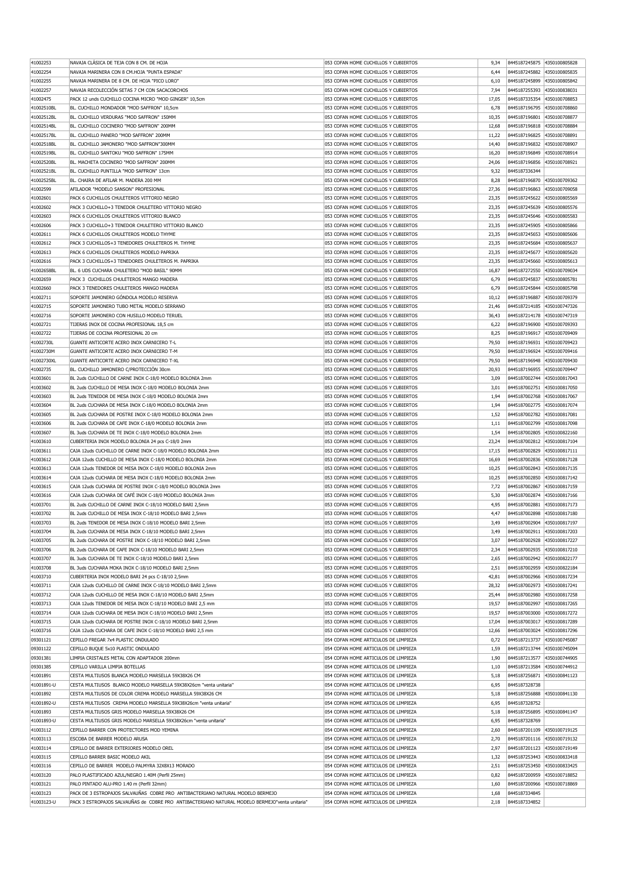| 41002253               | NAVAJA CLASICA DE TEJA CON 8 CM. DE HOJA                                                                                                                                         | 053 COFAN HOME CUCHILLOS Y CUBIERTOS                                         | 9.34         | 8445187245875   4350100805828  |               |
|------------------------|----------------------------------------------------------------------------------------------------------------------------------------------------------------------------------|------------------------------------------------------------------------------|--------------|--------------------------------|---------------|
| 41002254               | NAVAJA MARINERA CON 8 CM.HOJA "PUNTA ESPADA"                                                                                                                                     | 053 COFAN HOME CUCHILLOS Y CUBIERTOS                                         | 6,44         | 8445187245882                  | 4350100805835 |
| 41002255               | NAVAJA MARINERA DE 8 CM. DE HOJA "PICO LORO"                                                                                                                                     | 053 COFAN HOME CUCHILLOS Y CUBIERTOS                                         | 6.10         | 8445187245899                  | 4350100805842 |
| 41002257               | NAVAJA RECOLECCIÓN SETAS 7 CM CON SACACORCHOS                                                                                                                                    | 053 COFAN HOME CUCHILLOS Y CUBIERTOS                                         | 7,94         | 8445187255393                  | 4350100838031 |
| 41002475               | PACK 12 unds CUCHILLO COCINA MICRO "MOD GINGER" 10,5cm                                                                                                                           | 053 COFAN HOME CUCHILLOS Y CUBIERTOS                                         | 17,05        | 8445187335354                  | 4350100708853 |
| 41002510BL             | BL. CUCHILLO MONDADOR "MOD SAFFRON" 10,5cm                                                                                                                                       | 053 COFAN HOME CUCHILLOS Y CUBIERTOS                                         | 6,78         | 8445187196795                  | 4350100708860 |
| 41002512BL             | BL. CUCHILLO VERDURAS "MOD SAFFRON" 150MM                                                                                                                                        | 053 COFAN HOME CUCHILLOS Y CUBIERTOS                                         | 10,35        | 8445187196801                  | 4350100708877 |
| 41002514BL             | BL, CUCHILLO COCINERO "MOD SAFFRON" 200MM                                                                                                                                        | 053 COFAN HOME CUCHILLOS Y CUBIERTOS                                         | 12,68        | 8445187196818                  | 4350100708884 |
| 41002517BL             | BL. CUCHILLO PANERO "MOD SAFFRON" 200MM                                                                                                                                          | 053 COFAN HOME CUCHILLOS Y CUBIERTOS                                         | 11,22        | 8445187196825                  | 4350100708891 |
| 41002518BL             | BL. CUCHILLO JAMONERO "MOD SAFFRON"300MM                                                                                                                                         | 053 COFAN HOME CUCHILLOS Y CUBIERTOS                                         | 14,40        | 8445187196832                  | 4350100708907 |
| 41002519BL             | BL. CUCHILLO SANTOKU "MOD SAFFRON" 175MM                                                                                                                                         | 053 COFAN HOME CUCHILLOS Y CUBIERTOS                                         | 16,20        | 8445187196849                  | 4350100708914 |
| 41002520BL             | BL. MACHETA COCINERO "MOD SAFFRON" 200MM                                                                                                                                         | 053 COFAN HOME CUCHILLOS Y CUBIERTOS                                         | 24,06        | 8445187196856                  | 4350100708921 |
| 41002521BL             | BL. CUCHILLO PUNTILLA "MOD SAFFRON" 13cm                                                                                                                                         | 053 COFAN HOME CUCHILLOS Y CUBIERTOS                                         | 9,32         | 8445187336344                  |               |
| 41002525BL             | BL. CHAIRA DE AFILAR M. MADERA 200 MM                                                                                                                                            | 053 COFAN HOME CUCHILLOS Y CUBIERTOS                                         | 8,28         | 8445187196870                  | 4350100709362 |
| 41002599               | AFILADOR "MODELO SANSON" PROFESIONAL                                                                                                                                             | 053 COFAN HOME CUCHILLOS Y CUBIERTOS                                         | 27,36        | 8445187196863                  | 4350100709058 |
| 41002601               | PACK 6 CUCHILLOS CHULETEROS VITTORIO NEGRO                                                                                                                                       | 053 COFAN HOME CUCHILLOS Y CUBIERTOS                                         | 23,35        | 8445187245622                  | 4350100805569 |
| 41002602               | PACK 3 CUCHILLO+3 TENEDOR CHULETERO VITTORIO NEGRO                                                                                                                               | 053 COFAN HOME CUCHILLOS Y CUBIERTOS                                         | 23,35        | 8445187245639                  | 4350100805576 |
| 41002603               | PACK 6 CUCHILLOS CHULETEROS VITTORIO BLANCO                                                                                                                                      | 053 COFAN HOME CUCHILLOS Y CUBIERTOS                                         | 23,35        | 8445187245646                  | 4350100805583 |
| 41002606               | PACK 3 CUCHILLO+3 TENEDOR CHULETERO VITTORIO BLANCO                                                                                                                              | 053 COFAN HOME CUCHILLOS Y CUBIERTOS                                         | 23,35        | 8445187245905                  | 4350100805866 |
| 41002611               | PACK 6 CUCHILLOS CHULETEROS MODELO THYME                                                                                                                                         | 053 COFAN HOME CUCHILLOS Y CUBIERTOS                                         | 23,35        | 8445187245653                  | 4350100805606 |
| 41002612               | PACK 3 CUCHILLOS+3 TENEDORES CHULETEROS M. THYME                                                                                                                                 | 053 COFAN HOME CUCHILLOS Y CUBIERTOS                                         | 23,35        | 8445187245684                  | 4350100805637 |
| 41002613               | PACK 6 CUCHILLOS CHULETEROS MODELO PAPRIKA                                                                                                                                       | 053 COFAN HOME CUCHILLOS Y CUBIERTOS                                         | 23,35        | 8445187245677                  | 4350100805620 |
| 41002616               | PACK 3 CUCHILLOS+3 TENEDORES CHULETEROS M. PAPRIKA                                                                                                                               | 053 COFAN HOME CUCHILLOS Y CUBIERTOS                                         | 23,35        | 8445187245660                  | 4350100805613 |
| 41002658BL             | BL. 6 UDS CUCHARA CHULETERO "MOD BASIL" 90MM                                                                                                                                     | 053 COFAN HOME CUCHILLOS Y CUBIERTOS                                         | 16,87        | 8445187272550                  | 4350100709034 |
|                        | PACK 3 CUCHILLOS CHULETEROS MANGO MADERA                                                                                                                                         | 053 COFAN HOME CUCHILLOS Y CUBIERTOS                                         |              | 8445187245837                  |               |
| 41002659               |                                                                                                                                                                                  |                                                                              | 6,79         |                                | 4350100805781 |
| 41002660               | PACK 3 TENEDORES CHULETEROS MANGO MADERA                                                                                                                                         | 053 COFAN HOME CUCHILLOS Y CUBIERTOS                                         | 6,79         | 8445187245844                  | 4350100805798 |
| 41002711               | SOPORTE JAMONERO GÓNDOLA MODELO RESERVA                                                                                                                                          | 053 COFAN HOME CUCHILLOS Y CUBIERTOS                                         | 10,12        | 8445187196887                  | 4350100709379 |
| 41002715               | SOPORTE JAMONERO TUBO METAL MODELO SERRANO                                                                                                                                       | 053 COFAN HOME CUCHILLOS Y CUBIERTOS                                         | 21,46        | 8445187214185                  | 4350100747326 |
| 41002716               | SOPORTE JAMONERO CON HUSILLO MODELO TERUEL                                                                                                                                       | 053 COFAN HOME CUCHILLOS Y CUBIERTOS                                         | 36,43        | 8445187214178                  | 4350100747319 |
| 41002721               | TIJERAS INOX DE COCINA PROFESIONAL 18,5 cm                                                                                                                                       | 053 COFAN HOME CUCHILLOS Y CUBIERTOS                                         | 6.22         | 8445187196900                  | 4350100709393 |
| 41002722               | TIJERAS DE COCINA PROFESIONAL 20 cm                                                                                                                                              | 053 COFAN HOME CUCHILLOS Y CUBIERTOS                                         | 8,25         | 8445187196917                  | 4350100709409 |
| 41002730L              | GUANTE ANTICORTE ACERO INOX CARNICERO T-L                                                                                                                                        | 053 COFAN HOME CUCHILLOS Y CUBIERTOS                                         | 79,50        | 8445187196931                  | 4350100709423 |
| 41002730M              | GUANTE ANTICORTE ACERO INOX CARNICERO T-M                                                                                                                                        | 053 COFAN HOME CUCHILLOS Y CUBIERTOS                                         | 79,50        | 8445187196924                  | 4350100709416 |
| 41002730XL             | GUANTE ANTICORTE ACERO INOX CARNICERO T-XL                                                                                                                                       | 053 COFAN HOME CUCHILLOS Y CUBIERTOS                                         | 79,50        | 8445187196948                  | 4350100709430 |
| 41002735               | BL. CUCHILLO JAMONERO C/PROTECCIÓN 30cm                                                                                                                                          | 053 COFAN HOME CUCHILLOS Y CUBIERTOS                                         | 20,93        | 8445187196955                  | 4350100709447 |
| 41003601               | BL 2uds CUCHILLO DE CARNE INOX C-18/0 MODELO BOLONIA 2mm                                                                                                                         | 053 COFAN HOME CUCHILLOS Y CUBIERTOS                                         | 3,09         | 8445187002744                  | 4350100817043 |
| 41003602               | BL 2uds CUCHILLO DE MESA INOX C-18/0 MODELO BOLONIA 2mm                                                                                                                          | 053 COFAN HOME CUCHILLOS Y CUBIERTOS                                         | 3.01         | 8445187002751                  | 4350100817050 |
| 41003603               | BL 2uds TENEDOR DE MESA INOX C-18/0 MODELO BOLONIA 2mm                                                                                                                           | 053 COFAN HOME CUCHILLOS Y CUBIERTOS                                         | 1,94         | 8445187002768                  | 4350100817067 |
| 41003604               | BL 2uds CUCHARA DE MESA INOX C-18/0 MODELO BOLONIA 2mm                                                                                                                           | 053 COFAN HOME CUCHILLOS Y CUBIERTOS                                         | 1,94         | 8445187002775                  | 4350100817074 |
| 41003605               | BL 2uds CUCHARA DE POSTRE INOX C-18/0 MODELO BOLONIA 2mm                                                                                                                         | 053 COFAN HOME CUCHILLOS Y CUBIERTOS                                         | 1,52         | 8445187002782                  | 4350100817081 |
| 41003606               | BL 2uds CUCHARA DE CAFE INOX C-18/0 MODELO BOLONIA 2mm                                                                                                                           | 053 COFAN HOME CUCHILLOS Y CUBIERTOS                                         | 1,11         | 8445187002799                  | 4350100817098 |
| 41003607               | BL 3uds CUCHARA DE TE INOX C-18/0 MODELO BOLONIA 2mm                                                                                                                             | 053 COFAN HOME CUCHILLOS Y CUBIERTOS                                         | 1,54         | 8445187002805                  | 4350100822160 |
| 41003610               | CUBERTERIA INOX MODELO BOLONIA 24 pcs C-18/0 2mm                                                                                                                                 | 053 COFAN HOME CUCHILLOS Y CUBIERTOS                                         | 23,24        | 8445187002812                  | 4350100817104 |
| 41003611               | CAJA 12uds CUCHILLO DE CARNE INOX C-18/0 MODELO BOLONIA 2mm                                                                                                                      | 053 COFAN HOME CUCHILLOS Y CUBIERTOS                                         | 17,15        | 8445187002829                  | 4350100817111 |
| 41003612               | CAJA 12uds CUCHILLO DE MESA INOX C-18/0 MODELO BOLONIA 2mm                                                                                                                       | 053 COFAN HOME CUCHILLOS Y CUBIERTOS                                         | 16,69        | 8445187002836                  | 4350100817128 |
| 41003613               | CAJA 12uds TENEDOR DE MESA INOX C-18/0 MODELO BOLONIA 2mm                                                                                                                        | 053 COFAN HOME CUCHILLOS Y CUBIERTOS                                         | 10,25        | 8445187002843                  | 4350100817135 |
| 41003614               | CAJA 12uds CUCHARA DE MESA INOX C-18/0 MODELO BOLONIA 2mm                                                                                                                        | 053 COFAN HOME CUCHILLOS Y CUBIERTOS                                         | 10,25        | 8445187002850                  | 4350100817142 |
| 41003615               | CAJA 12uds CUCHARA DE POSTRE INOX C-18/0 MODELO BOLONIA 2mm                                                                                                                      | 053 COFAN HOME CUCHILLOS Y CUBIERTOS                                         | 7,72         | 8445187002867                  | 4350100817159 |
| 41003616               | CAJA 12uds CUCHARA DE CAFÉ INOX C-18/0 MODELO BOLONIA 2mm                                                                                                                        | 053 COFAN HOME CUCHILLOS Y CUBIERTOS                                         | 5,30         | 8445187002874                  | 4350100817166 |
| 41003701               | BL 2uds CUCHILLO DE CARNE INOX C-18/10 MODELO BARI 2.5mm                                                                                                                         | 053 COFAN HOME CUCHILLOS Y CUBIERTOS                                         | 4,95         | 8445187002881                  | 4350100817173 |
| 41003702               | BL 2uds CUCHILLO DE MESA INOX C-18/10 MODELO BARI 2,5mm                                                                                                                          | 053 COFAN HOME CUCHILLOS Y CUBIERTOS                                         | 4,47         | 8445187002898                  | 4350100817180 |
|                        |                                                                                                                                                                                  |                                                                              | 3,49         | 8445187002904 4350100817197    |               |
| 41003703               | BL 2uds TENEDOR DE MESA INOX C-18/10 MODELO BARI 2,5mm                                                                                                                           | 053 COFAN HOME CUCHILLOS Y CUBIERTOS                                         |              |                                |               |
| 41003704               | BL 2uds CUCHARA DE MESA INOX C-18/10 MODELO BARI 2,5mm                                                                                                                           | 053 COFAN HOME CUCHILLOS Y CUBIERTOS                                         | 3,49         | 8445187002911 4350100817203    |               |
| 41003705               | BL 2uds CUCHARA DE POSTRE INOX C-18/10 MODELO BARI 2,5mm                                                                                                                         | 053 COFAN HOME CUCHILLOS Y CUBIERTOS                                         | 3,07         | 8445187002928 4350100817227    |               |
| 41003706               | BL 2uds CUCHARA DE CAFE INOX C-18/10 MODELO BARI 2,5mm                                                                                                                           | 053 COFAN HOME CUCHILLOS Y CUBIERTOS                                         | 2.34         | 8445187002935                  | 4350100817210 |
| 41003707               | BL 3uds CUCHARA DE TE INOX C-18/10 MODELO BARI 2,5mm                                                                                                                             | 053 COFAN HOME CUCHILLOS Y CUBIERTOS                                         | 2,65         | 8445187002942 4350100822177    |               |
| 41003708               | BL 3uds CUCHARA MOKA INOX C-18/10 MODELO BARI 2,5mm                                                                                                                              | 053 COFAN HOME CUCHILLOS Y CUBIERTOS                                         | 2,51         | 8445187002959                  | 4350100822184 |
| 41003710               | CUBERTERIA INOX MODELO BARI 24 pcs C-18/10 2,5mm                                                                                                                                 | 053 COFAN HOME CUCHILLOS Y CUBIERTOS                                         | 42,81        | 8445187002966 4350100817234    |               |
| 41003711               | CAJA 12uds CUCHILLO DE CARNE INOX C-18/10 MODELO BARI 2,5mm                                                                                                                      | 053 COFAN HOME CUCHILLOS Y CUBIERTOS                                         | 28,32        | 8445187002973                  | 4350100817241 |
| 41003712               | CAJA 12uds CUCHILLO DE MESA INOX C-18/10 MODELO BARI 2,5mm                                                                                                                       | 053 COFAN HOME CUCHILLOS Y CUBIERTOS                                         | 25,44        | 8445187002980                  | 4350100817258 |
| 41003713               | CAJA 12uds TENEDOR DE MESA INOX C-18/10 MODELO BARI 2,5 mm                                                                                                                       | 053 COFAN HOME CUCHILLOS Y CUBIERTOS                                         | 19,57        | 8445187002997                  | 4350100817265 |
| 41003714               | CAJA 12uds CUCHARA DE MESA INOX C-18/10 MODELO BARI 2,5mm                                                                                                                        | 053 COFAN HOME CUCHILLOS Y CUBIERTOS                                         | 19,57        | 8445187003000                  | 4350100817272 |
| 41003715               | CAJA 12uds CUCHARA DE POSTRE INOX C-18/10 MODELO BARI 2,5mm                                                                                                                      | 053 COFAN HOME CUCHILLOS Y CUBIERTOS                                         | 17,04        | 8445187003017                  | 4350100817289 |
| 41003716               |                                                                                                                                                                                  |                                                                              |              |                                |               |
| 09301121               | CAJA 12uds CUCHARA DE CAFE INOX C-18/10 MODELO BARI 2,5 mm                                                                                                                       | 053 COFAN HOME CUCHILLOS Y CUBIERTOS                                         | 12,66        | 8445187003024                  | 4350100817296 |
|                        | CEPILLO FREGAR 7x4 PLASTIC ONDULADO                                                                                                                                              | 054 COFAN HOME ARTICULOS DE LIMPIEZA                                         | 0,72         | 8445187213737                  | 4350100745087 |
| 09301122               | CEPILLO BUQUE 5x10 PLASTIC ONDULADO                                                                                                                                              | 054 COFAN HOME ARTICULOS DE LIMPIEZA                                         | 1,59         | 8445187213744                  | 4350100745094 |
| 09301381               | LIMPIA CRISTALES METAL CON ADAPTADOR 200mm                                                                                                                                       | 054 COFAN HOME ARTICULOS DE LIMPIEZA                                         | 1,90         | 8445187213577                  | 4350100744905 |
| 09301385               | CEPILLO VARILLA LIMPIA BOTELLAS                                                                                                                                                  | 054 COFAN HOME ARTICULOS DE LIMPIEZA                                         | 1,10         | 8445187213584                  | 4350100744912 |
| 41001891               | CESTA MULTIUSOS BLANCA MODELO MARSELLA 59X38X26 CM                                                                                                                               | 054 COFAN HOME ARTICULOS DE LIMPIEZA                                         | 5,18         | 8445187256871                  | 4350100841123 |
| 41001891-U             | CESTA MULTIUSOS BLANCO MODELO MARSELLA 59X38X26cm "venta unitaria"                                                                                                               | 054 COFAN HOME ARTICULOS DE LIMPIEZA                                         | 6,95         | 8445187328738                  |               |
| 41001892               | CESTA MULTIUSOS DE COLOR CREMA MODELO MARSELLA 59X38X26 CM                                                                                                                       | 054 COFAN HOME ARTICULOS DE LIMPIEZA                                         | 5,18         | 8445187256888                  | 4350100841130 |
| 41001892-U             | CESTA MULTIUSOS CREMA MODELO MARSELLA 59X38X26cm "venta unitaria"                                                                                                                | 054 COFAN HOME ARTICULOS DE LIMPIEZA                                         | 6,95         | 8445187328752                  |               |
| 41001893               | CESTA MULTIUSOS GRIS MODELO MARSELLA 59X38X26 CM                                                                                                                                 | 054 COFAN HOME ARTICULOS DE LIMPIEZA                                         | 5,18         | 8445187256895                  | 4350100841147 |
| 41001893-U             | CESTA MULTIUSOS GRIS MODELO MARSELLA 59X38X26cm "venta unitaria"                                                                                                                 | 054 COFAN HOME ARTICULOS DE LIMPIEZA                                         | 6,95         | 8445187328769                  |               |
| 41003112               | CEPILLO BARRER CON PROTECTORES MOD YEMINA                                                                                                                                        | 054 COFAN HOME ARTICULOS DE LIMPIEZA                                         | 2,60         | 8445187201109                  | 4350100719125 |
| 41003113               | ESCOBA DE BARRER MODELO ARUSA                                                                                                                                                    | 054 COFAN HOME ARTICULOS DE LIMPIEZA                                         | 2,70         | 8445187201116 4350100719132    |               |
| 41003114               | CEPILLO DE BARRER EXTERIORES MODELO OREL                                                                                                                                         | 054 COFAN HOME ARTICULOS DE LIMPIEZA                                         | 2,97         | 8445187201123 4350100719149    |               |
| 41003115               | CEPILLO BARRER BASIC MODELO AKIL                                                                                                                                                 | 054 COFAN HOME ARTICULOS DE LIMPIEZA                                         | 1,32         | 8445187253443                  | 4350100833418 |
| 41003116               | CEPILLO DE BARRER MODELO PALMYRA 32X8X13 MORADO                                                                                                                                  | 054 COFAN HOME ARTICULOS DE LIMPIEZA                                         | 2,51         | 8445187253450                  | 4350100833425 |
| 41003120               | PALO PLASTIFICADO AZUL/NEGRO 1.40M (Perfil 25mm)                                                                                                                                 | 054 COFAN HOME ARTICULOS DE LIMPIEZA                                         | 0,82         | 8445187200959                  | 4350100718852 |
| 41003121               | PALO PINTADO ALU-PRO 1.40 m (Perfil 32mm)                                                                                                                                        | 054 COFAN HOME ARTICULOS DE LIMPIEZA                                         | 1,60         | 8445187200966                  | 4350100718869 |
|                        |                                                                                                                                                                                  |                                                                              |              |                                |               |
| 41003123<br>41003123-U | PACK DE 3 ESTROPAJOS SALVAUÑAS COBRE PRO ANTIBACTERIANO NATURAL MODELO BERMEJO<br>PACK 3 ESTROPAJOS SALVAUÑAS de COBRE PRO ANTIBACTERIANO NATURAL MODELO BERMEJO"venta unitaria" | 054 COFAN HOME ARTICULOS DE LIMPIEZA<br>054 COFAN HOME ARTICULOS DE LIMPIEZA | 1,68<br>2,18 | 8445187334845<br>8445187334852 |               |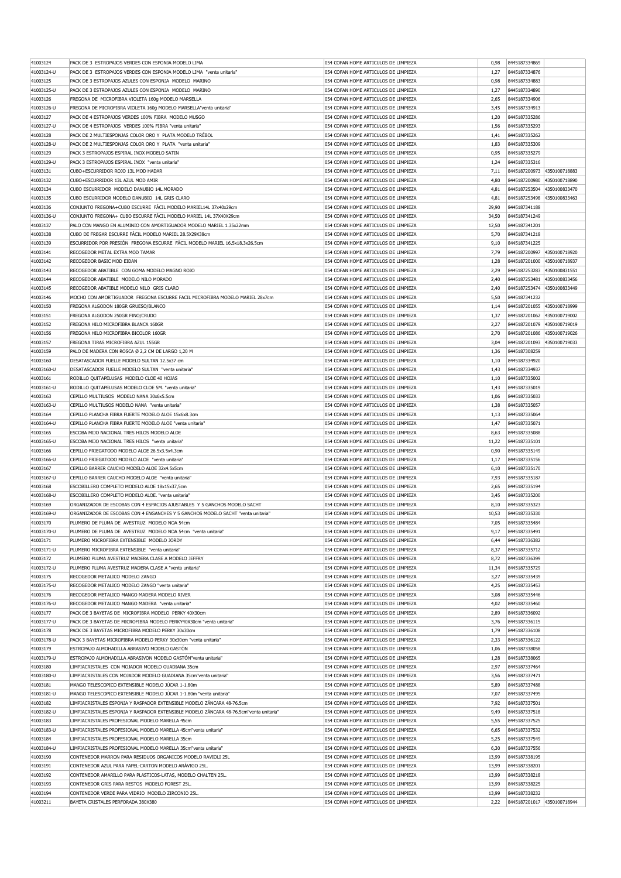| 41003124             | PACK DE 3 ESTROPAIOS VERDES CON ESPONIA MODELO LIMA                                     | 054 COFAN HOME ARTICULOS DE LIMPIEZA                                         | 0,98          | 8445187334869                                |               |
|----------------------|-----------------------------------------------------------------------------------------|------------------------------------------------------------------------------|---------------|----------------------------------------------|---------------|
| 41003124-U           | PACK DE 3 ESTROPAJOS VERDES CON ESPONJA MODELO LIMA "venta unitaria"                    | 054 COFAN HOME ARTICULOS DE LIMPIEZA                                         | 1,27          | 8445187334876                                |               |
|                      |                                                                                         |                                                                              |               |                                              |               |
| 41003125             | PACK DE 3 ESTROPAJOS AZULES CON ESPONJA MODELO MARINO                                   | 054 COFAN HOME ARTICULOS DE LIMPIEZA                                         | 0,98          | 8445187334883                                |               |
| 41003125-U           | PACK DE 3 ESTROPAJOS AZULES CON ESPONJA MODELO MARINO                                   | 054 COFAN HOME ARTICULOS DE LIMPIEZA                                         | 1,27          | 8445187334890                                |               |
| 41003126             | FREGONA DE MICROFIBRA VIOLETA 160g MODELO MARSELLA                                      | 054 COFAN HOME ARTICULOS DE LIMPIEZA                                         | 2,65          | 8445187334906                                |               |
| 41003126-U           | FREGONA DE MICROFIBRA VIOLETA 160g MODELO MARSELLA"venta unitaria"                      | 054 COFAN HOME ARTICULOS DE LIMPIEZA                                         | 3,45          | 8445187334913                                |               |
| 41003127             | PACK DE 4 ESTROPAJOS VERDES 100% FIBRA MODELO MUSGO                                     | 054 COFAN HOME ARTICULOS DE LIMPIEZA                                         | 1.20          | 8445187335286                                |               |
|                      |                                                                                         |                                                                              |               |                                              |               |
| 41003127-U           | PACK DE 4 ESTROPAJOS VERDES 100% FIBRA "venta unitaria"                                 | 054 COFAN HOME ARTICULOS DE LIMPIEZA                                         | 1,56          | 8445187335293                                |               |
| 41003128             | PACK DE 2 MULTIESPONJAS COLOR ORO Y PLATA MODELO TREBOL                                 | 054 COFAN HOME ARTICULOS DE LIMPIEZA                                         | 1,41          | 8445187335262                                |               |
| 41003128-U           | PACK DE 2 MULTIESPONJAS COLOR ORO Y PLATA "venta unitaria"                              | 054 COFAN HOME ARTICULOS DE LIMPIEZA                                         | 1,83          | 8445187335309                                |               |
| 41003129             | PACK 3 ESTROPAJOS ESPIRAL INOX MODELO SATIN                                             | 054 COFAN HOME ARTICULOS DE LIMPIEZA                                         | 0,95          | 8445187335279                                |               |
|                      |                                                                                         |                                                                              |               |                                              |               |
| 41003129-U           | PACK 3 ESTROPAJOS ESPIRAL INOX "venta unitaria"                                         | 054 COFAN HOME ARTICULOS DE LIMPIEZA                                         | 1,24          | 8445187335316                                |               |
| 41003131             | CUBO+ESCURRIDOR ROJO 13L MOD HADAR                                                      | 054 COFAN HOME ARTICULOS DE LIMPIEZA                                         | 7,11          | 8445187200973 4350100718883                  |               |
| 41003132             | CUBO+ESCURRIDOR 13L AZUL MOD AMIR                                                       | 054 COFAN HOME ARTICULOS DE LIMPIEZA                                         | 4,80          | 8445187200980 4350100718890                  |               |
| 41003134             | CUBO ESCURRIDOR MODELO DANUBIO 14L.MORADO                                               | 054 COFAN HOME ARTICULOS DE LIMPIEZA                                         | 4,81          | 8445187253504 4350100833470                  |               |
|                      |                                                                                         |                                                                              |               |                                              |               |
| 41003135             | CUBO ESCURRIDOR MODELO DANUBIO 14L GRIS CLARO                                           | 054 COFAN HOME ARTICULOS DE LIMPIEZA                                         | 4,81          | 8445187253498                                | 4350100833463 |
| 41003136             | CONJUNTO FREGONA+CUBO ESCURRE FÁCIL MODELO MARIEL14L 37x40x29cm                         | 054 COFAN HOME ARTICULOS DE LIMPIEZA                                         | 29,90         | 8445187341188                                |               |
| 41003136-U           | CONJUNTO FREGONA+ CUBO ESCURRE FÁCIL MODELO MARIEL 14L 37X40X29cm                       | 054 COFAN HOME ARTICULOS DE LIMPIEZA                                         | 34,50         | 8445187341249                                |               |
| 41003137             | PALO CON MANGO EN ALUMINIO CON AMORTIGUADOR MODELO MARIEL 1.35x22mm                     | 054 COFAN HOME ARTICULOS DE LIMPIEZA                                         | 12,50         | 8445187341201                                |               |
| 41003138             | CUBO DE FREGAR ESCURRE FÁCIL MODELO MARIEL 28.5X29X38cm                                 | 054 COFAN HOME ARTICULOS DE LIMPIEZA                                         | 5,70          | 8445187341218                                |               |
|                      |                                                                                         |                                                                              |               |                                              |               |
| 41003139             | ESCURRIDOR POR PRESIÓN FREGONA ESCURRE FÁCIL MODELO MARIEL 16.5x18.3x26.5cm             | 054 COFAN HOME ARTICULOS DE LIMPIEZA                                         | 9,10          | 8445187341225                                |               |
| 41003141             | RECOGEDOR METAL EXTRA MOD TAMAR                                                         | 054 COFAN HOME ARTICULOS DE LIMPIEZA                                         | 7,79          | 8445187200997 4350100718920                  |               |
| 41003142             | RECOGEDOR BASIC MOD EIDAN                                                               | 054 COFAN HOME ARTICULOS DE LIMPIEZA                                         | 1,28          | 8445187201000 4350100718937                  |               |
| 41003143             | RECOGEDOR ABATIBLE CON GOMA MODELO MAGNO ROJO                                           | 054 COFAN HOME ARTICULOS DE LIMPIEZA                                         | 2,29          | 8445187253283                                | 4350100831551 |
|                      |                                                                                         |                                                                              |               |                                              |               |
| 41003144             | RECOGEDOR ABATIBLE MODELO NILO MORADO                                                   | 054 COFAN HOME ARTICULOS DE LIMPIEZA                                         | 2,40          | 8445187253481                                | 4350100833456 |
| 41003145             | RECOGEDOR ABATIBLE MODELO NILO GRIS CLARO                                               | 054 COFAN HOME ARTICULOS DE LIMPIEZA                                         | 2,40          | 8445187253474                                | 4350100833449 |
| 41003146             | MOCHO CON AMORTIGUADOR FREGONA ESCURRE FACIL MICROFIBRA MODELO MARIEL 28x7cm            | 054 COFAN HOME ARTICULOS DE LIMPIEZA                                         | 5,50          | 8445187341232                                |               |
| 41003150             | FREGONA ALGODON 180GR GRUESO/BLANCO                                                     | 054 COFAN HOME ARTICULOS DE LIMPIEZA                                         | 1,14          | 8445187201055 4350100718999                  |               |
|                      |                                                                                         |                                                                              |               |                                              |               |
| 41003151             | FREGONA ALGODON 250GR FINO/CRUDO                                                        | 054 COFAN HOME ARTICULOS DE LIMPIEZA                                         | 1,37          | 8445187201062                                | 4350100719002 |
| 41003152             | FREGONA HILO MICROFIBRA BLANCA 160GR                                                    | 054 COFAN HOME ARTICULOS DE LIMPIEZA                                         | 2,27          | 8445187201079 4350100719019                  |               |
| 41003156             | FREGONA HILO MICROFIBRA BICOLOR 160GR                                                   | 054 COFAN HOME ARTICULOS DE LIMPIEZA                                         | 2,70          | 8445187201086 4350100719026                  |               |
| 41003157             | FREGONA TIRAS MICROFIBRA AZUL 155GR                                                     | 054 COFAN HOME ARTICULOS DE LIMPIEZA                                         | 3,04          | 8445187201093                                | 4350100719033 |
|                      |                                                                                         |                                                                              |               |                                              |               |
| 41003159             | PALO DE MADERA CON ROSCA Ø 2,2 CM DE LARGO 1,20 M                                       | 054 COFAN HOME ARTICULOS DE LIMPIEZA                                         | 1,36          | 8445187308259                                |               |
| 41003160             | DESATASCADOR FUELLE MODELO SULTAN 12.5x37 cm                                            | 054 COFAN HOME ARTICULOS DE LIMPIEZA                                         | 1,10          | 8445187334920                                |               |
| 41003160-U           | DESATASCADOR FUELLE MODELO SULTAN "venta unitaria"                                      | 054 COFAN HOME ARTICULOS DE LIMPIEZA                                         | 1,43          | 8445187334937                                |               |
|                      | RODILLO QUITAPELUSAS MODELO CLOE 40 HOJAS                                               | 054 COFAN HOME ARTICULOS DE LIMPIEZA                                         | 1,10          |                                              |               |
| 41003161             |                                                                                         |                                                                              |               | 8445187335002                                |               |
| 41003161-U           | RODILLO QUITAPELUSAS MODELO CLOE 5M. "venta unitaria"                                   | 054 COFAN HOME ARTICULOS DE LIMPIEZA                                         | 1,43          | 8445187335019                                |               |
| 41003163             | CEPILLO MULTIUSOS MODELO NANA 30x6x5.5cm                                                | 054 COFAN HOME ARTICULOS DE LIMPIEZA                                         | 1,06          | 8445187335033                                |               |
| 41003163-U           | CEPILLO MULTIUSOS MODELO NANA "venta unitaria"                                          | 054 COFAN HOME ARTICULOS DE LIMPIEZA                                         | 1,38          | 8445187335057                                |               |
| 41003164             | CEPILLO PLANCHA FIBRA FUERTE MODELO ALOE 15x6x8.3cm                                     | 054 COFAN HOME ARTICULOS DE LIMPIEZA                                         | 1,13          | 8445187335064                                |               |
|                      |                                                                                         |                                                                              |               |                                              |               |
| 41003164-U           | CEPILLO PLANCHA FIBRA FUERTE MODELO ALOE "venta unitaria"                               | 054 COFAN HOME ARTICULOS DE LIMPIEZA                                         | 1,47          | 8445187335071                                |               |
|                      |                                                                                         |                                                                              |               |                                              |               |
| 41003165             | ESCOBA MIJO NACIONAL TRES HILOS MODELO ALOE                                             | 054 COFAN HOME ARTICULOS DE LIMPIEZA                                         | 8,63          | 8445187335088                                |               |
|                      |                                                                                         |                                                                              |               |                                              |               |
| 41003165-U           | ESCOBA MIJO NACIONAL TRES HILOS "venta unitaria"                                        | 054 COFAN HOME ARTICULOS DE LIMPIEZA                                         | 11,22         | 8445187335101                                |               |
| 41003166             | CEPILLO FRIEGATODO MODELO ALOE 26.5x3.5x4.3cm                                           | 054 COFAN HOME ARTICULOS DE LIMPIEZA                                         | 0,90          | 8445187335149                                |               |
| 41003166-U           | CEPILLO FRIEGATODO MODELO ALOE "venta unitaria"                                         | 054 COFAN HOME ARTICULOS DE LIMPIEZA                                         | 1,17          | 8445187335156                                |               |
| 41003167             | CEPILLO BARRER CAUCHO MODELO ALOE 32x4.5x5cm                                            | 054 COFAN HOME ARTICULOS DE LIMPIEZA                                         | 6,10          | 8445187335170                                |               |
|                      |                                                                                         |                                                                              |               |                                              |               |
| 41003167-U           | CEPILLO BARRER CAUCHO MODELO ALOE "venta unitaria"                                      | 054 COFAN HOME ARTICULOS DE LIMPIEZA                                         | 7,93          | 8445187335187                                |               |
| 41003168             | ESCOBILLERO COMPLETO MODELO ALOE 18x15x37.5cm                                           | 054 COFAN HOME ARTICULOS DE LIMPIEZA                                         | 2,65          | 8445187335194                                |               |
| 41003168-U           | ESCOBILLERO COMPLETO MODELO ALOE. "venta unitaria"                                      | 054 COFAN HOME ARTICULOS DE LIMPIEZA                                         | 3,45          | 8445187335200                                |               |
| 41003169             | ORGANIZADOR DE ESCOBAS CON 4 ESPACIOS AJUSTABLES Y 5 GANCHOS MODELO SACHT               | 054 COFAN HOME ARTICULOS DE LIMPIEZA                                         | 8,10          | 8445187335323                                |               |
|                      |                                                                                         |                                                                              |               |                                              |               |
| 41003169-U           | ORGANIZADOR DE ESCOBAS CON 4 ENGANCHES Y 5 GANCHOS MODELO SACHT "venta unitaria"        | 054 COFAN HOME ARTICULOS DE LIMPIEZA                                         | 10,53         | 8445187335330                                |               |
| 41003170             | PLUMERO DE PLUMA DE AVESTRUZ MODELO NOA 54cm                                            | 054 COFAN HOME ARTICULOS DE LIMPIEZA                                         | 7,05          | 8445187335484                                |               |
| 41003170-U           | PLUMERO DE PLUMA DE AVESTRUZ MODELO NOA 54cm "venta unitaria"                           | 054 COFAN HOME ARTICULOS DE LIMPIEZA                                         | 9,17          | 8445187335491                                |               |
| 41003171             | PLUMERO MICROFIBRA EXTENSIBLE MODELO JORDY                                              | 054 COFAN HOME ARTICULOS DE LIMPIEZA                                         | 6,44          | 8445187336382                                |               |
| 41003171-U           | PLUMERO MICROFIBRA EXTENSIBLE "venta unitaria"                                          | 054 COFAN HOME ARTICULOS DE LIMPIEZA                                         | 8,37          | 8445187335712                                |               |
|                      |                                                                                         |                                                                              |               |                                              |               |
| 41003172             | PLUMERO PLUMA AVESTRUZ MADERA CLASE A MODELO JEFFRY                                     | 054 COFAN HOME ARTICULOS DE LIMPIEZA                                         | 8,72          | 8445187336399                                |               |
| 41003172-U           | PLUMERO PLUMA AVESTRUZ MADERA CLASE A "venta unitaria"                                  | 054 COFAN HOME ARTICULOS DE LIMPIEZA                                         | 11,34         | 8445187335729                                |               |
| 41003175             | RECOGEDOR METALICO MODELO ZANGO                                                         | 054 COFAN HOME ARTICULOS DE LIMPIEZA                                         | 3,27          | 8445187335439                                |               |
| 41003175-U           | RECOGEDOR METALICO MODELO ZANGO "venta unitaria"                                        | 054 COFAN HOME ARTICULOS DE LIMPIEZA                                         | 4,25          | 8445187335453                                |               |
|                      | RECOGEDOR METALICO MANGO MADERA MODELO RIVER                                            | 054 COFAN HOME ARTICULOS DE LIMPIEZA                                         |               |                                              |               |
| 41003176             |                                                                                         |                                                                              | 3,08          | 8445187335446                                |               |
| 41003176-U           | RECOGEDOR METALICO MANGO MADERA "venta unitaria"                                        | 054 COFAN HOME ARTICULOS DE LIMPIEZA                                         | 4,02          | 8445187335460                                |               |
| 41003177             | PACK DE 3 BAYETAS DE MICROFIBRA MODELO PERKY 40X30cm                                    | 054 COFAN HOME ARTICULOS DE LIMPIEZA                                         | 2,89          | 8445187336092                                |               |
| 41003177-U           | PACK DE 3 BAYETAS DE MICROFIBRA MODELO PERKY40X30cm "venta unitaria"                    | 054 COFAN HOME ARTICULOS DE LIMPIEZA                                         | 3,76          | 8445187336115                                |               |
|                      |                                                                                         |                                                                              |               |                                              |               |
| 41003178             | PACK DE 3 BAYETAS MICROFIBRA MODELO PERKY 30x30cm                                       | 054 COFAN HOME ARTICULOS DE LIMPIEZA                                         | 1,79          | 8445187336108                                |               |
| 41003178-U           | PACK 3 BAYETAS MICROFIBRA MODELO PERKY 30x30cm "venta unitaria"                         | 054 COFAN HOME ARTICULOS DE LIMPIEZA                                         | 2,33          | 8445187336122                                |               |
| 41003179             | ESTROPAJO ALMOHADILLA ABRASIVO MODELO GASTÓN                                            | 054 COFAN HOME ARTICULOS DE LIMPIEZA                                         | 1,06          | 8445187338058                                |               |
| 41003179-U           | ESTROPAJO ALMOHADILLA ABRASIVON MODELO GASTÓN"venta unitaria"                           | 054 COFAN HOME ARTICULOS DE LIMPIEZA                                         | 1,28          | 8445187338065                                |               |
| 41003180             | LIMPIACRISTALES CON MOJADOR MODELO GUADIANA 35cm                                        | 054 COFAN HOME ARTICULOS DE LIMPIEZA                                         | 2,97          | 8445187337464                                |               |
|                      |                                                                                         |                                                                              |               |                                              |               |
| 41003180-U           | LIMPIACRISTALES CON MOJADOR MODELO GUADIANA 35cm"venta unitaria"                        | 054 COFAN HOME ARTICULOS DE LIMPIEZA                                         | 3,56          | 8445187337471                                |               |
| 41003181             | MANGO TELESCOPICO EXTENSIBLE MODELO JÚCAR 1-1.80m                                       | 054 COFAN HOME ARTICULOS DE LIMPIEZA                                         | 5,89          | 8445187337488                                |               |
| 41003181-U           | MANGO TELESCOPICO EXTENSIBLE MODELO JÚCAR 1-1.80m "venta unitaria"                      | 054 COFAN HOME ARTICULOS DE LIMPIEZA                                         | 7,07          | 8445187337495                                |               |
| 41003182             | LIMPIACRISTALES ESPONJA Y RASPADOR EXTENSIBLE MODELO ZÁNCARA 48-76.5cm                  | 054 COFAN HOME ARTICULOS DE LIMPIEZA                                         | 7,92          | 8445187337501                                |               |
|                      |                                                                                         |                                                                              |               |                                              |               |
| 41003182-U           | LIMPIACRISTALES ESPONJA Y RASPADOR EXTENSIBLE MODELO ZÁNCARA 48-76.5cm"venta unitaria"  | 054 COFAN HOME ARTICULOS DE LIMPIEZA                                         | 9,49          | 8445187337518                                |               |
| 41003183             | LIMPIACRISTALES PROFESIONAL MODELO MARELLA 45cm                                         | 054 COFAN HOME ARTICULOS DE LIMPIEZA                                         | 5,55          | 8445187337525                                |               |
| 41003183-U           | LIMPIACRISTALES PROFESIONAL MODELO MARELLA 45cm"venta unitaria"                         | 054 COFAN HOME ARTICULOS DE LIMPIEZA                                         | 6,65          | 8445187337532                                |               |
| 41003184             | LIMPIACRISTALES PROFESIONAL MODELO MARELLA 35cm                                         | 054 COFAN HOME ARTICULOS DE LIMPIEZA                                         | 5,25          | 8445187337549                                |               |
|                      |                                                                                         |                                                                              |               |                                              |               |
| 41003184-U           | LIMPIACRISTALES PROFESIONAL MODELO MARELLA 35cm"venta unitaria"                         | 054 COFAN HOME ARTICULOS DE LIMPIEZA                                         | 6,30          | 8445187337556                                |               |
| 41003190             | CONTENEDOR MARRON PARA RESIDUOS ORGANICOS MODELO RAVIOLI 25L                            | 054 COFAN HOME ARTICULOS DE LIMPIEZA                                         | 13,99         | 8445187338195                                |               |
| 41003191             | CONTENEDOR AZUL PARA PAPEL-CARTON MODELO ARÁVIGO 25L.                                   | 054 COFAN HOME ARTICULOS DE LIMPIEZA                                         | 13,99         | 8445187338201                                |               |
| 41003192             | CONTENEDOR AMARILLO PARA PLASTICOS-LATAS, MODELO CHALTEN 25L.                           | 054 COFAN HOME ARTICULOS DE LIMPIEZA                                         | 13,99         | 8445187338218                                |               |
|                      |                                                                                         |                                                                              |               |                                              |               |
| 41003193             | CONTENEDOR GRIS PARA RESTOS MODELO FOREST 25L.                                          | 054 COFAN HOME ARTICULOS DE LIMPIEZA                                         | 13,99         | 8445187338225                                |               |
| 41003194<br>41003211 | CONTENEDOR VERDE PARA VIDRIO MODELO ZIRCONIO 25L.<br>BAYETA CRISTALES PERFORADA 380X380 | 054 COFAN HOME ARTICULOS DE LIMPIEZA<br>054 COFAN HOME ARTICULOS DE LIMPIEZA | 13,99<br>2,22 | 8445187338232<br>8445187201017 4350100718944 |               |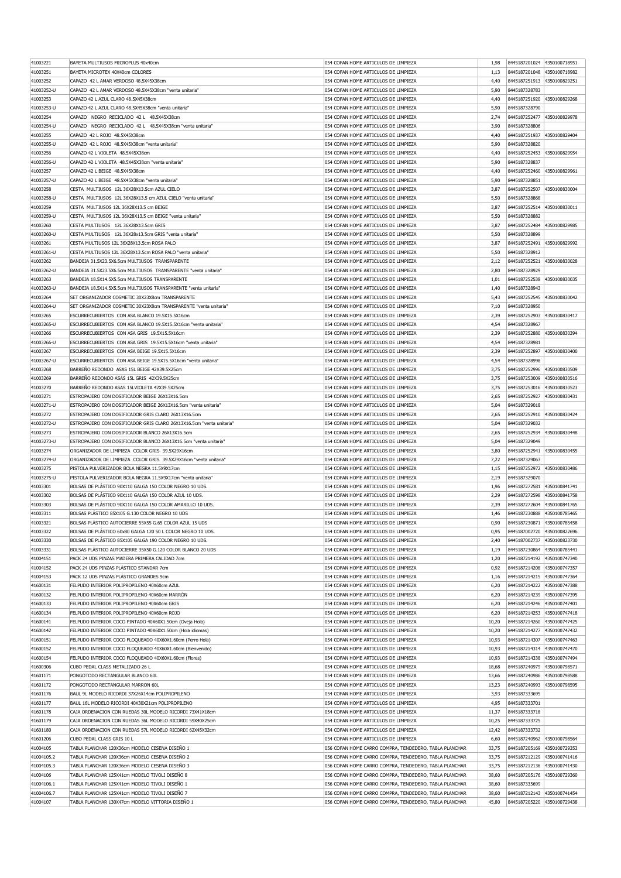| 41003221   | BAYETA MULTIUSOS MICROPLUS 40x40cm                                   | 054 COFAN HOME ARTICULOS DE LIMPIEZA                   | 1.98  | 8445187201024 4350100718951    |                             |
|------------|----------------------------------------------------------------------|--------------------------------------------------------|-------|--------------------------------|-----------------------------|
| 41003251   | BAYETA MICROTEX 40X40cm COLORES                                      | 054 COFAN HOME ARTICULOS DE LIMPIEZA                   | 1,13  | 8445187201048 4350100718982    |                             |
| 41003252   | CAPAZO 42 L AMAR VERDOSO 48.5X45X38cm                                | 054 COFAN HOME ARTICULOS DE LIMPIEZA                   | 4,40  | 8445187251913 4350100829251    |                             |
| 41003252-U | CAPAZO 42 L AMAR VERDOSO 48.5X45X38cm "venta unitaria"               | 054 COFAN HOME ARTICULOS DE LIMPIEZA                   | 5,90  | 8445187328783                  |                             |
| 41003253   | CAPAZO 42 L AZUL CLARO 48.5X45X38cm                                  | 054 COFAN HOME ARTICULOS DE LIMPIEZA                   | 4,40  | 8445187251920 4350100829268    |                             |
| 41003253-U | CAPAZO 42 L AZUL CLARO 48.5X45X38cm "venta unitaria"                 | 054 COFAN HOME ARTICULOS DE LIMPIEZA                   | 5,90  | 8445187328790                  |                             |
| 41003254   | CAPAZO NEGRO RECICLADO 42 L 48.5X45X38cm                             | 054 COFAN HOME ARTICULOS DE LIMPIEZA                   | 2,74  | 8445187252477 4350100829978    |                             |
| 41003254-U | CAPAZO NEGRO RECICLADO 42 L 48.5X45X38cm "venta unitaria"            | 054 COFAN HOME ARTICULOS DE LIMPIEZA                   | 3,90  | 8445187328806                  |                             |
| 41003255   | CAPAZO 42 L ROJO 48.5X45X38cm                                        | 054 COFAN HOME ARTICULOS DE LIMPIEZA                   | 4,40  | 8445187251937 4350100829404    |                             |
| 41003255-U | CAPAZO 42 L ROJO 48.5X45X38cm "venta unitaria"                       | 054 COFAN HOME ARTICULOS DE LIMPIEZA                   | 5,90  | 8445187328820                  |                             |
| 41003256   | CAPAZO 42 L VIOLETA 48.5X45X38cm                                     | 054 COFAN HOME ARTICULOS DE LIMPIEZA                   | 4,40  | 8445187252453                  | 4350100829954               |
| 41003256-U | CAPAZO 42 L VIOLETA 48.5X45X38cm "venta unitaria"                    | 054 COFAN HOME ARTICULOS DE LIMPIEZA                   | 5,90  | 8445187328837                  |                             |
| 41003257   | CAPAZO 42 L BEIGE 48.5X45X38cm                                       | 054 COFAN HOME ARTICULOS DE LIMPIEZA                   | 4,40  | 8445187252460                  | 4350100829961               |
| 41003257-U | CAPAZO 42 L BEIGE 48.5X45X38cm "venta unitaria"                      | 054 COFAN HOME ARTICULOS DE LIMPIEZA                   | 5,90  | 8445187328851                  |                             |
| 41003258   | CESTA MULTIUSOS 12L 36X28X13.5cm AZUL CIELO                          | 054 COFAN HOME ARTICULOS DE LIMPIEZA                   | 3,87  | 8445187252507                  | 4350100830004               |
| 41003258-U | CESTA MULTIUSOS 12L 36X28X13.5 cm AZUL CIELO "venta unitaria"        | 054 COFAN HOME ARTICULOS DE LIMPIEZA                   | 5,50  | 8445187328868                  |                             |
| 41003259   | CESTA MULTIUSOS 12L 36X28X13.5 cm BEIGE                              | 054 COFAN HOME ARTICULOS DE LIMPIEZA                   | 3,87  | 8445187252514 4350100830011    |                             |
| 41003259-U | CESTA MULTIUSOS 12L 36X28X13.5 cm BEIGE "venta unitaria"             | 054 COFAN HOME ARTICULOS DE LIMPIEZA                   | 5,50  | 8445187328882                  |                             |
| 41003260   | CESTA MULTIUSOS 12L 36X28X13.5cm GRIS                                | 054 COFAN HOME ARTICULOS DE LIMPIEZA                   | 3,87  | 8445187252484                  | 4350100829985               |
| 41003260-U | CESTA MULTIUSOS 12L 36X28x13.5cm GRIS "venta unitaria"               | 054 COFAN HOME ARTICULOS DE LIMPIEZA                   | 5,50  | 8445187328899                  |                             |
| 41003261   | CESTA MULTIUSOS 12L 36X28X13.5cm ROSA PALO                           | 054 COFAN HOME ARTICULOS DE LIMPIEZA                   | 3,87  |                                | 8445187252491 4350100829992 |
| 41003261-U | CESTA MULTIUSOS 12L 36X28X13.5cm ROSA PALO "venta unitaria"          | 054 COFAN HOME ARTICULOS DE LIMPIEZA                   | 5,50  | 8445187328912                  |                             |
| 41003262   | BANDEJA 31.5X23.5X6.5cm MULTIUSOS TRANSPARENTE                       | 054 COFAN HOME ARTICULOS DE LIMPIEZA                   | 2,12  | 8445187252521 4350100830028    |                             |
| 41003262-U | BANDEJA 31.5X23.5X6.5cm MULTIUSOS TRANSPARENTE "venta unitaria"      | 054 COFAN HOME ARTICULOS DE LIMPIEZA                   | 2,80  | 8445187328929                  |                             |
| 41003263   | BANDEJA 18.5X14.5X5.5cm MULTIUSOS TRANSPARENTE                       | 054 COFAN HOME ARTICULOS DE LIMPIEZA                   | 1,01  | 8445187252538 4350100830035    |                             |
| 41003263-U | BANDEJA 18.5X14.5X5.5cm MULTIUSOS TRANSPARENTE "venta unitaria"      | 054 COFAN HOME ARTICULOS DE LIMPIEZA                   | 1,40  | 8445187328943                  |                             |
| 41003264   | SET ORGANIZADOR COSMETIC 30X23X8cm TRANSPARENTE                      | 054 COFAN HOME ARTICULOS DE LIMPIEZA                   | 5,43  | 8445187252545                  | 4350100830042               |
| 41003264-U | SET ORGANIZADOR COSMETIC 30X23X8cm TRANSPARENTE "venta unitaria"     | 054 COFAN HOME ARTICULOS DE LIMPIEZA                   | 7,10  | 8445187328950                  |                             |
| 41003265   | ESCURRECUBIERTOS CON ASA BLANCO 19.5X15.5X16cm                       | 054 COFAN HOME ARTICULOS DE LIMPIEZA                   | 2,39  | 8445187252903                  | 4350100830417               |
| 41003265-U | ESCURRECUBIERTOS CON ASA BLANCO 19.5X15.5X16cm "venta unitaria"      | 054 COFAN HOME ARTICULOS DE LIMPIEZA                   | 4,54  | 8445187328967                  |                             |
| 41003266   | ESCURRECUBIERTOS CON ASA GRIS 19.5X15.5X16cm                         | 054 COFAN HOME ARTICULOS DE LIMPIEZA                   | 2,39  | 8445187252880                  | 4350100830394               |
| 41003266-U | ESCURRECUBIERTOS CON ASA GRIS 19.5X15.5X16cm "venta unitaria"        | 054 COFAN HOME ARTICULOS DE LIMPIEZA                   | 4,54  | 8445187328981                  |                             |
| 41003267   | ESCURRECUBIERTOS CON ASA BEIGE 19.5X15.5X16cm                        | 054 COFAN HOME ARTICULOS DE LIMPIEZA                   | 2,39  | 8445187252897 4350100830400    |                             |
| 41003267-U | ESCURRECUBIERTOS CON ASA BEIGE 19.5X15.5X16cm "venta unitaria"       | 054 COFAN HOME ARTICULOS DE LIMPIEZA                   | 4,54  | 8445187328998                  |                             |
| 41003268   | BARREÑO REDONDO ASAS 15L BEIGE 42X39.5X25cm                          | 054 COFAN HOME ARTICULOS DE LIMPIEZA                   | 3,75  | 8445187252996 4350100830509    |                             |
|            |                                                                      | 054 COFAN HOME ARTICULOS DE LIMPIEZA                   |       |                                |                             |
| 41003269   | BARREÑO REDONDO ASAS 15L GRIS 42X39.5X25cm                           |                                                        | 3,75  | 8445187253009<br>8445187253016 | 4350100830516               |
| 41003270   | BARREÑO REDONDO ASAS 15LVIOLETA 42X39.5X25cm                         | 054 COFAN HOME ARTICULOS DE LIMPIEZA                   | 3,75  |                                | 4350100830523               |
| 41003271   | ESTROPAJERO CON DOSIFICADOR BEIGE 26X13X16.5cm                       | 054 COFAN HOME ARTICULOS DE LIMPIEZA                   | 2,65  | 8445187252927                  | 4350100830431               |
| 41003271-U | ESTROPAJERO CON DOSIFICADOR BEIGE 26X13X16.5cm "venta unitaria"      | 054 COFAN HOME ARTICULOS DE LIMPIEZA                   | 5,04  | 8445187329018                  |                             |
| 41003272   | ESTROPAJERO CON DOSIFICADOR GRIS CLARO 26X13X16.5cm                  | 054 COFAN HOME ARTICULOS DE LIMPIEZA                   | 2,65  | 8445187252910 4350100830424    |                             |
| 41003272-U | ESTROPAJERO CON DOSIFICADOR GRIS CLARO 26X13X16.5cm "venta unitaria" | 054 COFAN HOME ARTICULOS DE LIMPIEZA                   | 5,04  | 8445187329032                  |                             |
| 41003273   | ESTROPAJERO CON DOSIFICADOR BLANCO 26X13X16.5cm                      | 054 COFAN HOME ARTICULOS DE LIMPIEZA                   | 2,65  |                                | 8445187252934 4350100830448 |
| 41003273-U | ESTROPAJERO CON DOSIFICADOR BLANCO 26X13X16.5cm "venta unitaria"     | 054 COFAN HOME ARTICULOS DE LIMPIEZA                   | 5,04  | 8445187329049                  |                             |
| 41003274   | ORGANIZADOR DE LIMPIEZA COLOR GRIS 39.5X29X16cm                      | 054 COFAN HOME ARTICULOS DE LIMPIEZA                   | 3,80  | 8445187252941 4350100830455    |                             |
| 41003274-U | ORGANIZADOR DE LIMPIEZA COLOR GRIS 39.5X29X16cm "venta unitaria"     | 054 COFAN HOME ARTICULOS DE LIMPIEZA                   | 7,22  | 8445187329063                  |                             |
| 41003275   | PISTOLA PULVERIZADOR BOLA NEGRA 11.5X9X17cm                          | 054 COFAN HOME ARTICULOS DE LIMPIEZA                   | 1,15  | 8445187252972 4350100830486    |                             |
| 41003275-U | PISTOLA PULVERIZADOR BOLA NEGRA 11.5X9X17cm "venta unitaria"         | 054 COFAN HOME ARTICULOS DE LIMPIEZA                   | 2,19  | 8445187329070                  |                             |
| 41003301   | BOLSAS DE PLÁSTICO 90X110 GALGA 150 COLOR NEGRO 10 UDS.              | 054 COFAN HOME ARTICULOS DE LIMPIEZA                   | 1,96  | 8445187272581 4350100841741    |                             |
| 41003302   | BOLSAS DE PLÁSTICO 90X110 GALGA 150 COLOR AZUL 10 UDS.               | 054 COFAN HOME ARTICULOS DE LIMPIEZA                   | 2,29  | 8445187272598 4350100841758    |                             |
| 41003303   | BOLSAS DE PLÁSTICO 90X110 GALGA 150 COLOR AMARILLO 10 UDS.           | 054 COFAN HOME ARTICULOS DE LIMPIEZA                   | 2,39  | 8445187272604 4350100841765    |                             |
| 41003311   | BOLSAS PLÁSTICO 85X105 G.130 COLOR NEGRO 10 UDS                      | 054 COFAN HOME ARTICULOS DE LIMPIEZA                   | 1,46  |                                | 8445187230888 4350100785465 |
| 41003321   | BOLSAS PLASTICO AUTOCIERRE 55X55 G.65 COLOR AZUL 15 UDS              | 054 COFAN HOME ARTICULOS DE LIMPIEZA                   | 0,90  | 8445187230871 4350100785458    |                             |
| 41003322   | BOLSAS DE PLÁSTICO 60x80 GALGA 120 50 L COLOR NEGRO 10 UDS.          | 054 COFAN HOME ARTICULOS DE LIMPIEZA                   | 0,95  | 8445187002720 4350100822696    |                             |
| 41003330   | BOLSAS DE PLÁSTICO 85X105 GALGA 190 COLOR NEGRO 10 UDS.              | 054 COFAN HOME ARTICULOS DE LIMPIEZA                   | 2,40  | 8445187002737                  | 4350100823730               |
| 41003331   | BOLSAS PLÁSTICO AUTOCIERRE 35X50 G.120 COLOR BLANCO 20 UDS           | 054 COFAN HOME ARTICULOS DE LIMPIEZA                   | 1,19  |                                | 8445187230864 4350100785441 |
| 41004151   | PACK 24 UDS PINZAS MADERA PRIMERA CALIDAD 7cm                        | 054 COFAN HOME ARTICULOS DE LIMPIEZA                   | 1,20  | 8445187214192                  | 4350100747340               |
| 41004152   | PACK 24 UDS PINZAS PLASTICO STANDAR 7cm                              | 054 COFAN HOME ARTICULOS DE LIMPIEZA                   | 0,92  | 8445187214208 4350100747357    |                             |
| 41004153   | PACK 12 UDS PINZAS PLÁSTICO GRANDES 9cm                              | 054 COFAN HOME ARTICULOS DE LIMPIEZA                   | 1,16  | 8445187214215 4350100747364    |                             |
| 41600131   | FELPUDO INTERIOR POLIPROPILENO 40X60cm AZUL                          | 054 COFAN HOME ARTICULOS DE LIMPIEZA                   | 6,20  | 8445187214222 4350100747388    |                             |
| 41600132   | FELPUDO INTERIOR POLIPROPILENO 40X60cm MARRÓN                        | 054 COFAN HOME ARTICULOS DE LIMPIEZA                   | 6,20  | 8445187214239                  | 4350100747395               |
| 41600133   | FELPUDO INTERIOR POLIPROPILENO 40X60cm GRIS                          | 054 COFAN HOME ARTICULOS DE LIMPIEZA                   | 6,20  | 8445187214246                  | 4350100747401               |
| 41600134   | FELPUDO INTERIOR POLIPROPILENO 40X60cm ROJO                          | 054 COFAN HOME ARTICULOS DE LIMPIEZA                   | 6,20  |                                | 8445187214253 4350100747418 |
| 41600141   | FELPUDO INTERIOR COCO PINTADO 40X60X1.50cm (Oveja Hola)              | 054 COFAN HOME ARTICULOS DE LIMPIEZA                   | 10,20 | 8445187214260                  | 4350100747425               |
| 41600142   | FELPUDO INTERIOR COCO PINTADO 40X60X1.50cm (Hola idiomas)            | 054 COFAN HOME ARTICULOS DE LIMPIEZA                   | 10,20 | 8445187214277                  | 4350100747432               |
| 41600151   | FELPUDO INTERIOR COCO FLOQUEADO 40X60X1.60cm (Perro Hola)            | 054 COFAN HOME ARTICULOS DE LIMPIEZA                   | 10,93 | 8445187214307                  | 4350100747463               |
| 41600152   | FELPUDO INTERIOR COCO FLOQUEADO 40X60X1.60cm (Bienvenido)            | 054 COFAN HOME ARTICULOS DE LIMPIEZA                   | 10,93 | 8445187214314 4350100747470    |                             |
| 41600154   | FELPUDO INTERIOR COCO FLOQUEADO 40X60X1.60cm (Flores)                | 054 COFAN HOME ARTICULOS DE LIMPIEZA                   | 10,93 | 8445187214338 4350100747494    |                             |
| 41600306   | CUBO PEDAL CLASS METALIZADO 26 L                                     | 054 COFAN HOME ARTICULOS DE LIMPIEZA                   | 18,68 | 8445187240979 4350100798571    |                             |
| 41601171   | PONGOTODO RECTANGULAR BLANCO 60L                                     | 054 COFAN HOME ARTICULOS DE LIMPIEZA                   | 13,66 | 8445187240986                  | 4350100798588               |
| 41601172   | PONGOTODO RECTANGULAR MARRON 60L                                     | 054 COFAN HOME ARTICULOS DE LIMPIEZA                   | 13,23 | 8445187240993                  | 4350100798595               |
| 41601176   | BAUL 9L MODELO RICORDI 37X26X14cm POLIPROPILENO                      | 054 COFAN HOME ARTICULOS DE LIMPIEZA                   | 3,93  | 8445187333695                  |                             |
| 41601177   | BAUL 16L MODELO RICORDI 40X30X21cm POLIPROPILENO                     | 054 COFAN HOME ARTICULOS DE LIMPIEZA                   | 4,95  | 8445187333701                  |                             |
| 41601178   | CAJA ORDENACION CON RUEDAS 30L MODELO RICORDI 73X41X18cm             | 054 COFAN HOME ARTICULOS DE LIMPIEZA                   | 11,37 | 8445187333718                  |                             |
| 41601179   | CAJA ORDENACION CON RUEDAS 36L MODELO RICORDI 59X40X25cm             | 054 COFAN HOME ARTICULOS DE LIMPIEZA                   | 10,25 | 8445187333725                  |                             |
| 41601180   | CAJA ORDENACION CON RUEDAS 57L MODELO RICORDI 62X45X32cm             | 054 COFAN HOME ARTICULOS DE LIMPIEZA                   | 12,42 | 8445187333732                  |                             |
| 41601206   | CUBO PEDAL CLASS GRIS 10 L                                           | 054 COFAN HOME ARTICULOS DE LIMPIEZA                   | 6,60  |                                | 8445187240962 4350100798564 |
| 41004105   | TABLA PLANCHAR 120X36cm MODELO CESENA DISEÑO 1                       | 056 COFAN HOME CARRO COMPRA, TENDEDERO, TABLA PLANCHAR | 33,75 | 8445187205169                  | 4350100729353               |
| 41004105.2 | TABLA PLANCHAR 120X36cm MODELO CESENA DISEÑO 2                       | 056 COFAN HOME CARRO COMPRA, TENDEDERO, TABLA PLANCHAR | 33,75 | 8445187212129                  | 4350100741416               |
| 41004105.3 | TABLA PLANCHAR 120X36cm MODELO CESENA DISEÑO 3                       | 056 COFAN HOME CARRO COMPRA, TENDEDERO, TABLA PLANCHAR | 33,75 | 8445187212136                  | 4350100741430               |
| 41004106   | TABLA PLANCHAR 125X41cm MODELO TIVOLI DISEÑO 8                       | 056 COFAN HOME CARRO COMPRA, TENDEDERO, TABLA PLANCHAR | 38,60 | 8445187205176                  | 4350100729360               |
| 41004106.1 | TABLA PLANCHAR 125X41cm MODELO TIVOLI DISEÑO 1                       | 056 COFAN HOME CARRO COMPRA, TENDEDERO, TABLA PLANCHAR | 38,60 | 8445187335699                  |                             |
| 41004106.7 | TABLA PLANCHAR 125X41cm MODELO TIVOLI DISEÑO 7                       | 056 COFAN HOME CARRO COMPRA, TENDEDERO, TABLA PLANCHAR | 38,60 |                                | 8445187212143 4350100741454 |
|            | TABLA PLANCHAR 130X47cm MODELO VITTORIA DISEÑO 1                     | 056 COFAN HOME CARRO COMPRA, TENDEDERO, TABLA PLANCHAR |       |                                | 8445187205220 4350100729438 |
| 41004107   |                                                                      |                                                        | 45,80 |                                |                             |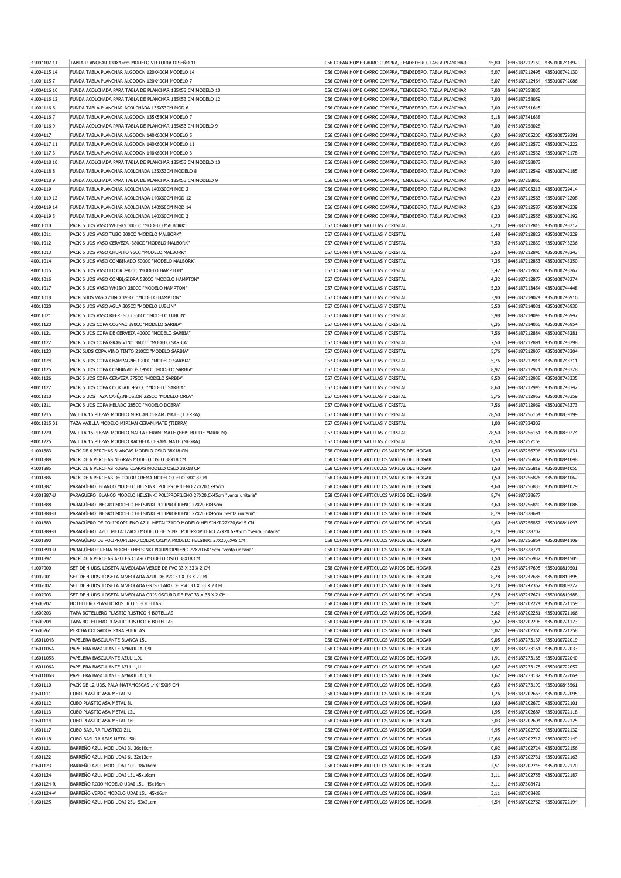| 41004107.11 | TABLA PLANCHAR 130X47cm MODELO VITTORIA DISEÑO 11                                     | 056 COFAN HOME CARRO COMPRA, TENDEDERO, TABLA PLANCHAR                                 | 45.80 | 8445187212150               | 4350100741492 |
|-------------|---------------------------------------------------------------------------------------|----------------------------------------------------------------------------------------|-------|-----------------------------|---------------|
| 41004115.14 | FUNDA TABLA PLANCHAR ALGODON 120X40CM MODELO 14                                       | 056 COFAN HOME CARRO COMPRA, TENDEDERO, TABLA PLANCHAR                                 | 5,07  | 8445187212495               | 4350100742130 |
| 41004115.7  | FUNDA TABLA PLANCHAR ALGODON 120X40CM MODELO 7                                        | 056 COFAN HOME CARRO COMPRA, TENDEDERO, TABLA PLANCHAR                                 | 5,07  | 8445187212464               | 4350100742086 |
| 41004116.10 | FUNDA ACOLCHADA PARA TABLA DE PLANCHAR 135X53 CM MODELO 10                            | 056 COFAN HOME CARRO COMPRA, TENDEDERO, TABLA PLANCHAR                                 | 7,00  | 8445187258035               |               |
| 41004116.12 | FUNDA ACOLCHADA PARA TABLA DE PLANCHAR 135X53 CM MODELO 12                            | 056 COFAN HOME CARRO COMPRA, TENDEDERO, TABLA PLANCHAR                                 | 7,00  | 8445187258059               |               |
| 41004116.6  | FUNDA TABLA PLANCHAR ACOLCHADA 135X53CM MOD.6                                         | 056 COFAN HOME CARRO COMPRA, TENDEDERO, TABLA PLANCHAR                                 | 7,00  | 8445187341645               |               |
| 41004116.7  | FUNDA TABLA PLANCHAR ALGODON 135X53CM MODELO 7                                        | 056 COFAN HOME CARRO COMPRA, TENDEDERO, TABLA PLANCHAR                                 | 5,18  | 8445187341638               |               |
| 41004116.9  | FUNDA ACOLCHADA PARA TABLA DE PLANCHAR 135X53 CM MODELO 9                             | 056 COFAN HOME CARRO COMPRA, TENDEDERO, TABLA PLANCHAR                                 | 7,00  | 8445187258028               |               |
| 41004117    | FUNDA TABLA PLANCHAR ALGODON 140X60CM MODELO 5                                        | 056 COFAN HOME CARRO COMPRA, TENDEDERO, TABLA PLANCHAR                                 | 6,03  | 8445187205206 4350100729391 |               |
| 41004117.11 | FUNDA TABLA PLANCHAR ALGODON 140X60CM MODELO 11                                       | 056 COFAN HOME CARRO COMPRA, TENDEDERO, TABLA PLANCHAR                                 | 6,03  | 8445187212570               | 4350100742222 |
| 41004117.3  | FUNDA TABLA PLANCHAR ALGODON 140X60CM MODELO 3                                        | 056 COFAN HOME CARRO COMPRA, TENDEDERO, TABLA PLANCHAR                                 | 6,03  | 8445187212532               | 4350100742178 |
| 41004118.10 | FUNDA ACOLCHADA PARA TABLA DE PLANCHAR 135X53 CM MODELO 10                            | 056 COFAN HOME CARRO COMPRA, TENDEDERO, TABLA PLANCHAR                                 | 7,00  | 8445187258073               |               |
| 41004118.8  | FUNDA TABLA PLANCHAR ACOLCHADA 135X53CM MODELO 8                                      | 056 COFAN HOME CARRO COMPRA, TENDEDERO, TABLA PLANCHAR                                 | 7,00  | 8445187212549 4350100742185 |               |
|             |                                                                                       |                                                                                        |       |                             |               |
| 41004118.9  | FUNDA ACOLCHADA PARA TABLA DE PLANCHAR 135X53 CM MODELO 9                             | 056 COFAN HOME CARRO COMPRA, TENDEDERO, TABLA PLANCHAR                                 | 7,00  | 8445187258066               |               |
| 41004119    | FUNDA TABLA PLANCHAR ACOLCHADA 140X60CM MOD 2                                         | 056 COFAN HOME CARRO COMPRA, TENDEDERO, TABLA PLANCHAR                                 | 8,20  | 8445187205213 4350100729414 |               |
| 41004119.12 | FUNDA TABLA PLANCHAR ACOLCHADA 140X60CM MOD 12                                        | 056 COFAN HOME CARRO COMPRA, TENDEDERO, TABLA PLANCHAR                                 | 8,20  | 8445187212563 4350100742208 |               |
| 41004119.14 | FUNDA TABLA PLANCHAR ACOLCHADA 140X60CM MOD 14                                        | 056 COFAN HOME CARRO COMPRA, TENDEDERO, TABLA PLANCHAR                                 | 8,20  | 8445187212587               | 4350100742239 |
| 41004119.3  | FUNDA TABLA PLANCHAR ACOLCHADA 140X60CM MOD 3                                         | 056 COFAN HOME CARRO COMPRA, TENDEDERO, TABLA PLANCHAR                                 | 8.20  | 8445187212556               | 4350100742192 |
| 40011010    | PACK 6 UDS VASO WHISKY 300CC "MODELO MALBORK"                                         | 057 COFAN HOME VAJILLAS Y CRISTAL                                                      | 6,20  | 8445187212815               | 4350100743212 |
| 40011011    | PACK 6 UDS VASO TUBO 300CC "MODELO MALBORK"                                           | 057 COFAN HOME VAJILLAS Y CRISTAL                                                      | 5,48  | 8445187212822               | 4350100743229 |
| 40011012    | PACK 6 UDS VASO CERVEZA 380CC "MODELO MALBORK"                                        | 057 COFAN HOME VAJILLAS Y CRISTAL                                                      | 7,50  | 8445187212839               | 4350100743236 |
| 40011013    | PACK 6 UDS VASO CHUPITO 95CC "MODELO MALBORK"                                         | 057 COFAN HOME VAJILLAS Y CRISTAL                                                      | 3,50  | 8445187212846               | 4350100743243 |
| 40011014    | PACK 6 UDS VASO COMBINADO 500CC "MODELO MALBORK"                                      | 057 COFAN HOME VAJILLAS Y CRISTAL                                                      | 7,35  | 8445187212853 4350100743250 |               |
| 40011015    | PACK 6 UDS VASO LICOR 240CC "MODELO HAMPTON"                                          | 057 COFAN HOME VAJILLAS Y CRISTAL                                                      | 3,47  | 8445187212860 4350100743267 |               |
| 40011016    | PACK 6 UDS VASO COMBI/SIDRA 520CC "MODELO HAMPTON"                                    | 057 COFAN HOME VAJILLAS Y CRISTAL                                                      | 4,32  | 8445187212877               | 4350100743274 |
| 40011017    | PACK 6 UDS VASO WHISKY 280CC "MODELO HAMPTON"                                         | 057 COFAN HOME VAJILLAS Y CRISTAL                                                      | 5,20  | 8445187213454               | 4350100744448 |
| 40011018    | PACK 6UDS VASO ZUMO 345CC "MODELO HAMPTON"                                            | 057 COFAN HOME VAJILLAS Y CRISTAL                                                      | 3,90  | 8445187214024               | 4350100746916 |
| 40011020    | PACK 6 UDS VASO AGUA 305CC "MODELO LUBLIN"                                            | 057 COFAN HOME VAJILLAS Y CRISTAL                                                      | 5,50  | 8445187214031               | 4350100746930 |
| 40011021    | PACK 6 UDS VASO REFRESCO 360CC "MODELO LUBLIN"                                        | 057 COFAN HOME VAJILLAS Y CRISTAL                                                      | 5,98  | 8445187214048               | 4350100746947 |
| 40011120    | PACK 6 UDS COPA COGNAC 390CC "MODELO SARBIA"                                          | 057 COFAN HOME VAJILLAS Y CRISTAL                                                      | 6,35  | 8445187214055               | 4350100746954 |
| 40011121    | PACK 6 UDS COPA DE CERVEZA 400CC "MODELO SARBIA"                                      | 057 COFAN HOME VAJILLAS Y CRISTAL                                                      | 7,56  | 8445187212884               | 4350100743281 |
| 40011122    | PACK 6 UDS COPA GRAN VINO 360CC "MODELO SARBIA"                                       | 057 COFAN HOME VAJILLAS Y CRISTAL                                                      | 7,50  | 8445187212891 4350100743298 |               |
| 40011123    | PACK 6UDS COPA VINO TINTO 210CC "MODELO SARBIA"                                       | 057 COFAN HOME VAJILLAS Y CRISTAL                                                      | 5,76  | 8445187212907               | 4350100743304 |
| 40011124    | PACK 6 UDS COPA CHAMPAGNE 190CC "MODELO SARBIA"                                       | 057 COFAN HOME VAJILLAS Y CRISTAL                                                      | 5,76  | 8445187212914 4350100743311 |               |
| 40011125    | PACK 6 UDS COPA COMBINADOS 645CC "MODELO SARBIA"                                      | 057 COFAN HOME VAJILLAS Y CRISTAL                                                      | 8,92  | 8445187212921               | 4350100743328 |
| 40011126    | PACK 6 UDS COPA CERVEZA 375CC "MODELO SARBIA"                                         | 057 COFAN HOME VAJILLAS Y CRISTAL                                                      | 8,50  | 8445187212938               | 4350100743335 |
| 40011127    | PACK 6 UDS COPA COCKTAIL 460CC "MODELO SARBIA"                                        | 057 COFAN HOME VAJILLAS Y CRISTAL                                                      | 8,60  | 8445187212945               | 4350100743342 |
| 40011210    | PACK 6 UDS TAZA CAFÉ/INFUSIÓN 225CC "MODELO ORLA"                                     | 057 COFAN HOME VAJILLAS Y CRISTAL                                                      | 5,76  | 8445187212952               | 4350100743359 |
| 40011211    | PACK 6 UDS COPA HELADO 285CC "MODELO DOBRA"                                           | 057 COFAN HOME VAJILLAS Y CRISTAL                                                      | 7,56  | 8445187212969               | 4350100743373 |
| 40011215    | VAJILLA 16 PIEZAS MODELO MIRIJAN CERAM. MATE (TIERRA)                                 | 057 COFAN HOME VAJILLAS Y CRISTAL                                                      | 28,50 | 8445187256154 4350100839199 |               |
| 40011215.01 | TAZA VAJILLA MODELO MIRIJAN CERAM.MATE (TIERRA)                                       | 057 COFAN HOME VAJILLAS Y CRISTAL                                                      | 1,00  | 8445187334302               |               |
| 40011220    | VAJILLA 16 PIEZAS MODELO MAPTA CERAM. MATE (BEIS BORDE MARRON)                        | 057 COFAN HOME VAJILLAS Y CRISTAL                                                      | 28,50 | 8445187256161 4350100839274 |               |
| 40011225    | VAJILLA 16 PIEZAS MODELO RACHELA CERAM. MATE (NEGRA)                                  | 057 COFAN HOME VAJILLAS Y CRISTAL                                                      | 28,50 | 8445187257168               |               |
| 41001883    | PACK DE 6 PERCHAS BLANCAS MODELO OSLO 38X18 CM                                        | 058 COFAN HOME ARTICULOS VARIOS DEL HOGAR                                              | 1,50  | 8445187256796               | 4350100841031 |
| 41001884    | PACK DE 6 PERCHAS NEGRAS MODELO OSLO 38X18 CM                                         | 058 COFAN HOME ARTICULOS VARIOS DEL HOGAR                                              | 1,50  | 8445187256802               | 4350100841048 |
| 41001885    | PACK DE 6 PERCHAS ROSAS CLARAS MODELO OSLO 38X18 CM                                   | 058 COFAN HOME ARTICULOS VARIOS DEL HOGAR                                              | 1,50  | 8445187256819               | 4350100841055 |
| 41001886    | PACK DE 6 PERCHAS DE COLOR CREMA MODELO OSLO 38X18 CM                                 | 058 COFAN HOME ARTICULOS VARIOS DEL HOGAR                                              | 1,50  | 8445187256826               | 4350100841062 |
| 41001887    | PARAGÜERO BLANCO MODELO HELSINKI POLIPROPILENO 27X20.6X45cm                           | 058 COFAN HOME ARTICULOS VARIOS DEL HOGAR                                              | 4,60  | 8445187256833               | 4350100841079 |
| 41001887-U  | PARAGUERO BLANCO MODELO HELSINKI POLIPROPILENO 27X20.6X45cm "venta unitaria"          | 058 COFAN HOME ARTICULOS VARIOS DEL HOGAR                                              | 8,74  | 8445187328677               |               |
| 41001888    | PARAGÜERO NEGRO MODELO HELSINKI POLIPROPILENO 27X20.6X45cm                            | 058 COFAN HOME ARTICULOS VARIOS DEL HOGAR                                              | 4,60  | 8445187256840 4350100841086 |               |
| 41001888-U  | PARAGÜERO NEGRO MODELO HELSINKI POLIPROPILENO 27X20.6X45cm "venta unitaria"           | 058 COFAN HOME ARTICULOS VARIOS DEL HOGAR                                              | 8,74  | 8445187328691               |               |
| 41001889    | PARAGÜERO DE POLIPROPILENO AZUL METALIZADO MODELO HELSINKI 27X20,6X45 CM              | 058 COFAN HOME ARTICULOS VARIOS DEL HOGAR                                              | 4,60  | 8445187256857 4350100841093 |               |
|             |                                                                                       |                                                                                        |       |                             |               |
| 41001889-U  | PARAGÜERO AZUL METALIZADO MODELO HELSINKI POLIPROPILENO 27X20.6X45cm "venta unitaria" | 058 COFAN HOME ARTICULOS VARIOS DEL HOGAR                                              | 8,74  | 8445187328707               |               |
| 41001890    | PARAGUERO DE POLIPROPILENO COLOR CREMA MODELO HELSINKI 27X20,6X45 CM                  | 058 COFAN HOME ARTICULOS VARIOS DEL HOGAR<br>058 COFAN HOME ARTICULOS VARIOS DEL HOGAR | 4,60  | 8445187256864               | 4350100841109 |
| 41001890-U  | PARAGÜERO CREMA MODELO HELSINKI POLIPROPILENO 27X20.6X45cm "venta unitaria"           |                                                                                        | 8,74  | 8445187328721               |               |
| 41001897    | PACK DE 6 PERCHAS AZULES CLARO MODELO OSLO 38X18 CM                                   | 058 COFAN HOME ARTICULOS VARIOS DEL HOGAR                                              | 1,50  | 8445187256932               | 4350100841505 |
| 41007000    | SET DE 4 UDS. LOSETA ALVEOLADA VERDE DE PVC 33 X 33 X 2 CM                            | 058 COFAN HOME ARTICULOS VARIOS DEL HOGAR                                              | 8,28  | 8445187247695               | 4350100810501 |
| 41007001    | SET DE 4 UDS. LOSETA ALVEOLADA AZUL DE PVC 33 X 33 X 2 CM                             | 058 COFAN HOME ARTICULOS VARIOS DEL HOGAR                                              | 8,28  | 8445187247688               | 4350100810495 |
| 41007002    | SET DE 4 UDS. LOSETA ALVEOLADA GRIS CLARO DE PVC 33 X 33 X 2 CM                       | 058 COFAN HOME ARTICULOS VARIOS DEL HOGAR                                              | 8,28  | 8445187247367               | 4350100809222 |
| 41007003    | SET DE 4 UDS. LOSETA ALVEOLADA GRIS OSCURO DE PVC 33 X 33 X 2 CM                      | 058 COFAN HOME ARTICULOS VARIOS DEL HOGAR                                              | 8,28  | 8445187247671               | 4350100810488 |
| 41600202    | BOTELLERO PLASTIC RUSTICO 6 BOTELLAS                                                  | 058 COFAN HOME ARTICULOS VARIOS DEL HOGAR                                              | 5,21  | 8445187202274               | 4350100721159 |
| 41600203    | TAPA BOTELLERO PLASTIC RUSTICO 4 BOTELLAS                                             | 058 COFAN HOME ARTICULOS VARIOS DEL HOGAR                                              | 3,62  | 8445187202281               | 4350100721166 |
| 41600204    | TAPA BOTELLERO PLASTIC RUSTICO 6 BOTELLAS                                             | 058 COFAN HOME ARTICULOS VARIOS DEL HOGAR                                              | 3,62  | 8445187202298               | 4350100721173 |
| 41600261    | PERCHA COLGADOR PARA PUERTAS                                                          | 058 COFAN HOME ARTICULOS VARIOS DEL HOGAR                                              | 5,02  | 8445187202366               | 4350100721258 |
| 41601104B   | PAPELERA BASCULANTE BLANCA 15L                                                        | 058 COFAN HOME ARTICULOS VARIOS DEL HOGAR                                              | 9,05  | 8445187273137               | 4350100722019 |
| 41601105A   | PAPELERA BASCULANTE AMARILLA 1,9L                                                     | 058 COFAN HOME ARTICULOS VARIOS DEL HOGAR                                              | 1,91  | 8445187273151               | 4350100722033 |
| 41601105B   | PAPELERA BASCULANTE AZUL 1,9L                                                         | 058 COFAN HOME ARTICULOS VARIOS DEL HOGAR                                              | 1,91  | 8445187273168 4350100722040 |               |
| 41601106A   | PAPELERA BASCULANTE AZUL 1,1L                                                         | 058 COFAN HOME ARTICULOS VARIOS DEL HOGAR                                              | 1,67  | 8445187273175               | 4350100722057 |
| 41601106B   | PAPELERA BASCULANTE AMARILLA 1,1L                                                     | 058 COFAN HOME ARTICULOS VARIOS DEL HOGAR                                              | 1,67  | 8445187273182               | 4350100722064 |
| 41601110    | PACK DE 12 UDS. PALA MATAMOSCAS 14X45X05 CM                                           | 058 COFAN HOME ARTICULOS VARIOS DEL HOGAR                                              | 6,63  | 8445187273199               | 4350100843561 |
| 41601111    | CUBO PLASTIC ASA METAL 6L                                                             | 058 COFAN HOME ARTICULOS VARIOS DEL HOGAR                                              | 1,26  | 8445187202663               | 4350100722095 |
| 41601112    | CUBO PLASTIC ASA METAL 8L                                                             | 058 COFAN HOME ARTICULOS VARIOS DEL HOGAR                                              | 1,60  | 8445187202670               | 4350100722101 |
| 41601113    | CUBO PLASTIC ASA METAL 12L                                                            | 058 COFAN HOME ARTICULOS VARIOS DEL HOGAR                                              | 1,95  | 8445187202687               | 4350100722118 |
| 41601114    | CUBO PLASTIC ASA METAL 16L                                                            | 058 COFAN HOME ARTICULOS VARIOS DEL HOGAR                                              | 3,03  | 8445187202694               | 4350100722125 |
| 41601117    | CUBO BASURA PLASTICO 21L                                                              | 058 COFAN HOME ARTICULOS VARIOS DEL HOGAR                                              | 4,95  | 8445187202700               | 4350100722132 |
| 41601118    | CUBO BASURA ASAS METAL 50L                                                            | 058 COFAN HOME ARTICULOS VARIOS DEL HOGAR                                              | 12,66 | 8445187202717               | 4350100722149 |
| 41601121    | BARREÑO AZUL MOD UDAI 3L 26x10cm                                                      | 058 COFAN HOME ARTICULOS VARIOS DEL HOGAR                                              | 0,92  | 8445187202724               | 4350100722156 |
| 41601122    | BARREÑO AZUL MOD UDAI 6L 32x13cm                                                      | 058 COFAN HOME ARTICULOS VARIOS DEL HOGAR                                              | 1,50  | 8445187202731               | 4350100722163 |
| 41601123    | BARREÑO AZUL MOD UDAI 10L 38x16cm                                                     | 058 COFAN HOME ARTICULOS VARIOS DEL HOGAR                                              | 2,51  | 8445187202748               | 4350100722170 |
| 41601124    | BARREÑO AZUL MOD UDAI 15L 45x16cm                                                     | 058 COFAN HOME ARTICULOS VARIOS DEL HOGAR                                              | 3,11  | 8445187202755               | 4350100722187 |
| 41601124-R  | BARREÑO ROJO MODELO UDAI 15L 45x16cm                                                  | 058 COFAN HOME ARTICULOS VARIOS DEL HOGAR                                              | 3,11  | 8445187308471               |               |
| 41601124-V  | BARREÑO VERDE MODELO UDAI 15L 45x16cm                                                 | 058 COFAN HOME ARTICULOS VARIOS DEL HOGAR                                              | 3,11  | 8445187308488               |               |
| 41601125    | BARREÑO AZUL MOD UDAI 25L 53x21cm                                                     | 058 COFAN HOME ARTICULOS VARIOS DEL HOGAR                                              | 4,54  | 8445187202762 4350100722194 |               |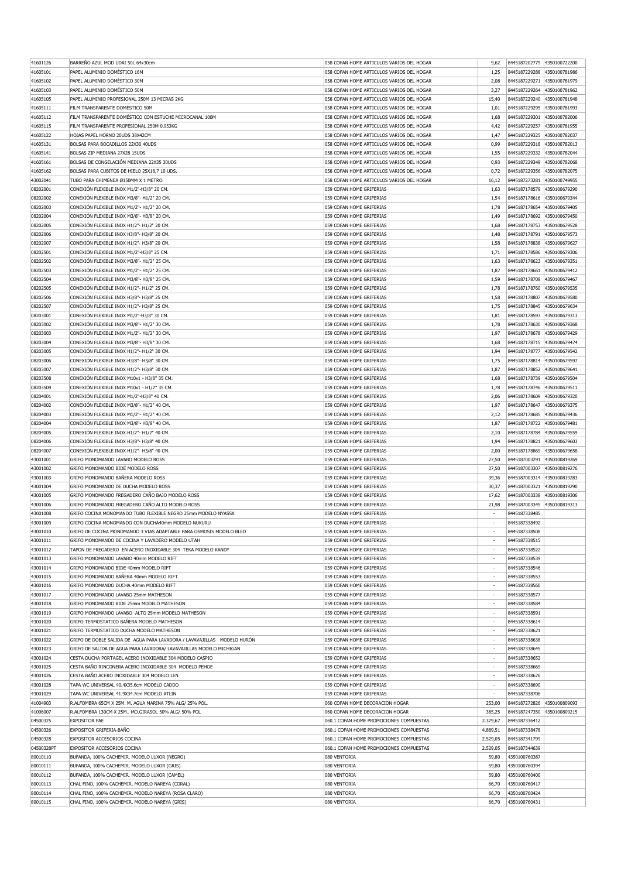| 41601126             | BARREÑO AZUL MOD UDAI 50L 64x30cm                                                                     | 058 COFAN HOME ARTICULOS VARIOS DEL HOGAR                                              | 9.62                     | 8445187202779                  | 4350100722200                  |
|----------------------|-------------------------------------------------------------------------------------------------------|----------------------------------------------------------------------------------------|--------------------------|--------------------------------|--------------------------------|
| 41605101             | PAPEL ALUMINIO DOMÉSTICO 16M                                                                          | 058 COFAN HOME ARTICULOS VARIOS DEL HOGAR                                              | 1.25                     | 8445187229288                  | 4350100781986                  |
| 41605102             | PAPEL ALUMINIO DOMÉSTICO 30M                                                                          | 058 COFAN HOME ARTICULOS VARIOS DEL HOGAR                                              | 2,08                     | 8445187229271                  | 4350100781979                  |
| 41605103             | PAPEL ALUMINIO DOMÉSTICO 50M                                                                          | 058 COFAN HOME ARTICULOS VARIOS DEL HOGAR                                              | 3,27                     | 8445187229264                  | 4350100781962                  |
| 41605105             | PAPEL ALUMINIO PROFESIONAL 250M 13 MICRAS 2KG                                                         | 058 COFAN HOME ARTICULOS VARIOS DEL HOGAR                                              | 15,40                    | 8445187229240                  | 4350100781948                  |
| 41605111             | FILM TRANSPARENTE DOMÉSTICO 50M                                                                       | 058 COFAN HOME ARTICULOS VARIOS DEL HOGAR                                              | 1,01                     | 8445187229295 4350100781993    |                                |
| 41605112             | FILM TRANSPARENTE DOMÉSTICO CON ESTUCHE MICROCANAL 100M<br>FILM TRANSPARENTE PROFESIONAL 250M 0.953KG | 058 COFAN HOME ARTICULOS VARIOS DEL HOGAR<br>058 COFAN HOME ARTICULOS VARIOS DEL HOGAR | 1,68                     | 8445187229301 4350100782006    |                                |
| 41605115<br>41605122 | HOJAS PAPEL HORNO 20UDS 38X42CM                                                                       | 058 COFAN HOME ARTICULOS VARIOS DEL HOGAR                                              | 4,42<br>1,47             | 8445187229257<br>8445187229325 | 4350100781955<br>4350100782037 |
| 41605131             | BOLSAS PARA BOCADILLOS 22X30 40UDS                                                                    | 058 COFAN HOME ARTICULOS VARIOS DEL HOGAR                                              | 0,99                     | 8445187229318                  | 4350100782013                  |
| 41605141             | BOLSAS ZIP MEDIANA 27X28 15UDS                                                                        | 058 COFAN HOME ARTICULOS VARIOS DEL HOGAR                                              | 1,55                     | 8445187229332                  | 4350100782044                  |
| 41605161             | BOLSAS DE CONGELACIÓN MEDIANA 22X35 30UDS                                                             | 058 COFAN HOME ARTICULOS VARIOS DEL HOGAR                                              | 0,93                     | 8445187229349                  | 4350100782068                  |
| 41605162             | BOLSAS PARA CUBITOS DE HIELO 25X18,7 10 UDS.                                                          | 058 COFAN HOME ARTICULOS VARIOS DEL HOGAR                                              | 0,72                     | 8445187229356                  | 4350100782075                  |
| 43002041             | TUBO PARA CHIMENEA Ø150MM X 1 METRO                                                                   | 058 COFAN HOME ARTICULOS VARIOS DEL HOGAR                                              | 16,12                    | 8445187273281                  | 4350100749955                  |
| 08202001             | CONEXIÓN FLEXIBLE INOX M1/2"-H3/8" 20 CM.                                                             | 059 COFAN HOME GRIFERIAS                                                               | 1,63                     | 8445187178579                  | 4350100679290                  |
| 08202002             | CONEXIÓN FLEXIBLE INOX M3/8"- H1/2" 20 CM.                                                            | 059 COFAN HOME GRIFERIAS                                                               | 1,54                     | 8445187178616                  | 4350100679344                  |
| 08202003             | CONEXIÓN FLEXIBLE INOX M1/2"- H1/2" 20 CM.                                                            | 059 COFAN HOME GRIFERIAS                                                               | 1,78                     | 8445187178654                  | 4350100679405                  |
| 08202004             | CONEXIÓN FLEXIBLE INOX M3/8"- H3/8" 20 CM.                                                            | 059 COFAN HOME GRIFERIAS                                                               | 1,49                     | 8445187178692                  | 4350100679450                  |
| 08202005             | CONEXIÓN FLEXIBLE INOX H1/2"- H1/2" 20 CM.                                                            | 059 COFAN HOME GRIFERIAS                                                               | 1,68                     | 8445187178753                  | 4350100679528                  |
| 08202006             | CONEXIÓN FLEXIBLE INOX H3/8"- H3/8" 20 CM.                                                            | 059 COFAN HOME GRIFERIAS                                                               | 1,48                     | 8445187178791                  | 4350100679573                  |
| 08202007             | CONEXIÓN FLEXIBLE INOX H1/2"- H3/8" 20 CM.                                                            | 059 COFAN HOME GRIFERIAS                                                               | 1,58                     | 8445187178838                  | 4350100679627                  |
| 08202501             | CONEXIÓN FLEXIBLE INOX M1/2"-H3/8" 25 CM.                                                             | 059 COFAN HOME GRIFERIAS                                                               | 1,71                     | 8445187178586                  | 4350100679306                  |
| 08202502             | CONEXIÓN FLEXIBLE INOX M3/8"- H1/2" 25 CM.                                                            | 059 COFAN HOME GRIFERIAS                                                               | 1,63                     | 8445187178623                  | 4350100679351                  |
| 08202503             | CONEXIÓN FLEXIBLE INOX M1/2"- H1/2" 25 CM.                                                            | 059 COFAN HOME GRIFERIAS                                                               | 1,87                     | 8445187178661                  | 4350100679412                  |
| 08202504             | CONEXIÓN FLEXIBLE INOX M3/8"- H3/8" 25 CM.                                                            | 059 COFAN HOME GRIFERIAS                                                               | 1,59                     | 8445187178708                  | 4350100679467                  |
| 08202505             | CONEXIÓN FLEXIBLE INOX H1/2"- H1/2" 25 CM.                                                            | 059 COFAN HOME GRIFERIAS                                                               | 1,78                     | 8445187178760                  | 4350100679535                  |
| 08202506             | CONEXIÓN FLEXIBLE INOX H3/8"- H3/8" 25 CM.                                                            | 059 COFAN HOME GRIFERIAS                                                               | 1,58                     | 8445187178807                  | 4350100679580                  |
| 08202507             | CONEXIÓN FLEXIBLE INOX H1/2"- H3/8" 25 CM.<br>CONEXIÓN FLEXIBLE INOX M1/2"-H3/8" 30 CM.               | 059 COFAN HOME GRIFERIAS<br>059 COFAN HOME GRIFERIAS                                   | 1,75<br>1,81             | 8445187178845<br>8445187178593 | 4350100679634<br>4350100679313 |
| 08203001             | CONEXIÓN FLEXIBLE INOX M3/8"- H1/2" 30 CM.                                                            | 059 COFAN HOME GRIFERIAS                                                               | 1,78                     | 8445187178630                  | 4350100679368                  |
| 08203002<br>08203003 | CONEXIÓN FLEXIBLE INOX M1/2"- H1/2" 30 CM.                                                            | 059 COFAN HOME GRIFERIAS                                                               | 1,97                     | 8445187178678                  | 4350100679429                  |
| 08203004             | CONEXIÓN FLEXIBLE INOX M3/8"- H3/8" 30 CM.                                                            | 059 COFAN HOME GRIFERIAS                                                               | 1,68                     | 8445187178715 4350100679474    |                                |
| 08203005             | CONEXIÓN FLEXIBLE INOX H1/2"- H1/2" 30 CM.                                                            | 059 COFAN HOME GRIFERIAS                                                               | 1,94                     | 8445187178777                  | 4350100679542                  |
| 08203006             | CONEXIÓN FLEXIBLE INOX H3/8"- H3/8" 30 CM.                                                            | 059 COFAN HOME GRIFERIAS                                                               | 1,75                     | 8445187178814                  | 4350100679597                  |
| 08203007             | CONEXIÓN FLEXIBLE INOX H1/2"- H3/8" 30 CM.                                                            | 059 COFAN HOME GRIFERIAS                                                               | 1,87                     | 8445187178852                  | 4350100679641                  |
| 08203508             | CONEXIÓN FLEXIBLE INOX M10x1 - H3/8" 35 CM.                                                           | 059 COFAN HOME GRIFERIAS                                                               | 1,68                     | 8445187178739                  | 4350100679504                  |
| 08203509             | CONEXIÓN FLEXIBLE INOX M10x1 - H1/2" 35 CM.                                                           | 059 COFAN HOME GRIFERIAS                                                               | 1,78                     | 8445187178746                  | 4350100679511                  |
| 08204001             | CONEXIÓN FLEXIBLE INOX M1/2"-H3/8" 40 CM.                                                             | 059 COFAN HOME GRIFERIAS                                                               | 2,06                     | 8445187178609                  | 4350100679320                  |
| 08204002             | CONEXIÓN FLEXIBLE INOX M3/8"- H1/2" 40 CM.                                                            | 059 COFAN HOME GRIFERIAS                                                               | 1,97                     | 8445187178647                  | 4350100679375                  |
| 08204003             | CONEXIÓN FLEXIBLE INOX M1/2"- H1/2" 40 CM.                                                            | 059 COFAN HOME GRIFERIAS                                                               | 2,12                     | 8445187178685                  | 4350100679436                  |
| 08204004             | CONEXIÓN FLEXIBLE INOX M3/8"- H3/8" 40 CM.                                                            | 059 COFAN HOME GRIFERIAS                                                               | 1,87                     | 8445187178722                  | 4350100679481                  |
| 08204005             | CONEXIÓN FLEXIBLE INOX H1/2"- H1/2" 40 CM.                                                            | 059 COFAN HOME GRIFERIAS                                                               | 2,10                     | 8445187178784                  | 4350100679559                  |
| 08204006             | CONEXIÓN FLEXIBLE INOX H3/8"- H3/8" 40 CM.                                                            | 059 COFAN HOME GRIFERIAS                                                               | 1.94                     | 8445187178821                  | 4350100679603                  |
| 08204007             | CONEXIÓN FLEXIBLE INOX H1/2"- H3/8" 40 CM.                                                            | 059 COFAN HOME GRIFERIAS                                                               | 2,00                     | 8445187178869                  | 4350100679658                  |
| 43001001             | GRIFO MONOMANDO LAVABO MODELO ROSS                                                                    | 059 COFAN HOME GRIFERIAS                                                               | 27,50                    | 8445187003291                  | 4350100819269                  |
| 43001002             | GRIFO MONOMANDO BIDÉ MODELO ROSS                                                                      | 059 COFAN HOME GRIFERIAS                                                               | 27,50                    | 8445187003307                  | 4350100819276                  |
| 43001003             | GRIFO MONOMANDO BAÑERA MODELO ROSS                                                                    | 059 COFAN HOME GRIFERIAS                                                               | 39,36                    | 8445187003314                  | 4350100819283                  |
| 43001004             | GRIFO MONOMANDO DE DUCHA MODELO ROSS                                                                  | 059 COFAN HOME GRIFERIAS                                                               | 30,37                    | 8445187003321                  | 4350100819290                  |
| 43001005             | GRIFO MONOMANDO FREGADERO CAÑO BAJO MODELO ROSS                                                       | 059 COFAN HOME GRIFERIAS                                                               | 17,62                    | 8445187003338 4350100819306    |                                |
| 43001006             | GRIFO MONOMANDO FREGADERO CAÑO ALTO MODELO ROSS                                                       | 059 COFAN HOME GRIFFRIAS                                                               | 21,98                    | 8445187003345 4350100819313    |                                |
| 43001008             | GRIFO COCINA MONOMANDO TUBO FLEXIBLE NEGRO 25mm MODELO NYASSA                                         | 059 COFAN HOME GRIFERIAS                                                               | $\overline{\phantom{a}}$ | 8445187338485                  |                                |
| 43001009             | GRIFO COCINA MONOMANDO CON DUCHA40mm MODELO NUKURU                                                    | 059 COFAN HOME GRIFERIAS                                                               |                          | 8445187338492                  |                                |
| 43001010             | GRIFO DE COCINA MONOMANDO 3 VIAS ADAPTABLE PARA OSMOSIS MODELO BLED                                   | 059 COFAN HOME GRIFERIAS                                                               |                          | 8445187338508                  |                                |
| 43001011             | GRIFO MONOMANDO DE COCINA Y LAVADERO MODELO UTAH                                                      | 059 COFAN HOME GRIFERIAS                                                               | ٠                        | 8445187338515                  |                                |
| 43001012             | TAPON DE FREGADERO EN ACERO INOXIDABLE 304 TEKA MODELO KANDY                                          | 059 COFAN HOME GRIFERIAS                                                               | $\overline{\phantom{a}}$ | 8445187338522                  |                                |
| 43001013             | GRIFO MONOMANDO LAVABO 40mm MODELO RIFT                                                               | 059 COFAN HOME GRIFERIAS                                                               | ÷                        | 8445187338539                  |                                |
| 43001014             | GRIFO MONOMANDO BIDE 40mm MODELO RIFT                                                                 | 059 COFAN HOME GRIFERIAS                                                               | $\overline{\phantom{a}}$ | 8445187338546                  |                                |
| 43001015             | GRIFO MONOMANDO BAÑERA 40mm MODELO RIFT                                                               | 059 COFAN HOME GRIFERIAS                                                               | $\overline{\phantom{a}}$ | 8445187338553                  |                                |
| 43001016             | GRIFO MONOMANDO DUCHA 40mm MODELO RIFT                                                                | 059 COFAN HOME GRIFERIAS                                                               | $\overline{\phantom{a}}$ | 8445187338560                  |                                |
| 43001017             | GRIFO MONOMANDO LAVABO 25mm MATHESON                                                                  | 059 COFAN HOME GRIFERIAS                                                               | ÷                        | 8445187338577                  |                                |
| 43001018             | GRIFO MONOMANDO BIDE 25mm MODELO MATHESON                                                             | 059 COFAN HOME GRIFERIAS                                                               | ٠                        | 8445187338584                  |                                |
| 43001019             | GRIFO MONOMANDO LAVABO ALTO 25mm MODELO MATHESON                                                      | 059 COFAN HOME GRIFERIAS                                                               | $\overline{\phantom{a}}$ | 8445187338591                  |                                |
| 43001020             | GRIFO TERMOSTATICO BAÑERA MODELO MATHESON                                                             | 059 COFAN HOME GRIFERIAS                                                               | ÷                        | 8445187338614                  |                                |
| 43001021             | GRIFO TERMOSTATICO DUCHA MODELO MATHESON                                                              | 059 COFAN HOME GRIFERIAS                                                               | $\overline{\phantom{a}}$ | 8445187338621                  |                                |
| 43001022             | GRIFO DE DOBLE SALIDA DE AGUA PARA LAVADORA / LAVAVAJILLAS MODELO HURÓN                               | 059 COFAN HOME GRIFERIAS                                                               | ÷                        | 8445187338638                  |                                |
| 43001023             | GRIFO DE SALIDA DE AGUA PARA LAVADORA/ LAVAVAJILLAS MODELO MICHIGAN                                   | 059 COFAN HOME GRIFERIAS                                                               | $\overline{\phantom{a}}$ | 8445187338645                  |                                |
| 43001024             | CESTA DUCHA PORTAGEL ACERO INOXIDABLE 304 MODELO CASPIO                                               | 059 COFAN HOME GRIFERIAS                                                               | $\overline{\phantom{a}}$ | 8445187338652                  |                                |
| 43001025             | CESTA BAÑO RINCONERA ACERO INOXIDABLE 304 MODELO PEHOE                                                | 059 COFAN HOME GRIFERIAS                                                               | $\overline{\phantom{a}}$ | 8445187338669                  |                                |
| 43001026             | CESTA BAÑO ACERO INOXIDABLE 304 MODELO LEN                                                            | 059 COFAN HOME GRIFERIAS                                                               | ÷<br>٠                   | 8445187338676                  |                                |
| 43001028             | TAPA WC UNIVERSAL 40.4X35.6cm MODELO CADDO                                                            | 059 COFAN HOME GRIFERIAS                                                               | $\sim$                   | 8445187338690                  |                                |
| 43001029<br>41004903 | TAPA WC UNIVERSAL 41.9X34.7cm MODELO ATLIN<br>R.ALFOMBRA 65CM X 25M. M. AGUA MARINA 75% ALG/ 25% POL. | 059 COFAN HOME GRIFERIAS<br>060 COFAN HOME DECORACION HOGAR                            | 253,00                   | 8445187338706<br>8445187272826 | 4350100809093                  |
| 41006007             | R.ALFOMBRA 130CM X 25M MO.GIRASOL 50% ALG/ 50% POL                                                    | 060 COFAN HOME DECORACION HOGAR                                                        | 385,25                   | 8445187247350                  | 4350100809215                  |
| 04500325             | <b>EXPOSITOR PAE</b>                                                                                  | 060.1 COFAN HOME PROMOCIONES COMPUESTAS                                                | 2.379,67                 | 8445187336412                  |                                |
| 04500326             | EXPOSITOR GRIFERIA-BAÑO                                                                               | 060.1 COFAN HOME PROMOCIONES COMPUESTAS                                                | 4.889,51                 | 8445187338478                  |                                |
| 04500328             |                                                                                                       | 060.1 COFAN HOME PROMOCIONES COMPUESTAS                                                | 2.529,05                 | 8445187341799                  |                                |
| 04500328PT           |                                                                                                       |                                                                                        |                          |                                |                                |
|                      | EXPOSITOR ACCESORIOS COCINA<br>EXPOSITOR ACCESORIOS COCINA                                            |                                                                                        |                          | 8445187344639                  |                                |
|                      |                                                                                                       | 060.1 COFAN HOME PROMOCIONES COMPUESTAS                                                | 2.529,05                 |                                |                                |
| 80010110<br>80010111 | BUFANDA, 100% CACHEMIR. MODELO LUXOR (NEGRO)<br>BUFANDA, 100% CACHEMIR. MODELO LUXOR (GRIS)           | 080 VENTORIA<br>080 VENTORIA                                                           | 59,80<br>59,80           | 4350100760387<br>4350100760394 |                                |
| 80010112             | BUFANDA, 100% CACHEMIR. MODELO LUXOR (CAMEL)                                                          | 080 VENTORIA                                                                           | 59,80                    | 4350100760400                  |                                |
| 80010113             | CHAL FINO, 100% CACHEMIR. MODELO NAREYA (CORAL)                                                       | 080 VENTORIA                                                                           | 66,70                    | 4350100760417                  |                                |
| 80010114             | CHAL FINO, 100% CACHEMIR. MODELO NAREYA (ROSA CLARO)                                                  | 080 VENTORIA                                                                           | 66,70                    | 4350100760424                  |                                |
| 80010115             | CHAL FINO, 100% CACHEMIR. MODELO NAREYA (GRIS)                                                        | 080 VENTORIA                                                                           | 66,70                    | 4350100760431                  |                                |